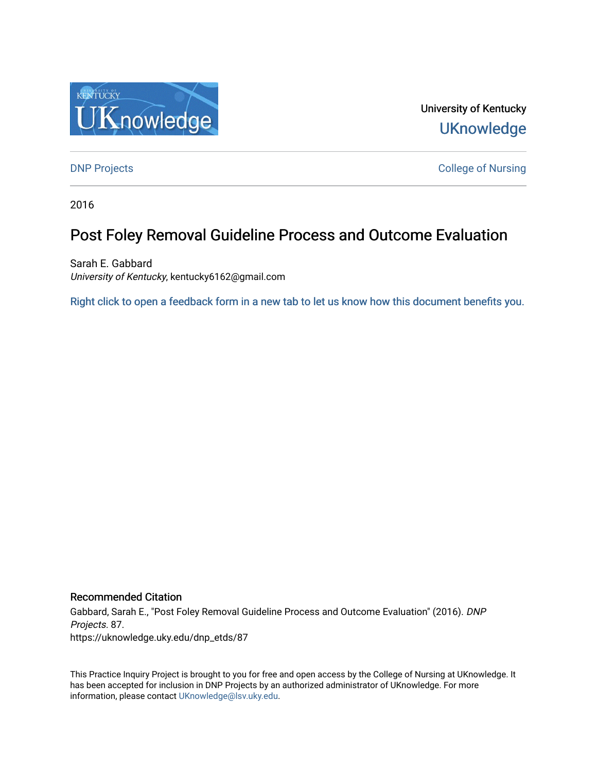

University of Kentucky **UKnowledge** 

[DNP Projects](https://uknowledge.uky.edu/dnp_etds) **College of Nursing** 

2016

# Post Foley Removal Guideline Process and Outcome Evaluation

Sarah E. Gabbard University of Kentucky, kentucky6162@gmail.com

[Right click to open a feedback form in a new tab to let us know how this document benefits you.](https://uky.az1.qualtrics.com/jfe/form/SV_9mq8fx2GnONRfz7)

### Recommended Citation

Gabbard, Sarah E., "Post Foley Removal Guideline Process and Outcome Evaluation" (2016). DNP Projects. 87. https://uknowledge.uky.edu/dnp\_etds/87

This Practice Inquiry Project is brought to you for free and open access by the College of Nursing at UKnowledge. It has been accepted for inclusion in DNP Projects by an authorized administrator of UKnowledge. For more information, please contact [UKnowledge@lsv.uky.edu](mailto:UKnowledge@lsv.uky.edu).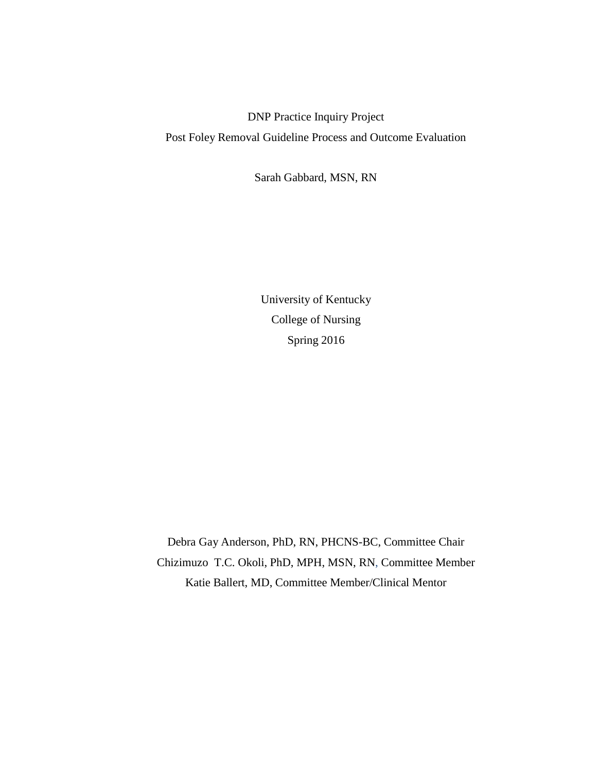DNP Practice Inquiry Project Post Foley Removal Guideline Process and Outcome Evaluation

Sarah Gabbard, MSN, RN

University of Kentucky College of Nursing Spring 2016

Debra Gay Anderson, PhD, RN, PHCNS-BC, Committee Chair Chizimuzo T.C. Okoli, PhD, MPH, MSN, RN, Committee Member Katie Ballert, MD, Committee Member/Clinical Mentor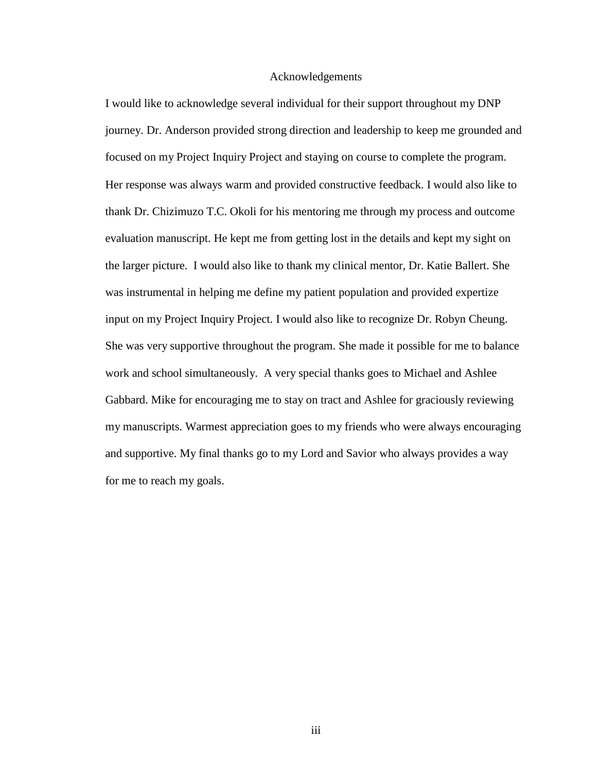### Acknowledgements

<span id="page-2-0"></span>I would like to acknowledge several individual for their support throughout my DNP journey. Dr. Anderson provided strong direction and leadership to keep me grounded and focused on my Project Inquiry Project and staying on course to complete the program. Her response was always warm and provided constructive feedback. I would also like to thank Dr. Chizimuzo T.C. Okoli for his mentoring me through my process and outcome evaluation manuscript. He kept me from getting lost in the details and kept my sight on the larger picture. I would also like to thank my clinical mentor, Dr. Katie Ballert. She was instrumental in helping me define my patient population and provided expertize input on my Project Inquiry Project. I would also like to recognize Dr. Robyn Cheung. She was very supportive throughout the program. She made it possible for me to balance work and school simultaneously. A very special thanks goes to Michael and Ashlee Gabbard. Mike for encouraging me to stay on tract and Ashlee for graciously reviewing my manuscripts. Warmest appreciation goes to my friends who were always encouraging and supportive. My final thanks go to my Lord and Savior who always provides a way for me to reach my goals.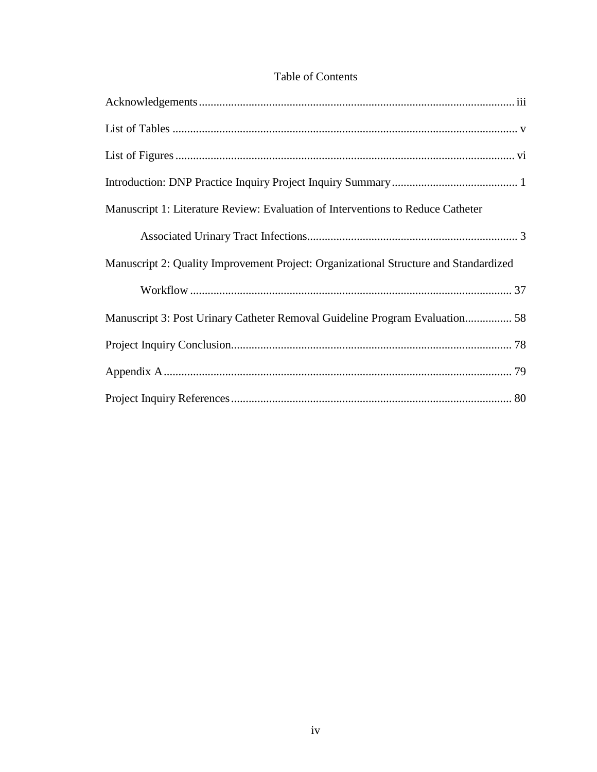### Table of Contents

| Manuscript 1: Literature Review: Evaluation of Interventions to Reduce Catheter      |
|--------------------------------------------------------------------------------------|
|                                                                                      |
| Manuscript 2: Quality Improvement Project: Organizational Structure and Standardized |
|                                                                                      |
| Manuscript 3: Post Urinary Catheter Removal Guideline Program Evaluation 58          |
|                                                                                      |
|                                                                                      |
|                                                                                      |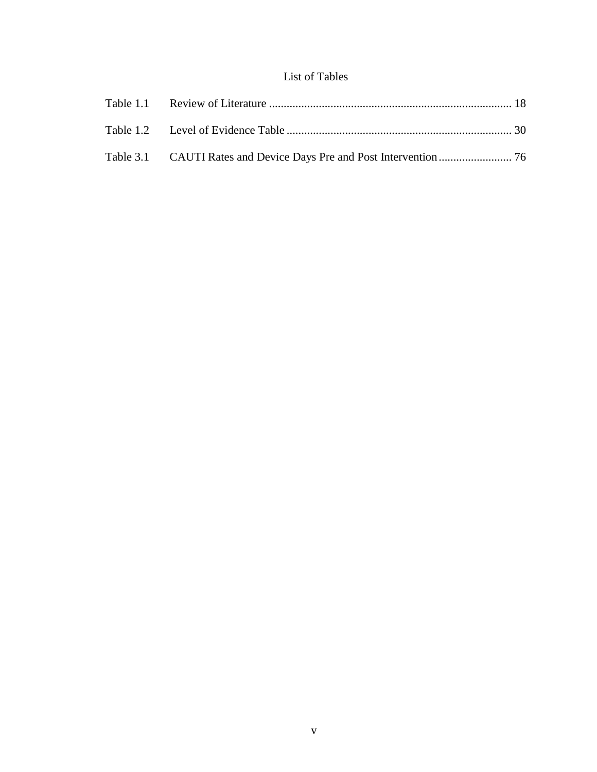## List of Tables

<span id="page-4-0"></span>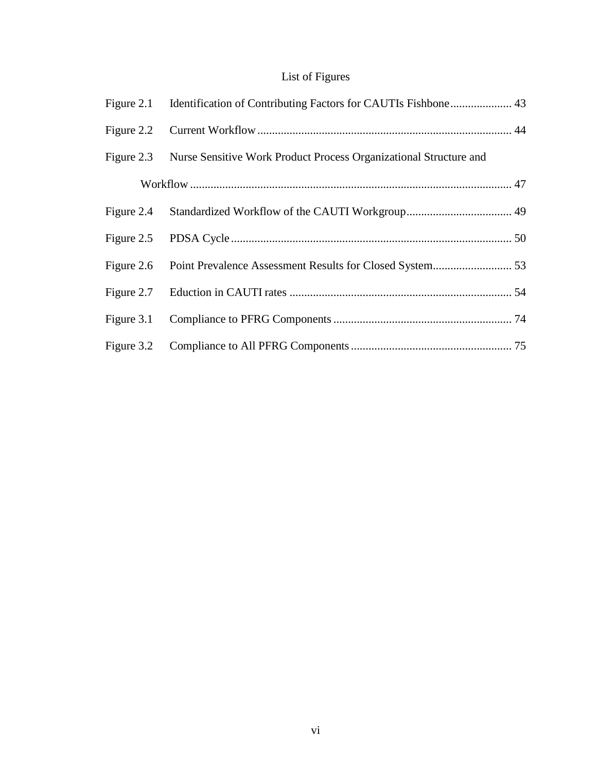# List of Figures

<span id="page-5-0"></span>

| Figure 2.3 Nurse Sensitive Work Product Process Organizational Structure and |  |
|------------------------------------------------------------------------------|--|
|                                                                              |  |
|                                                                              |  |
|                                                                              |  |
|                                                                              |  |
|                                                                              |  |
|                                                                              |  |
|                                                                              |  |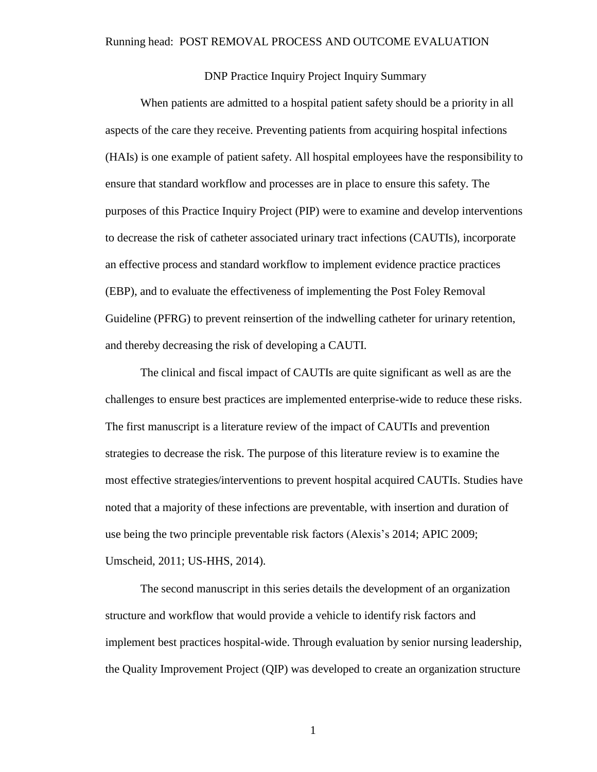#### <span id="page-6-0"></span>Running head: POST REMOVAL PROCESS AND OUTCOME EVALUATION

### DNP Practice Inquiry Project Inquiry Summary

When patients are admitted to a hospital patient safety should be a priority in all aspects of the care they receive. Preventing patients from acquiring hospital infections (HAIs) is one example of patient safety. All hospital employees have the responsibility to ensure that standard workflow and processes are in place to ensure this safety. The purposes of this Practice Inquiry Project (PIP) were to examine and develop interventions to decrease the risk of catheter associated urinary tract infections (CAUTIs), incorporate an effective process and standard workflow to implement evidence practice practices (EBP), and to evaluate the effectiveness of implementing the Post Foley Removal Guideline (PFRG) to prevent reinsertion of the indwelling catheter for urinary retention, and thereby decreasing the risk of developing a CAUTI.

The clinical and fiscal impact of CAUTIs are quite significant as well as are the challenges to ensure best practices are implemented enterprise-wide to reduce these risks. The first manuscript is a literature review of the impact of CAUTIs and prevention strategies to decrease the risk. The purpose of this literature review is to examine the most effective strategies/interventions to prevent hospital acquired CAUTIs. Studies have noted that a majority of these infections are preventable, with insertion and duration of use being the two principle preventable risk factors (Alexis's 2014; APIC 2009; Umscheid, 2011; US-HHS, 2014).

The second manuscript in this series details the development of an organization structure and workflow that would provide a vehicle to identify risk factors and implement best practices hospital-wide. Through evaluation by senior nursing leadership, the Quality Improvement Project (QIP) was developed to create an organization structure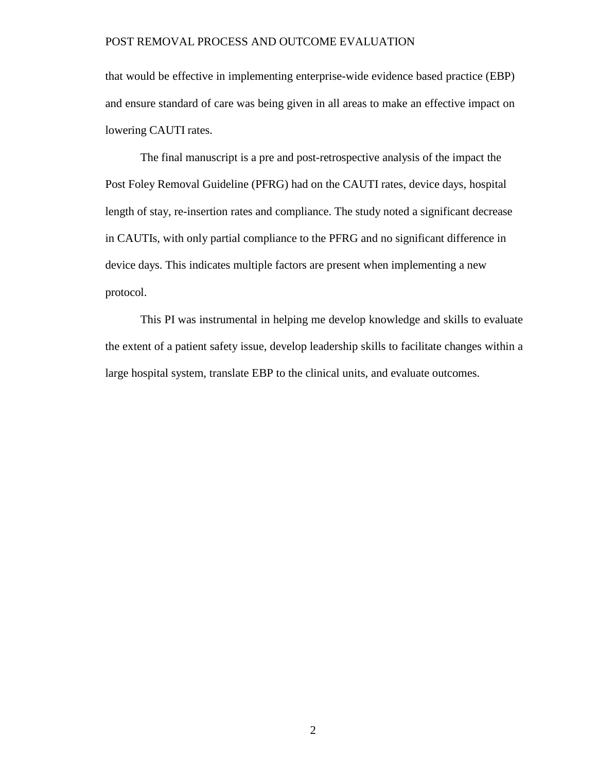that would be effective in implementing enterprise-wide evidence based practice (EBP) and ensure standard of care was being given in all areas to make an effective impact on lowering CAUTI rates.

The final manuscript is a pre and post-retrospective analysis of the impact the Post Foley Removal Guideline (PFRG) had on the CAUTI rates, device days, hospital length of stay, re-insertion rates and compliance. The study noted a significant decrease in CAUTIs, with only partial compliance to the PFRG and no significant difference in device days. This indicates multiple factors are present when implementing a new protocol.

This PI was instrumental in helping me develop knowledge and skills to evaluate the extent of a patient safety issue, develop leadership skills to facilitate changes within a large hospital system, translate EBP to the clinical units, and evaluate outcomes.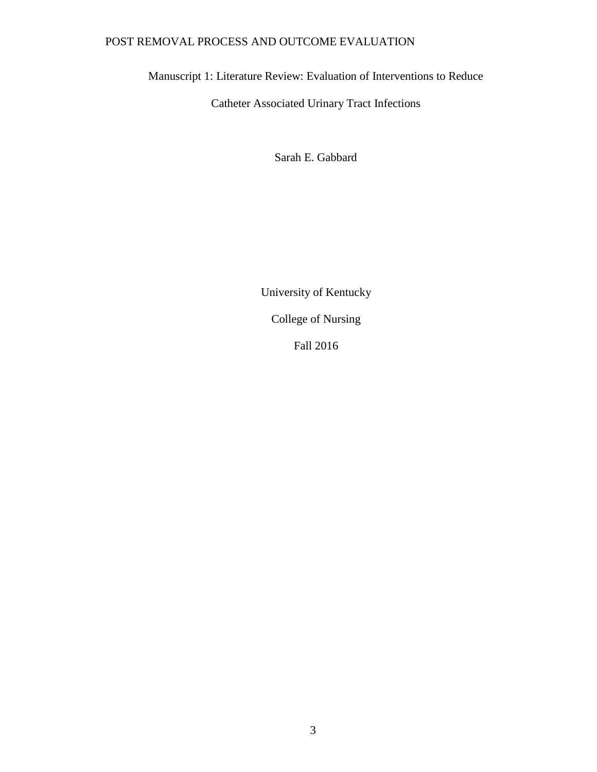<span id="page-8-0"></span>Manuscript 1: Literature Review: Evaluation of Interventions to Reduce

Catheter Associated Urinary Tract Infections

Sarah E. Gabbard

University of Kentucky

College of Nursing

Fall 2016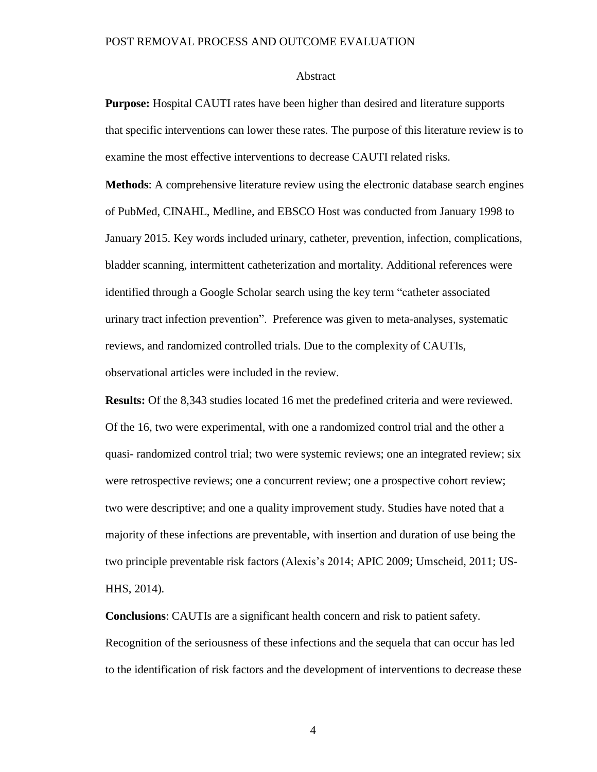#### Abstract

**Purpose:** Hospital CAUTI rates have been higher than desired and literature supports that specific interventions can lower these rates. The purpose of this literature review is to examine the most effective interventions to decrease CAUTI related risks.

**Methods**: A comprehensive literature review using the electronic database search engines of PubMed, CINAHL, Medline, and EBSCO Host was conducted from January 1998 to January 2015. Key words included urinary, catheter, prevention, infection, complications, bladder scanning, intermittent catheterization and mortality. Additional references were identified through a Google Scholar search using the key term "catheter associated urinary tract infection prevention". Preference was given to meta-analyses, systematic reviews, and randomized controlled trials. Due to the complexity of CAUTIs, observational articles were included in the review.

**Results:** Of the 8,343 studies located 16 met the predefined criteria and were reviewed. Of the 16, two were experimental, with one a randomized control trial and the other a quasi- randomized control trial; two were systemic reviews; one an integrated review; six were retrospective reviews; one a concurrent review; one a prospective cohort review; two were descriptive; and one a quality improvement study. Studies have noted that a majority of these infections are preventable, with insertion and duration of use being the two principle preventable risk factors (Alexis's 2014; APIC 2009; Umscheid, 2011; US-HHS, 2014).

**Conclusions**: CAUTIs are a significant health concern and risk to patient safety. Recognition of the seriousness of these infections and the sequela that can occur has led to the identification of risk factors and the development of interventions to decrease these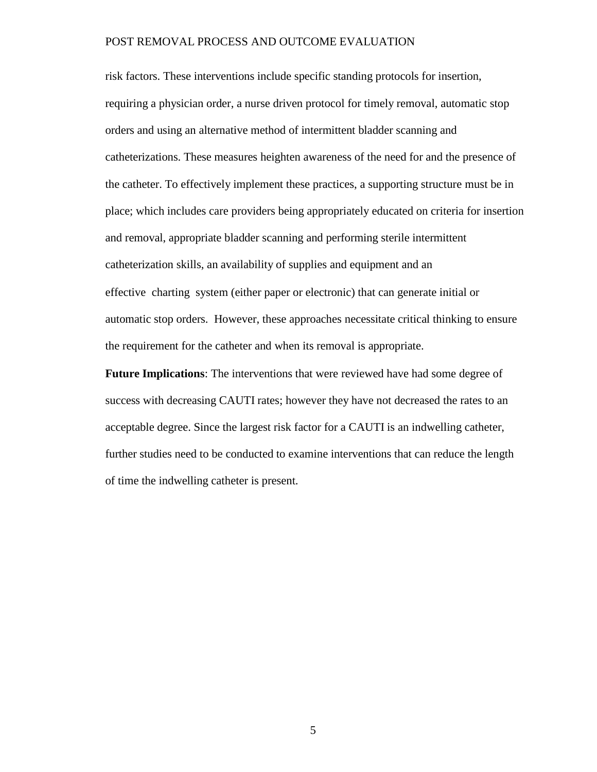risk factors. These interventions include specific standing protocols for insertion, requiring a physician order, a nurse driven protocol for timely removal, automatic stop orders and using an alternative method of intermittent bladder scanning and catheterizations. These measures heighten awareness of the need for and the presence of the catheter. To effectively implement these practices, a supporting structure must be in place; which includes care providers being appropriately educated on criteria for insertion and removal, appropriate bladder scanning and performing sterile intermittent catheterization skills, an availability of supplies and equipment and an effective charting system (either paper or electronic) that can generate initial or automatic stop orders. However, these approaches necessitate critical thinking to ensure the requirement for the catheter and when its removal is appropriate.

**Future Implications**: The interventions that were reviewed have had some degree of success with decreasing CAUTI rates; however they have not decreased the rates to an acceptable degree. Since the largest risk factor for a CAUTI is an indwelling catheter, further studies need to be conducted to examine interventions that can reduce the length of time the indwelling catheter is present.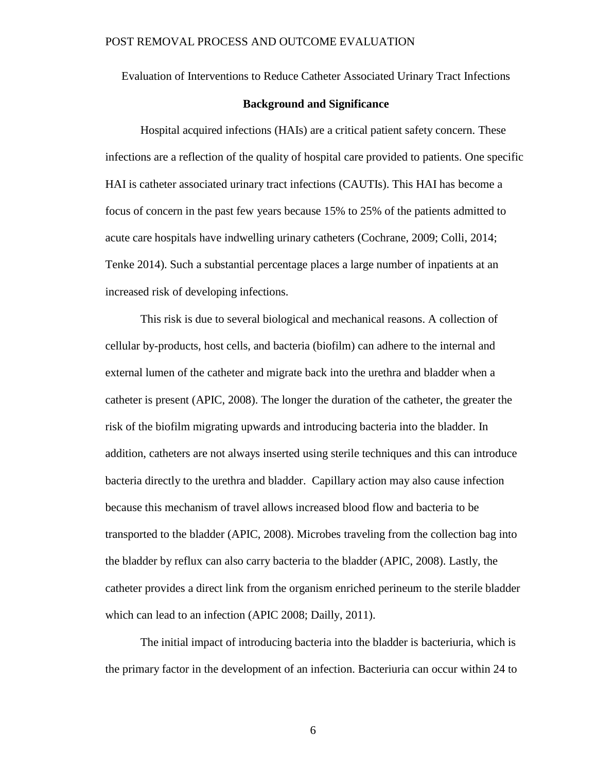Evaluation of Interventions to Reduce Catheter Associated Urinary Tract Infections

### **Background and Significance**

Hospital acquired infections (HAIs) are a critical patient safety concern. These infections are a reflection of the quality of hospital care provided to patients. One specific HAI is catheter associated urinary tract infections (CAUTIs). This HAI has become a focus of concern in the past few years because 15% to 25% of the patients admitted to acute care hospitals have indwelling urinary catheters (Cochrane, 2009; Colli, 2014; Tenke 2014). Such a substantial percentage places a large number of inpatients at an increased risk of developing infections.

This risk is due to several biological and mechanical reasons. A collection of cellular by-products, host cells, and bacteria (biofilm) can adhere to the internal and external lumen of the catheter and migrate back into the urethra and bladder when a catheter is present (APIC, 2008). The longer the duration of the catheter, the greater the risk of the biofilm migrating upwards and introducing bacteria into the bladder. In addition, catheters are not always inserted using sterile techniques and this can introduce bacteria directly to the urethra and bladder. Capillary action may also cause infection because this mechanism of travel allows increased blood flow and bacteria to be transported to the bladder (APIC, 2008). Microbes traveling from the collection bag into the bladder by reflux can also carry bacteria to the bladder (APIC, 2008). Lastly, the catheter provides a direct link from the organism enriched perineum to the sterile bladder which can lead to an infection (APIC 2008; Dailly, 2011).

The initial impact of introducing bacteria into the bladder is bacteriuria, which is the primary factor in the development of an infection. Bacteriuria can occur within 24 to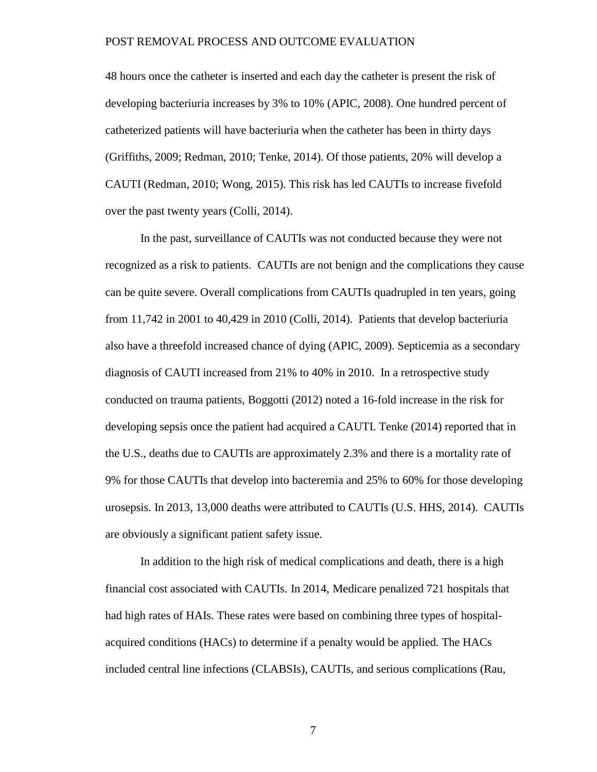48 hours once the catheter is inserted and each day the catheter is present the risk of developing bacteriuria increases by 3% to 10% (APIC, 2008). One hundred percent of catheterized patients will have bacteriuria when the catheter has been in thirty days (Griffiths, 2009; Redman, 2010; Tenke, 2014). Of those patients, 20% will develop a CAUTI (Redman, 2010; Wong, 2015). This risk has led CAUTIs to increase fivefold over the past twenty years (Colli, 2014).

In the past, surveillance of CAUTIs was not conducted because they were not recognized as a risk to patients. CAUTIs are not benign and the complications they cause can be quite severe. Overall complications from CAUTIs quadrupled in ten years, going from 11,742 in 2001 to 40,429 in 2010 (Colli, 2014). Patients that develop bacteriuria also have a threefold increased chance of dying (APIC, 2009). Septicemia as a secondary diagnosis of CAUTI increased from 21% to 40% in 2010. In a retrospective study conducted on trauma patients, Boggotti (2012) noted a 16-fold increase in the risk for developing sepsis once the patient had acquired a CAUTI. Tenke (2014) reported that in the U.S., deaths due to CAUTIs are approximately 2.3% and there is a mortality rate of 9% for those CAUTIs that develop into bacteremia and 25% to 60% for those developing urosepsis. In 2013, 13,000 deaths were attributed to CAUTIs (U.S. HHS, 2014). CAUTIs are obviously a significant patient safety issue.

In addition to the high risk of medical complications and death, there is a high financial cost associated with CAUTIs. In 2014, Medicare penalized 721 hospitals that had high rates of HAIs. These rates were based on combining three types of hospitalacquired conditions (HACs) to determine if a penalty would be applied. The HACs included central line infections (CLABSIs), CAUTIs, and serious complications (Rau,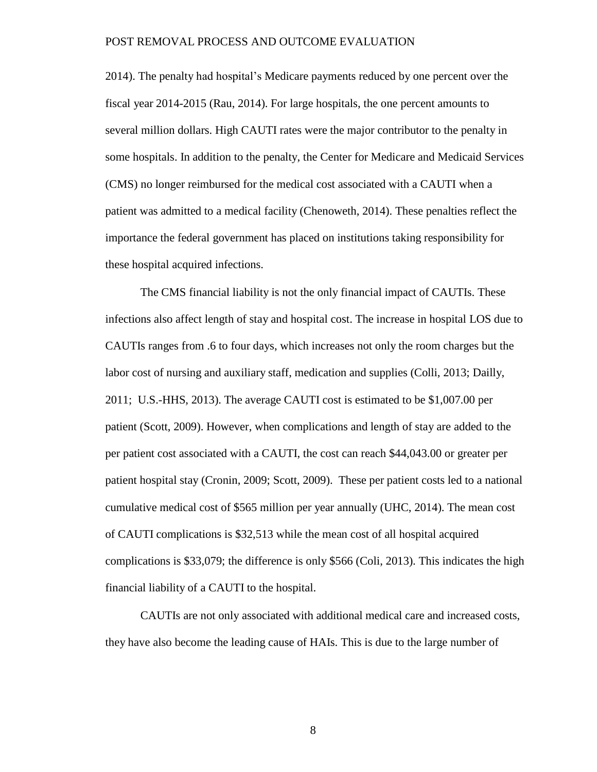2014). The penalty had hospital's Medicare payments reduced by one percent over the fiscal year 2014-2015 (Rau, 2014). For large hospitals, the one percent amounts to several million dollars. High CAUTI rates were the major contributor to the penalty in some hospitals. In addition to the penalty, the Center for Medicare and Medicaid Services (CMS) no longer reimbursed for the medical cost associated with a CAUTI when a patient was admitted to a medical facility (Chenoweth, 2014). These penalties reflect the importance the federal government has placed on institutions taking responsibility for these hospital acquired infections.

The CMS financial liability is not the only financial impact of CAUTIs. These infections also affect length of stay and hospital cost. The increase in hospital LOS due to CAUTIs ranges from .6 to four days, which increases not only the room charges but the labor cost of nursing and auxiliary staff, medication and supplies (Colli, 2013; Dailly, 2011; U.S.-HHS, 2013). The average CAUTI cost is estimated to be \$1,007.00 per patient (Scott, 2009). However, when complications and length of stay are added to the per patient cost associated with a CAUTI, the cost can reach \$44,043.00 or greater per patient hospital stay (Cronin, 2009; Scott, 2009). These per patient costs led to a national cumulative medical cost of \$565 million per year annually (UHC, 2014). The mean cost of CAUTI complications is \$32,513 while the mean cost of all hospital acquired complications is \$33,079; the difference is only \$566 (Coli, 2013). This indicates the high financial liability of a CAUTI to the hospital.

CAUTIs are not only associated with additional medical care and increased costs, they have also become the leading cause of HAIs. This is due to the large number of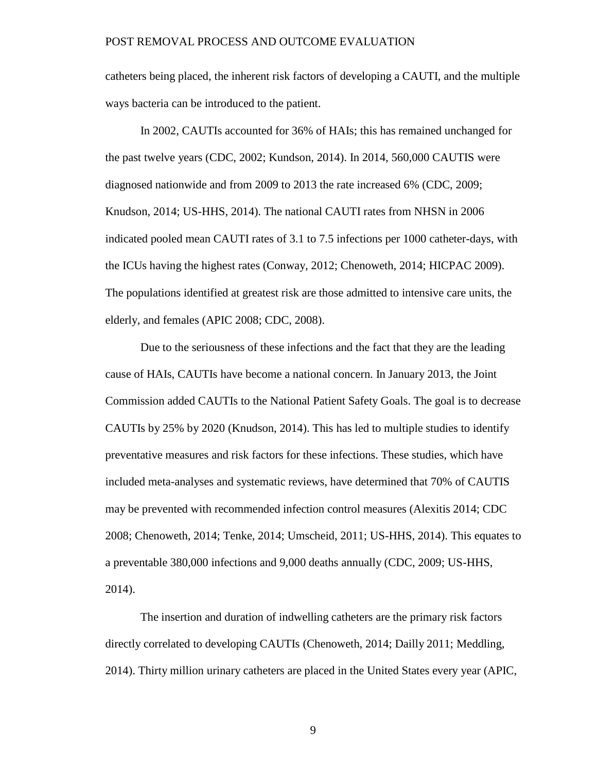catheters being placed, the inherent risk factors of developing a CAUTI, and the multiple ways bacteria can be introduced to the patient.

In 2002, CAUTIs accounted for 36% of HAIs; this has remained unchanged for the past twelve years (CDC, 2002; Kundson, 2014). In 2014, 560,000 CAUTIS were diagnosed nationwide and from 2009 to 2013 the rate increased 6% (CDC, 2009; Knudson, 2014; US-HHS, 2014). The national CAUTI rates from NHSN in 2006 indicated pooled mean CAUTI rates of 3.1 to 7.5 infections per 1000 catheter-days, with the ICUs having the highest rates (Conway, 2012; Chenoweth, 2014; HICPAC 2009). The populations identified at greatest risk are those admitted to intensive care units, the elderly, and females (APIC 2008; CDC, 2008).

Due to the seriousness of these infections and the fact that they are the leading cause of HAIs, CAUTIs have become a national concern. In January 2013, the Joint Commission added CAUTIs to the National Patient Safety Goals. The goal is to decrease CAUTIs by 25% by 2020 (Knudson, 2014). This has led to multiple studies to identify preventative measures and risk factors for these infections. These studies, which have included meta-analyses and systematic reviews, have determined that 70% of CAUTIS may be prevented with recommended infection control measures (Alexitis 2014; CDC 2008; Chenoweth, 2014; Tenke, 2014; Umscheid, 2011; US-HHS, 2014). This equates to a preventable 380,000 infections and 9,000 deaths annually (CDC, 2009; US-HHS, 2014).

The insertion and duration of indwelling catheters are the primary risk factors directly correlated to developing CAUTIs (Chenoweth, 2014; Dailly 2011; Meddling, 2014). Thirty million urinary catheters are placed in the United States every year (APIC,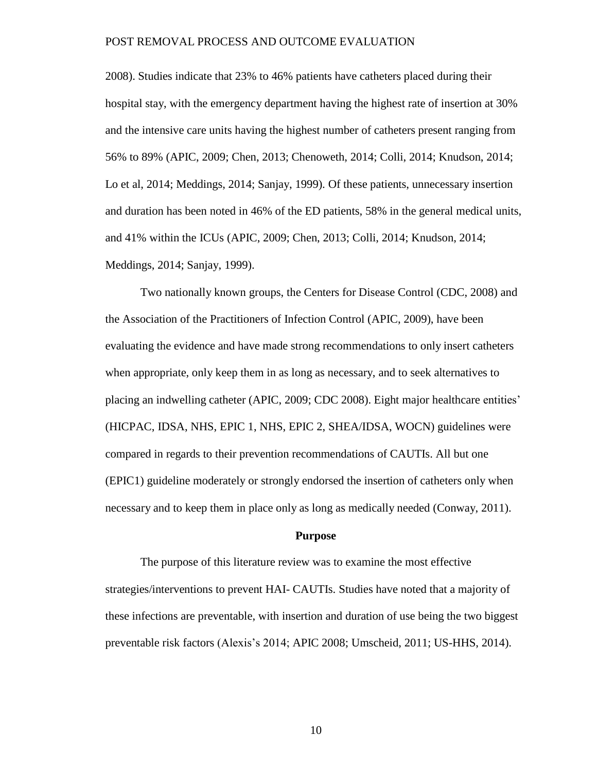2008). Studies indicate that 23% to 46% patients have catheters placed during their hospital stay, with the emergency department having the highest rate of insertion at 30% and the intensive care units having the highest number of catheters present ranging from 56% to 89% (APIC, 2009; Chen, 2013; Chenoweth, 2014; Colli, 2014; Knudson, 2014; Lo et al, 2014; Meddings, 2014; Sanjay, 1999). Of these patients, unnecessary insertion and duration has been noted in 46% of the ED patients, 58% in the general medical units, and 41% within the ICUs (APIC, 2009; Chen, 2013; Colli, 2014; Knudson, 2014; Meddings, 2014; Sanjay, 1999).

Two nationally known groups, the Centers for Disease Control (CDC, 2008) and the Association of the Practitioners of Infection Control (APIC, 2009), have been evaluating the evidence and have made strong recommendations to only insert catheters when appropriate, only keep them in as long as necessary, and to seek alternatives to placing an indwelling catheter (APIC, 2009; CDC 2008). Eight major healthcare entities' (HICPAC, IDSA, NHS, EPIC 1, NHS, EPIC 2, SHEA/IDSA, WOCN) guidelines were compared in regards to their prevention recommendations of CAUTIs. All but one (EPIC1) guideline moderately or strongly endorsed the insertion of catheters only when necessary and to keep them in place only as long as medically needed (Conway, 2011).

### **Purpose**

The purpose of this literature review was to examine the most effective strategies/interventions to prevent HAI- CAUTIs. Studies have noted that a majority of these infections are preventable, with insertion and duration of use being the two biggest preventable risk factors (Alexis's 2014; APIC 2008; Umscheid, 2011; US-HHS, 2014).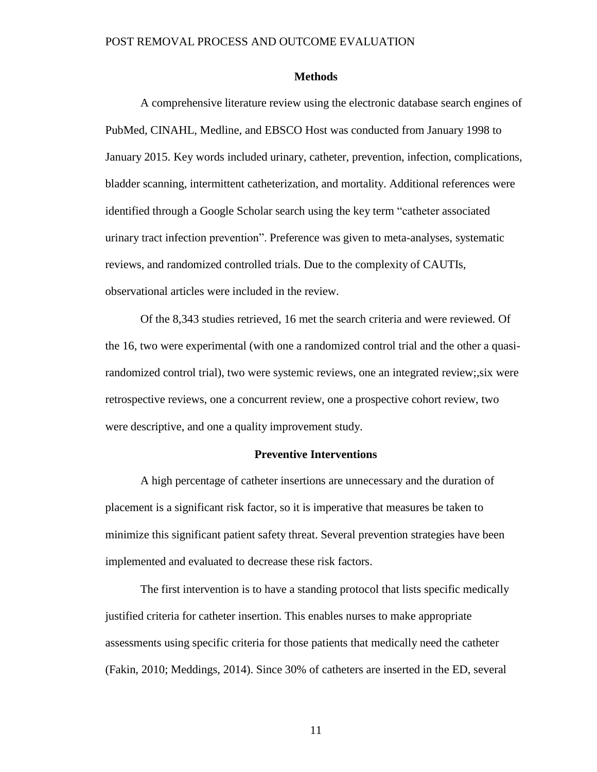#### **Methods**

A comprehensive literature review using the electronic database search engines of PubMed, CINAHL, Medline, and EBSCO Host was conducted from January 1998 to January 2015. Key words included urinary, catheter, prevention, infection, complications, bladder scanning, intermittent catheterization, and mortality. Additional references were identified through a Google Scholar search using the key term "catheter associated urinary tract infection prevention". Preference was given to meta-analyses, systematic reviews, and randomized controlled trials. Due to the complexity of CAUTIs, observational articles were included in the review.

Of the 8,343 studies retrieved, 16 met the search criteria and were reviewed. Of the 16, two were experimental (with one a randomized control trial and the other a quasirandomized control trial), two were systemic reviews, one an integrated review;,six were retrospective reviews, one a concurrent review, one a prospective cohort review, two were descriptive, and one a quality improvement study.

### **Preventive Interventions**

A high percentage of catheter insertions are unnecessary and the duration of placement is a significant risk factor, so it is imperative that measures be taken to minimize this significant patient safety threat. Several prevention strategies have been implemented and evaluated to decrease these risk factors.

The first intervention is to have a standing protocol that lists specific medically justified criteria for catheter insertion. This enables nurses to make appropriate assessments using specific criteria for those patients that medically need the catheter (Fakin, 2010; Meddings, 2014). Since 30% of catheters are inserted in the ED, several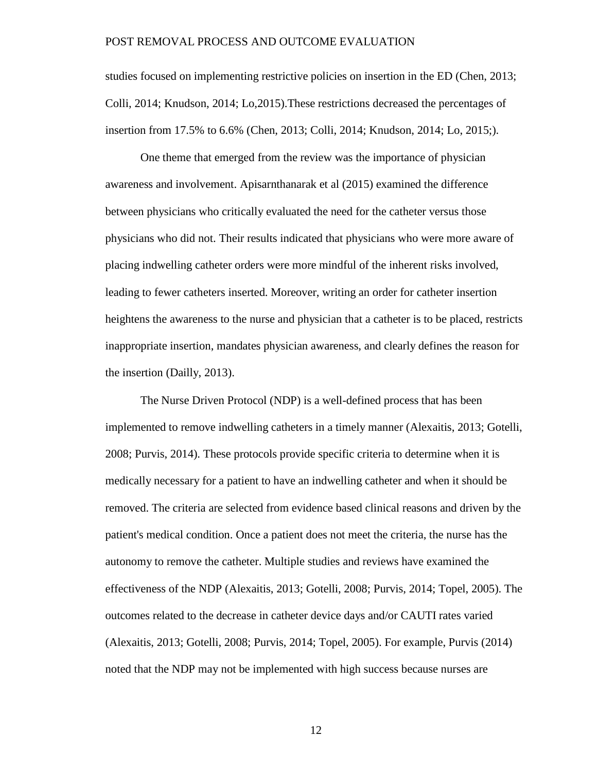studies focused on implementing restrictive policies on insertion in the ED (Chen, 2013; Colli, 2014; Knudson, 2014; Lo,2015).These restrictions decreased the percentages of insertion from 17.5% to 6.6% (Chen, 2013; Colli, 2014; Knudson, 2014; Lo, 2015;).

One theme that emerged from the review was the importance of physician awareness and involvement. Apisarnthanarak et al (2015) examined the difference between physicians who critically evaluated the need for the catheter versus those physicians who did not. Their results indicated that physicians who were more aware of placing indwelling catheter orders were more mindful of the inherent risks involved, leading to fewer catheters inserted. Moreover, writing an order for catheter insertion heightens the awareness to the nurse and physician that a catheter is to be placed, restricts inappropriate insertion, mandates physician awareness, and clearly defines the reason for the insertion (Dailly, 2013).

The Nurse Driven Protocol (NDP) is a well-defined process that has been implemented to remove indwelling catheters in a timely manner (Alexaitis, 2013; Gotelli, 2008; Purvis, 2014). These protocols provide specific criteria to determine when it is medically necessary for a patient to have an indwelling catheter and when it should be removed. The criteria are selected from evidence based clinical reasons and driven by the patient's medical condition. Once a patient does not meet the criteria, the nurse has the autonomy to remove the catheter. Multiple studies and reviews have examined the effectiveness of the NDP (Alexaitis, 2013; Gotelli, 2008; Purvis, 2014; Topel, 2005). The outcomes related to the decrease in catheter device days and/or CAUTI rates varied (Alexaitis, 2013; Gotelli, 2008; Purvis, 2014; Topel, 2005). For example, Purvis (2014) noted that the NDP may not be implemented with high success because nurses are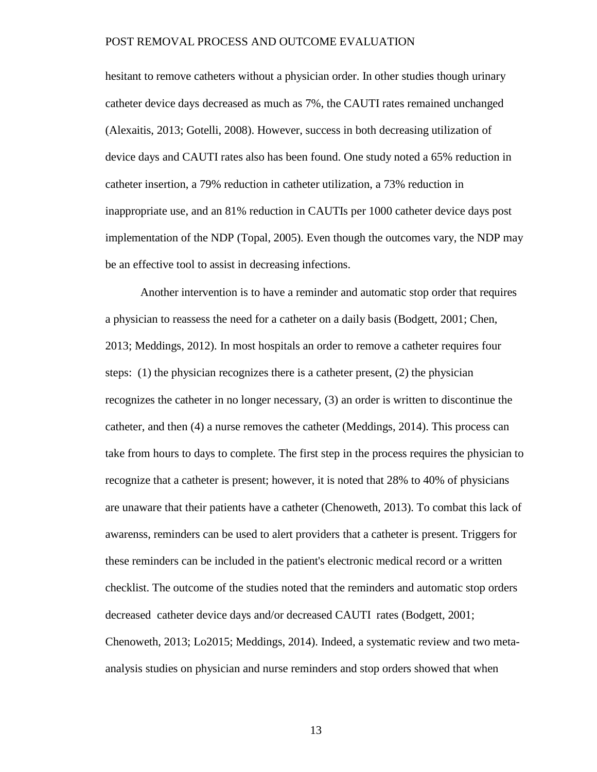hesitant to remove catheters without a physician order. In other studies though urinary catheter device days decreased as much as 7%, the CAUTI rates remained unchanged (Alexaitis, 2013; Gotelli, 2008). However, success in both decreasing utilization of device days and CAUTI rates also has been found. One study noted a 65% reduction in catheter insertion, a 79% reduction in catheter utilization, a 73% reduction in inappropriate use, and an 81% reduction in CAUTIs per 1000 catheter device days post implementation of the NDP (Topal, 2005). Even though the outcomes vary, the NDP may be an effective tool to assist in decreasing infections.

Another intervention is to have a reminder and automatic stop order that requires a physician to reassess the need for a catheter on a daily basis (Bodgett, 2001; Chen, 2013; Meddings, 2012). In most hospitals an order to remove a catheter requires four steps: (1) the physician recognizes there is a catheter present, (2) the physician recognizes the catheter in no longer necessary, (3) an order is written to discontinue the catheter, and then (4) a nurse removes the catheter (Meddings, 2014). This process can take from hours to days to complete. The first step in the process requires the physician to recognize that a catheter is present; however, it is noted that 28% to 40% of physicians are unaware that their patients have a catheter (Chenoweth, 2013). To combat this lack of awarenss, reminders can be used to alert providers that a catheter is present. Triggers for these reminders can be included in the patient's electronic medical record or a written checklist. The outcome of the studies noted that the reminders and automatic stop orders decreased catheter device days and/or decreased CAUTI rates (Bodgett, 2001; Chenoweth, 2013; Lo2015; Meddings, 2014). Indeed, a systematic review and two metaanalysis studies on physician and nurse reminders and stop orders showed that when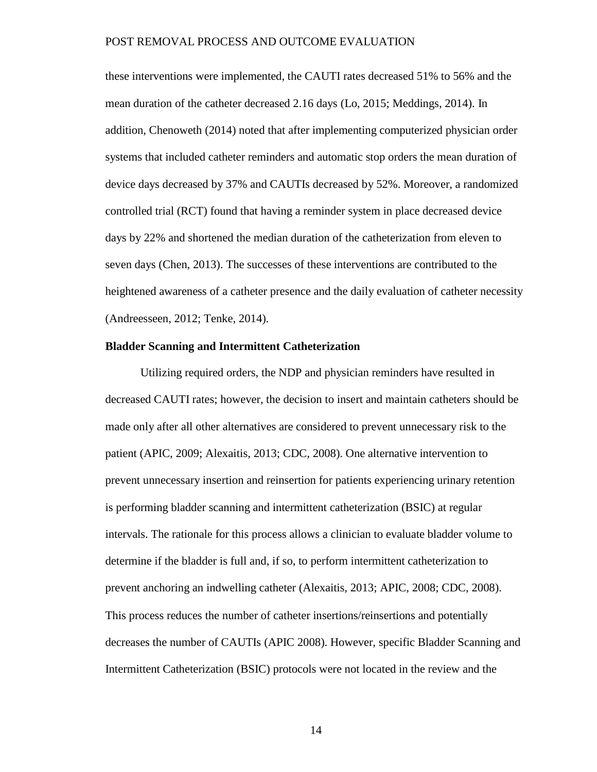these interventions were implemented, the CAUTI rates decreased 51% to 56% and the mean duration of the catheter decreased 2.16 days (Lo, 2015; Meddings, 2014). In addition, Chenoweth (2014) noted that after implementing computerized physician order systems that included catheter reminders and automatic stop orders the mean duration of device days decreased by 37% and CAUTIs decreased by 52%. Moreover, a randomized controlled trial (RCT) found that having a reminder system in place decreased device days by 22% and shortened the median duration of the catheterization from eleven to seven days (Chen, 2013). The successes of these interventions are contributed to the heightened awareness of a catheter presence and the daily evaluation of catheter necessity (Andreesseen, 2012; Tenke, 2014).

#### **Bladder Scanning and Intermittent Catheterization**

Utilizing required orders, the NDP and physician reminders have resulted in decreased CAUTI rates; however, the decision to insert and maintain catheters should be made only after all other alternatives are considered to prevent unnecessary risk to the patient (APIC, 2009; Alexaitis, 2013; CDC, 2008). One alternative intervention to prevent unnecessary insertion and reinsertion for patients experiencing urinary retention is performing bladder scanning and intermittent catheterization (BSIC) at regular intervals. The rationale for this process allows a clinician to evaluate bladder volume to determine if the bladder is full and, if so, to perform intermittent catheterization to prevent anchoring an indwelling catheter (Alexaitis, 2013; APIC, 2008; CDC, 2008). This process reduces the number of catheter insertions/reinsertions and potentially decreases the number of CAUTIs (APIC 2008). However, specific Bladder Scanning and Intermittent Catheterization (BSIC) protocols were not located in the review and the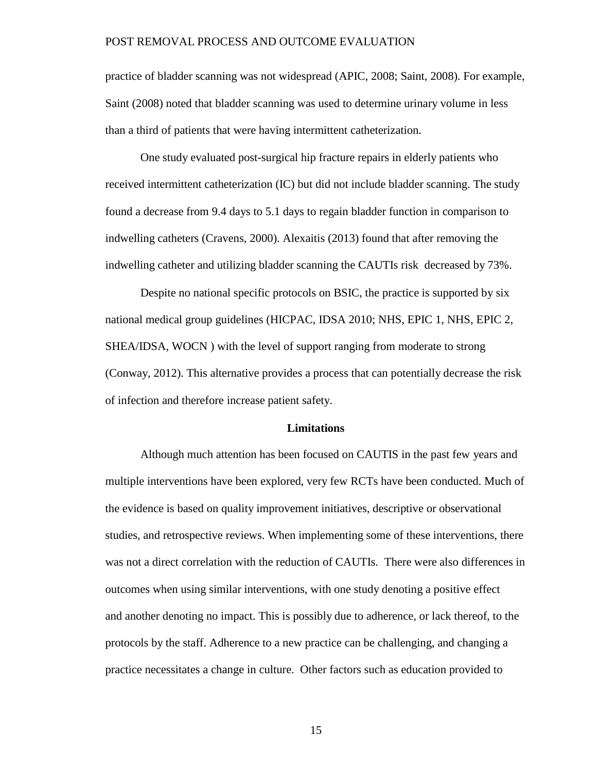practice of bladder scanning was not widespread (APIC, 2008; Saint, 2008). For example, Saint (2008) noted that bladder scanning was used to determine urinary volume in less than a third of patients that were having intermittent catheterization.

One study evaluated post-surgical hip fracture repairs in elderly patients who received intermittent catheterization (IC) but did not include bladder scanning. The study found a decrease from 9.4 days to 5.1 days to regain bladder function in comparison to indwelling catheters (Cravens, 2000). Alexaitis (2013) found that after removing the indwelling catheter and utilizing bladder scanning the CAUTIs risk decreased by 73%.

Despite no national specific protocols on BSIC, the practice is supported by six national medical group guidelines (HICPAC, IDSA 2010; NHS, EPIC 1, NHS, EPIC 2, SHEA/IDSA, WOCN ) with the level of support ranging from moderate to strong (Conway, 2012). This alternative provides a process that can potentially decrease the risk of infection and therefore increase patient safety.

#### **Limitations**

Although much attention has been focused on CAUTIS in the past few years and multiple interventions have been explored, very few RCTs have been conducted. Much of the evidence is based on quality improvement initiatives, descriptive or observational studies, and retrospective reviews. When implementing some of these interventions, there was not a direct correlation with the reduction of CAUTIs. There were also differences in outcomes when using similar interventions, with one study denoting a positive effect and another denoting no impact. This is possibly due to adherence, or lack thereof, to the protocols by the staff. Adherence to a new practice can be challenging, and changing a practice necessitates a change in culture. Other factors such as education provided to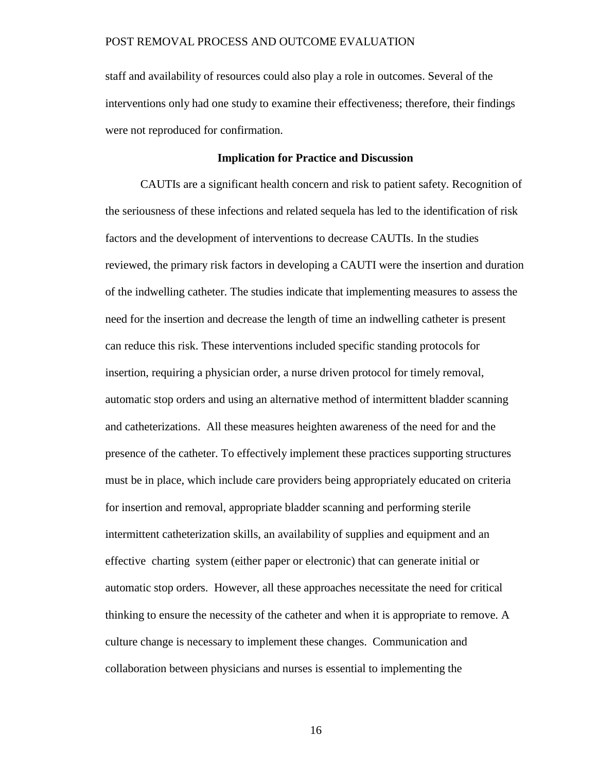staff and availability of resources could also play a role in outcomes. Several of the interventions only had one study to examine their effectiveness; therefore, their findings were not reproduced for confirmation.

### **Implication for Practice and Discussion**

CAUTIs are a significant health concern and risk to patient safety. Recognition of the seriousness of these infections and related sequela has led to the identification of risk factors and the development of interventions to decrease CAUTIs. In the studies reviewed, the primary risk factors in developing a CAUTI were the insertion and duration of the indwelling catheter. The studies indicate that implementing measures to assess the need for the insertion and decrease the length of time an indwelling catheter is present can reduce this risk. These interventions included specific standing protocols for insertion, requiring a physician order, a nurse driven protocol for timely removal, automatic stop orders and using an alternative method of intermittent bladder scanning and catheterizations. All these measures heighten awareness of the need for and the presence of the catheter. To effectively implement these practices supporting structures must be in place, which include care providers being appropriately educated on criteria for insertion and removal, appropriate bladder scanning and performing sterile intermittent catheterization skills, an availability of supplies and equipment and an effective charting system (either paper or electronic) that can generate initial or automatic stop orders. However, all these approaches necessitate the need for critical thinking to ensure the necessity of the catheter and when it is appropriate to remove. A culture change is necessary to implement these changes. Communication and collaboration between physicians and nurses is essential to implementing the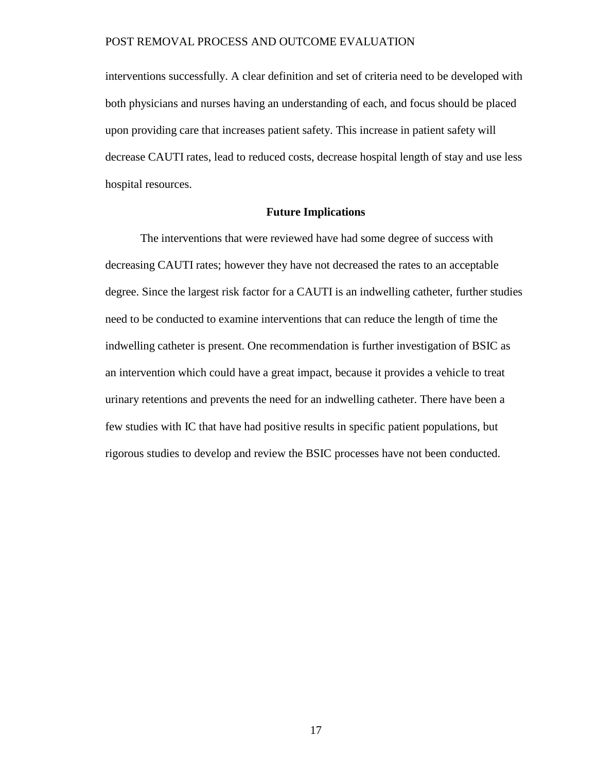interventions successfully. A clear definition and set of criteria need to be developed with both physicians and nurses having an understanding of each, and focus should be placed upon providing care that increases patient safety. This increase in patient safety will decrease CAUTI rates, lead to reduced costs, decrease hospital length of stay and use less hospital resources.

### **Future Implications**

The interventions that were reviewed have had some degree of success with decreasing CAUTI rates; however they have not decreased the rates to an acceptable degree. Since the largest risk factor for a CAUTI is an indwelling catheter, further studies need to be conducted to examine interventions that can reduce the length of time the indwelling catheter is present. One recommendation is further investigation of BSIC as an intervention which could have a great impact, because it provides a vehicle to treat urinary retentions and prevents the need for an indwelling catheter. There have been a few studies with IC that have had positive results in specific patient populations, but rigorous studies to develop and review the BSIC processes have not been conducted.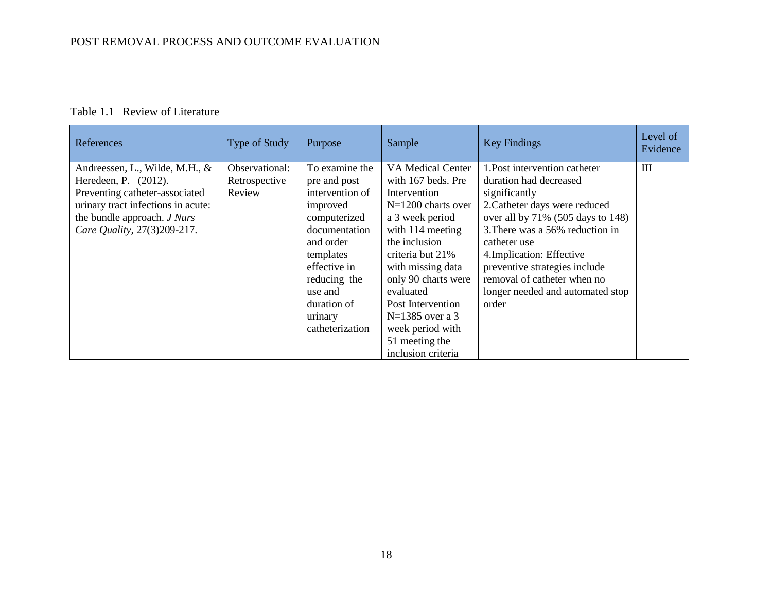### Table 1.1 Review of Literature

<span id="page-23-0"></span>

| References                                                                                                                                                                                   | Type of Study                             | Purpose                                                                                                                                                             | Sample                                                                                                                                                                                                               | <b>Key Findings</b>                                                                                                                                                                                                                                                                                                                | Level of<br>Evidence |
|----------------------------------------------------------------------------------------------------------------------------------------------------------------------------------------------|-------------------------------------------|---------------------------------------------------------------------------------------------------------------------------------------------------------------------|----------------------------------------------------------------------------------------------------------------------------------------------------------------------------------------------------------------------|------------------------------------------------------------------------------------------------------------------------------------------------------------------------------------------------------------------------------------------------------------------------------------------------------------------------------------|----------------------|
| Andreessen, L., Wilde, M.H., &<br>Heredeen, P. (2012).<br>Preventing catheter-associated<br>urinary tract infections in acute:<br>the bundle approach. J Nurs<br>Care Quality, 27(3)209-217. | Observational:<br>Retrospective<br>Review | To examine the<br>pre and post<br>intervention of<br>improved<br>computerized<br>documentation<br>and order<br>templates<br>effective in<br>reducing the<br>use and | VA Medical Center<br>with 167 beds. Pre<br>Intervention<br>$N=1200$ charts over<br>a 3 week period<br>with 114 meeting<br>the inclusion<br>criteria but 21%<br>with missing data<br>only 90 charts were<br>evaluated | 1. Post intervention catheter<br>duration had decreased<br>significantly<br>2. Catheter days were reduced<br>over all by 71% (505 days to 148)<br>3. There was a 56% reduction in<br>catheter use<br>4. Implication: Effective<br>preventive strategies include<br>removal of catheter when no<br>longer needed and automated stop | Ш                    |
|                                                                                                                                                                                              |                                           | duration of<br>urinary<br>catheterization                                                                                                                           | Post Intervention<br>$N=1385$ over a 3<br>week period with<br>51 meeting the<br>inclusion criteria                                                                                                                   | order                                                                                                                                                                                                                                                                                                                              |                      |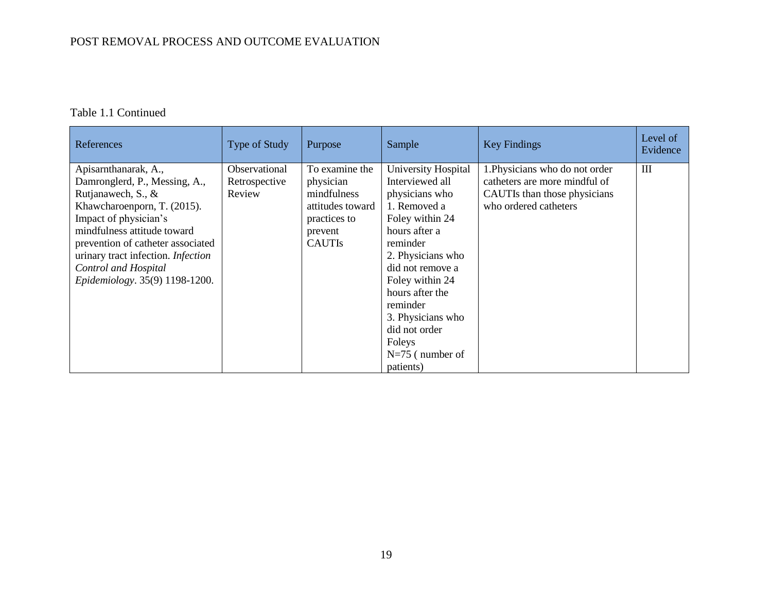| References                                                                                                                                                                                                                                                                                             | <b>Type of Study</b>                     | Purpose                                                                                                    | Sample                                                                                                                                                                               | <b>Key Findings</b>                                                                                                      | Level of<br>Evidence |
|--------------------------------------------------------------------------------------------------------------------------------------------------------------------------------------------------------------------------------------------------------------------------------------------------------|------------------------------------------|------------------------------------------------------------------------------------------------------------|--------------------------------------------------------------------------------------------------------------------------------------------------------------------------------------|--------------------------------------------------------------------------------------------------------------------------|----------------------|
| Apisamthanarak, A.,<br>Damronglerd, P., Messing, A.,<br>Rutjanawech, S., &<br>Khawcharoenporn, T. (2015).<br>Impact of physician's<br>mindfulness attitude toward<br>prevention of catheter associated<br>urinary tract infection. Infection<br>Control and Hospital<br>Epidemiology. 35(9) 1198-1200. | Observational<br>Retrospective<br>Review | To examine the<br>physician<br>mindfulness<br>attitudes toward<br>practices to<br>prevent<br><b>CAUTIS</b> | University Hospital<br>Interviewed all<br>physicians who<br>1. Removed a<br>Foley within 24<br>hours after a<br>reminder<br>2. Physicians who<br>did not remove a<br>Foley within 24 | 1. Physicians who do not order<br>catheters are more mindful of<br>CAUTIs than those physicians<br>who ordered catheters | Ш                    |
|                                                                                                                                                                                                                                                                                                        |                                          |                                                                                                            | hours after the<br>reminder<br>3. Physicians who<br>did not order<br>Foleys<br>$N=75$ (number of<br>patients)                                                                        |                                                                                                                          |                      |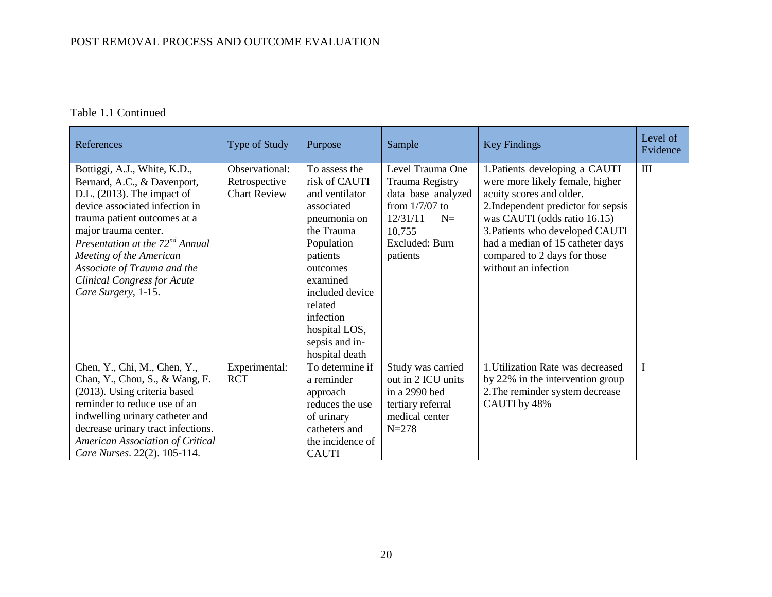| References                                                                                                                                                                                                                                                                                                                                                  | Type of Study                                          | Purpose                                                                                                                                                                                                                                        | Sample                                                                                                                                    | <b>Key Findings</b>                                                                                                                                                                                                                                                                                 | Level of<br>Evidence |
|-------------------------------------------------------------------------------------------------------------------------------------------------------------------------------------------------------------------------------------------------------------------------------------------------------------------------------------------------------------|--------------------------------------------------------|------------------------------------------------------------------------------------------------------------------------------------------------------------------------------------------------------------------------------------------------|-------------------------------------------------------------------------------------------------------------------------------------------|-----------------------------------------------------------------------------------------------------------------------------------------------------------------------------------------------------------------------------------------------------------------------------------------------------|----------------------|
| Bottiggi, A.J., White, K.D.,<br>Bernard, A.C., & Davenport,<br>$D.L.$ (2013). The impact of<br>device associated infection in<br>trauma patient outcomes at a<br>major trauma center.<br>Presentation at the 72 <sup>nd</sup> Annual<br>Meeting of the American<br>Associate of Trauma and the<br><b>Clinical Congress for Acute</b><br>Care Surgery, 1-15. | Observational:<br>Retrospective<br><b>Chart Review</b> | To assess the<br>risk of CAUTI<br>and ventilator<br>associated<br>pneumonia on<br>the Trauma<br>Population<br>patients<br>outcomes<br>examined<br>included device<br>related<br>infection<br>hospital LOS,<br>sepsis and in-<br>hospital death | Level Trauma One<br>Trauma Registry<br>data base analyzed<br>from $1/7/07$ to<br>12/31/11<br>$N=$<br>10,755<br>Excluded: Burn<br>patients | 1. Patients developing a CAUTI<br>were more likely female, higher<br>acuity scores and older.<br>2. Independent predictor for sepsis<br>was CAUTI (odds ratio 16.15)<br>3. Patients who developed CAUTI<br>had a median of 15 catheter days<br>compared to 2 days for those<br>without an infection | $\mathbf{I}$         |
| Chen, Y., Chi, M., Chen, Y.,<br>Chan, Y., Chou, S., & Wang, F.<br>(2013). Using criteria based<br>reminder to reduce use of an<br>indwelling urinary catheter and<br>decrease urinary tract infections.<br>American Association of Critical<br>Care Nurses. 22(2). 105-114.                                                                                 | Experimental:<br><b>RCT</b>                            | To determine if<br>a reminder<br>approach<br>reduces the use<br>of urinary<br>catheters and<br>the incidence of<br><b>CAUTI</b>                                                                                                                | Study was carried<br>out in 2 ICU units<br>in a 2990 bed<br>tertiary referral<br>medical center<br>$N = 278$                              | 1. Utilization Rate was decreased<br>by 22% in the intervention group<br>2. The reminder system decrease<br>CAUTI by 48%                                                                                                                                                                            | I                    |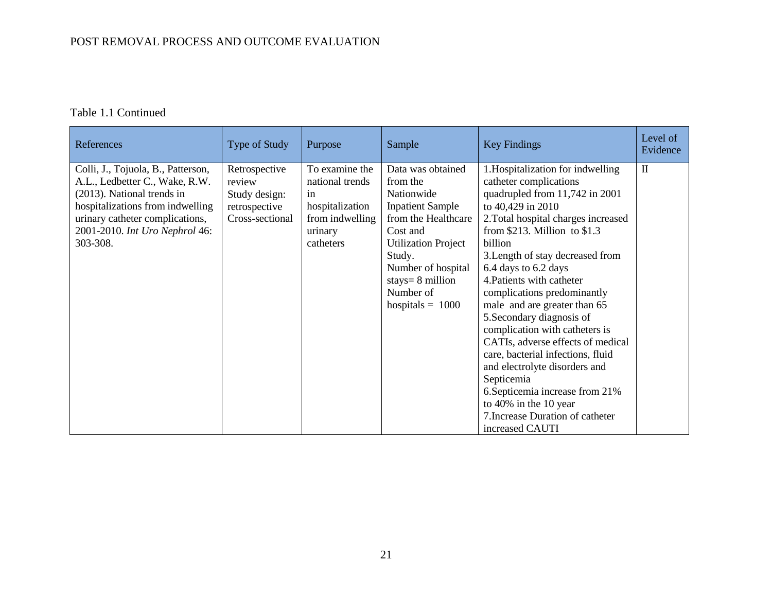| References                                                                                                                                                                                                              | Type of Study                                                                | Purpose                                                                                               | Sample                                                                                                                                                                                                                           | <b>Key Findings</b>                                                                                                                                                                                                                                                                                                                                                                                                                                                                                                                                                                                                                                                        | Level of<br>Evidence |
|-------------------------------------------------------------------------------------------------------------------------------------------------------------------------------------------------------------------------|------------------------------------------------------------------------------|-------------------------------------------------------------------------------------------------------|----------------------------------------------------------------------------------------------------------------------------------------------------------------------------------------------------------------------------------|----------------------------------------------------------------------------------------------------------------------------------------------------------------------------------------------------------------------------------------------------------------------------------------------------------------------------------------------------------------------------------------------------------------------------------------------------------------------------------------------------------------------------------------------------------------------------------------------------------------------------------------------------------------------------|----------------------|
| Colli, J., Tojuola, B., Patterson,<br>A.L., Ledbetter C., Wake, R.W.<br>(2013). National trends in<br>hospitalizations from indwelling<br>urinary catheter complications,<br>2001-2010. Int Uro Nephrol 46:<br>303-308. | Retrospective<br>review<br>Study design:<br>retrospective<br>Cross-sectional | To examine the<br>national trends<br>in<br>hospitalization<br>from indwelling<br>urinary<br>catheters | Data was obtained<br>from the<br>Nationwide<br><b>Inpatient Sample</b><br>from the Healthcare<br>Cost and<br><b>Utilization Project</b><br>Study.<br>Number of hospital<br>stays= $8$ million<br>Number of<br>hospitals $= 1000$ | 1. Hospitalization for indwelling<br>catheter complications<br>quadrupled from 11,742 in 2001<br>to 40,429 in 2010<br>2. Total hospital charges increased<br>from $$213$ . Million to $$1.3$<br>billion<br>3. Length of stay decreased from<br>6.4 days to 6.2 days<br>4. Patients with catheter<br>complications predominantly<br>male and are greater than 65<br>5. Secondary diagnosis of<br>complication with catheters is<br>CATIs, adverse effects of medical<br>care, bacterial infections, fluid<br>and electrolyte disorders and<br>Septicemia<br>6. Septicemia increase from 21%<br>to 40% in the 10 year<br>7. Increase Duration of catheter<br>increased CAUTI | $\mathbf{I}$         |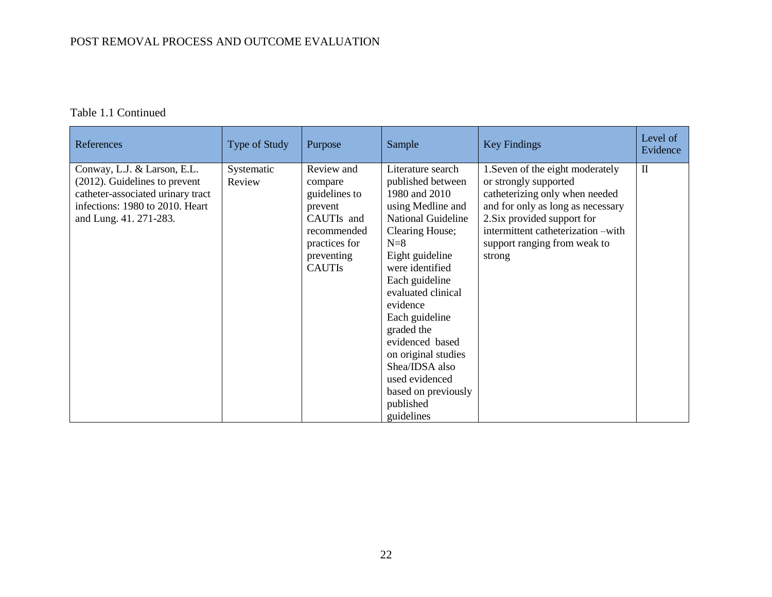| References                                                                                                                                                        | Type of Study        | Purpose                                                                                                                        | Sample                                                                                                                                                                                                                                                                                                                                                                                          | <b>Key Findings</b>                                                                                                                                                                                                                             | Level of<br>Evidence |
|-------------------------------------------------------------------------------------------------------------------------------------------------------------------|----------------------|--------------------------------------------------------------------------------------------------------------------------------|-------------------------------------------------------------------------------------------------------------------------------------------------------------------------------------------------------------------------------------------------------------------------------------------------------------------------------------------------------------------------------------------------|-------------------------------------------------------------------------------------------------------------------------------------------------------------------------------------------------------------------------------------------------|----------------------|
| Conway, L.J. & Larson, E.L.<br>$(2012)$ . Guidelines to prevent<br>catheter-associated urinary tract<br>infections: 1980 to 2010. Heart<br>and Lung. 41. 271-283. | Systematic<br>Review | Review and<br>compare<br>guidelines to<br>prevent<br>CAUTIs and<br>recommended<br>practices for<br>preventing<br><b>CAUTIS</b> | Literature search<br>published between<br>1980 and 2010<br>using Medline and<br><b>National Guideline</b><br>Clearing House;<br>$N=8$<br>Eight guideline<br>were identified<br>Each guideline<br>evaluated clinical<br>evidence<br>Each guideline<br>graded the<br>evidenced based<br>on original studies<br>Shea/IDSA also<br>used evidenced<br>based on previously<br>published<br>guidelines | 1. Seven of the eight moderately<br>or strongly supported<br>catheterizing only when needed<br>and for only as long as necessary<br>2. Six provided support for<br>intermittent catheterization -with<br>support ranging from weak to<br>strong | $\mathbf{I}$         |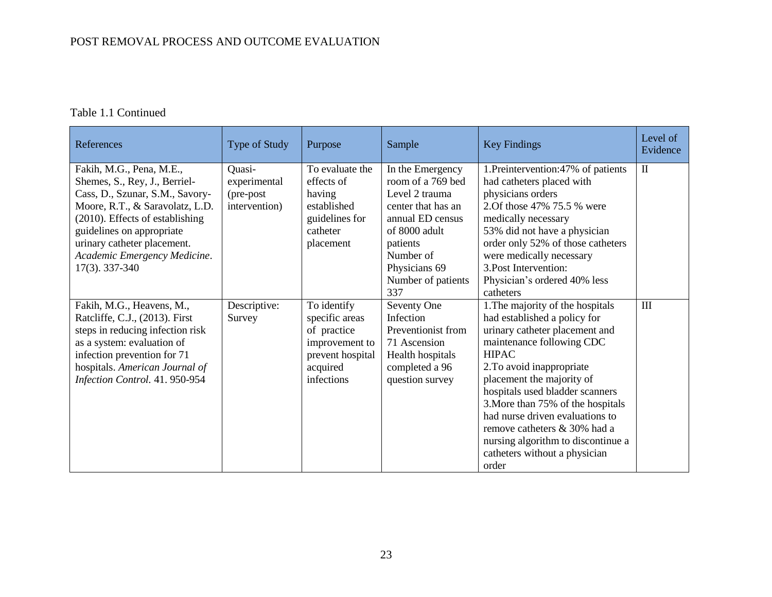| References                                                                                                                                                                                                                                                                       | Type of Study                                        | Purpose                                                                                                      | Sample                                                                                                                                                                                    | <b>Key Findings</b>                                                                                                                                                                                                                                                                                                                                                                                                                  | Level of<br>Evidence |
|----------------------------------------------------------------------------------------------------------------------------------------------------------------------------------------------------------------------------------------------------------------------------------|------------------------------------------------------|--------------------------------------------------------------------------------------------------------------|-------------------------------------------------------------------------------------------------------------------------------------------------------------------------------------------|--------------------------------------------------------------------------------------------------------------------------------------------------------------------------------------------------------------------------------------------------------------------------------------------------------------------------------------------------------------------------------------------------------------------------------------|----------------------|
| Fakih, M.G., Pena, M.E.,<br>Shemes, S., Rey, J., Berriel-<br>Cass, D., Szunar, S.M., Savory-<br>Moore, R.T., & Saravolatz, L.D.<br>(2010). Effects of establishing<br>guidelines on appropriate<br>urinary catheter placement.<br>Academic Emergency Medicine.<br>17(3). 337-340 | Quasi-<br>experimental<br>(pre-post<br>intervention) | To evaluate the<br>effects of<br>having<br>established<br>guidelines for<br>catheter<br>placement            | In the Emergency<br>room of a 769 bed<br>Level 2 trauma<br>center that has an<br>annual ED census<br>of 8000 adult<br>patients<br>Number of<br>Physicians 69<br>Number of patients<br>337 | 1. Preintervention: 47% of patients<br>had catheters placed with<br>physicians orders<br>2. Of those 47% 75.5 % were<br>medically necessary<br>53% did not have a physician<br>order only 52% of those catheters<br>were medically necessary<br>3. Post Intervention:<br>Physician's ordered 40% less<br>catheters                                                                                                                   | $\mathbf{I}$         |
| Fakih, M.G., Heavens, M.,<br>Ratcliffe, C.J., (2013). First<br>steps in reducing infection risk<br>as a system: evaluation of<br>infection prevention for 71<br>hospitals. American Journal of<br>Infection Control. 41. 950-954                                                 | Descriptive:<br>Survey                               | To identify<br>specific areas<br>of practice<br>improvement to<br>prevent hospital<br>acquired<br>infections | Seventy One<br>Infection<br>Preventionist from<br>71 Ascension<br>Health hospitals<br>completed a 96<br>question survey                                                                   | 1. The majority of the hospitals<br>had established a policy for<br>urinary catheter placement and<br>maintenance following CDC<br><b>HIPAC</b><br>2. To avoid inappropriate<br>placement the majority of<br>hospitals used bladder scanners<br>3. More than 75% of the hospitals<br>had nurse driven evaluations to<br>remove catheters & 30% had a<br>nursing algorithm to discontinue a<br>catheters without a physician<br>order | III                  |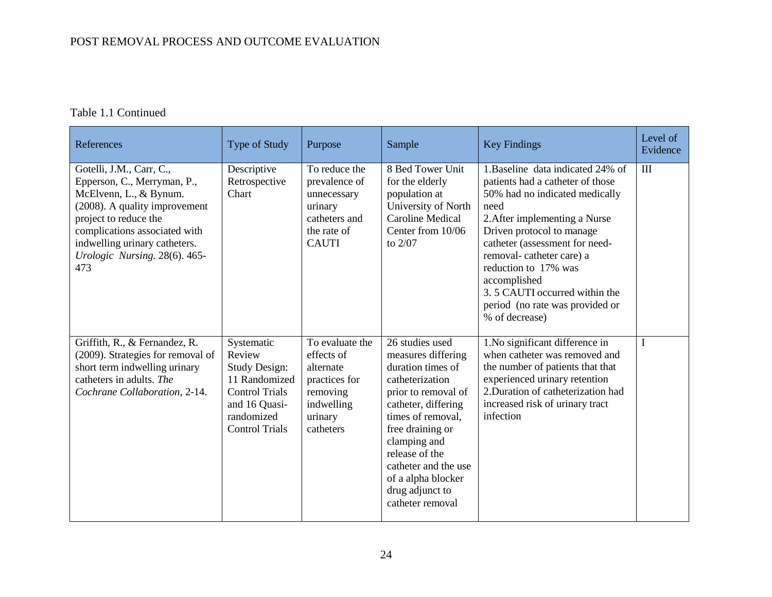| References                                                                                                                                                                                                                                            | <b>Type of Study</b>                                                                                                                           | Purpose                                                                                                       | Sample                                                                                                                                                                                                                                                                                      | <b>Key Findings</b>                                                                                                                                                                                                                                                                                                                                                       | Level of<br>Evidence |
|-------------------------------------------------------------------------------------------------------------------------------------------------------------------------------------------------------------------------------------------------------|------------------------------------------------------------------------------------------------------------------------------------------------|---------------------------------------------------------------------------------------------------------------|---------------------------------------------------------------------------------------------------------------------------------------------------------------------------------------------------------------------------------------------------------------------------------------------|---------------------------------------------------------------------------------------------------------------------------------------------------------------------------------------------------------------------------------------------------------------------------------------------------------------------------------------------------------------------------|----------------------|
| Gotelli, J.M., Carr, C.,<br>Epperson, C., Merryman, P.,<br>McElvenn, L., & Bynum.<br>(2008). A quality improvement<br>project to reduce the<br>complications associated with<br>indwelling urinary catheters.<br>Urologic Nursing. 28(6). 465-<br>473 | Descriptive<br>Retrospective<br>Chart                                                                                                          | To reduce the<br>prevalence of<br>unnecessary<br>urinary<br>catheters and<br>the rate of<br><b>CAUTI</b>      | 8 Bed Tower Unit<br>for the elderly<br>population at<br>University of North<br><b>Caroline Medical</b><br>Center from 10/06<br>to $2/07$                                                                                                                                                    | 1. Baseline data indicated 24% of<br>patients had a catheter of those<br>50% had no indicated medically<br>need<br>2. After implementing a Nurse<br>Driven protocol to manage<br>catheter (assessment for need-<br>removal-catheter care) a<br>reduction to 17% was<br>accomplished<br>3.5 CAUTI occurred within the<br>period (no rate was provided or<br>% of decrease) | Ш                    |
| Griffith, R., & Fernandez, R.<br>(2009). Strategies for removal of<br>short term indwelling urinary<br>catheters in adults. The<br>Cochrane Collaboration, 2-14.                                                                                      | Systematic<br>Review<br><b>Study Design:</b><br>11 Randomized<br><b>Control Trials</b><br>and 16 Quasi-<br>randomized<br><b>Control Trials</b> | To evaluate the<br>effects of<br>alternate<br>practices for<br>removing<br>indwelling<br>urinary<br>catheters | 26 studies used<br>measures differing<br>duration times of<br>catheterization<br>prior to removal of<br>catheter, differing<br>times of removal,<br>free draining or<br>clamping and<br>release of the<br>catheter and the use<br>of a alpha blocker<br>drug adjunct to<br>catheter removal | 1. No significant difference in<br>when catheter was removed and<br>the number of patients that that<br>experienced urinary retention<br>2. Duration of catheterization had<br>increased risk of urinary tract<br>infection                                                                                                                                               | I                    |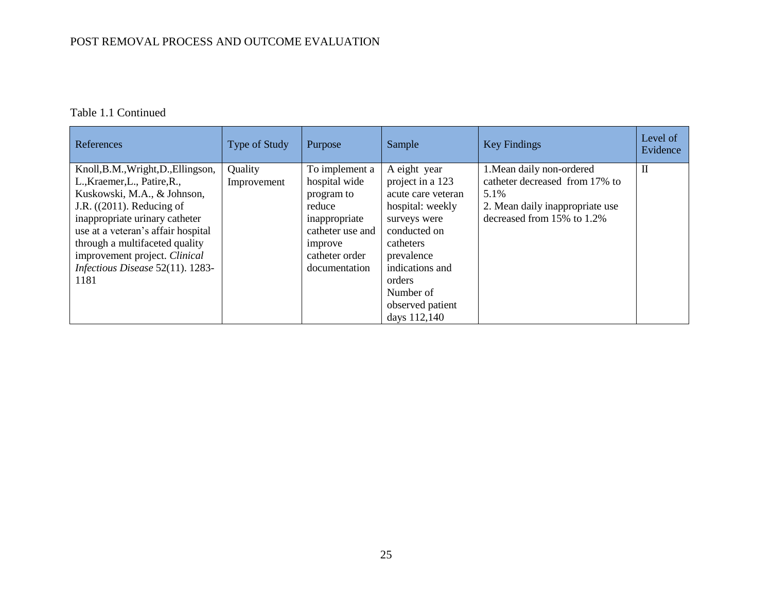| References                                                                                                                                                                                                                                                                                                        | <b>Type of Study</b>   | Purpose                                                                                                                                    | Sample                                                                                                                                                   | <b>Key Findings</b>                                                                                                                  | Level of<br>Evidence |
|-------------------------------------------------------------------------------------------------------------------------------------------------------------------------------------------------------------------------------------------------------------------------------------------------------------------|------------------------|--------------------------------------------------------------------------------------------------------------------------------------------|----------------------------------------------------------------------------------------------------------------------------------------------------------|--------------------------------------------------------------------------------------------------------------------------------------|----------------------|
| Knoll, B.M., Wright, D., Ellingson,<br>L., Kraemer, L., Patire, R.,<br>Kuskowski, M.A., & Johnson,<br>J.R. $((2011)$ . Reducing of<br>inappropriate urinary catheter<br>use at a veteran's affair hospital<br>through a multifaceted quality<br>improvement project. Clinical<br>Infectious Disease 52(11). 1283- | Quality<br>Improvement | To implement a<br>hospital wide<br>program to<br>reduce<br>inappropriate<br>catheter use and<br>improve<br>catheter order<br>documentation | A eight year<br>project in a 123<br>acute care veteran<br>hospital: weekly<br>surveys were<br>conducted on<br>catheters<br>prevalence<br>indications and | 1. Mean daily non-ordered<br>catheter decreased from 17% to<br>5.1%<br>2. Mean daily inappropriate use<br>decreased from 15% to 1.2% | $\mathbf{I}$         |
| 1181                                                                                                                                                                                                                                                                                                              |                        |                                                                                                                                            | orders<br>Number of<br>observed patient<br>days 112,140                                                                                                  |                                                                                                                                      |                      |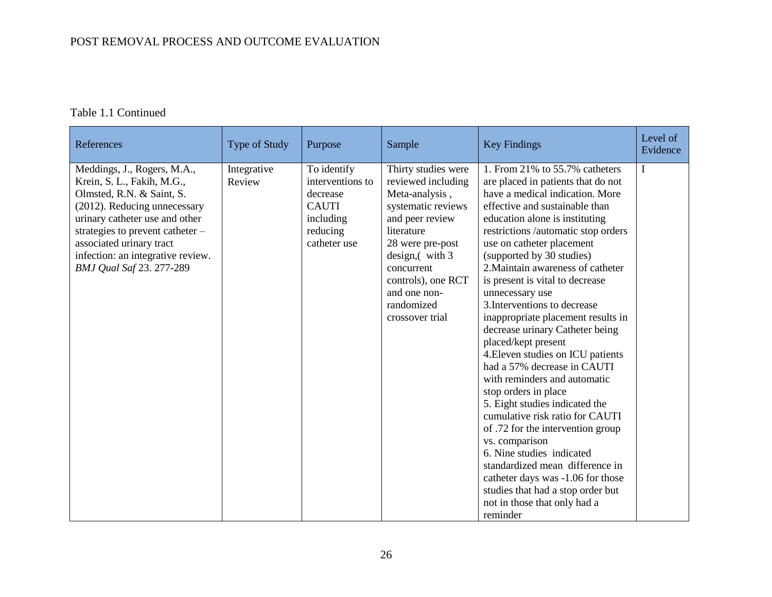| References                                                                                                                                                                                                                                                                                         | Type of Study         | Purpose                                                                                              | Sample                                                                                                                                                                                                                                          | <b>Key Findings</b>                                                                                                                                                                                                                                                                                                                                                                                                                                                                                                                                                                                                                                                                                                                                                                                                                                                                                                                                   | Level of<br>Evidence |
|----------------------------------------------------------------------------------------------------------------------------------------------------------------------------------------------------------------------------------------------------------------------------------------------------|-----------------------|------------------------------------------------------------------------------------------------------|-------------------------------------------------------------------------------------------------------------------------------------------------------------------------------------------------------------------------------------------------|-------------------------------------------------------------------------------------------------------------------------------------------------------------------------------------------------------------------------------------------------------------------------------------------------------------------------------------------------------------------------------------------------------------------------------------------------------------------------------------------------------------------------------------------------------------------------------------------------------------------------------------------------------------------------------------------------------------------------------------------------------------------------------------------------------------------------------------------------------------------------------------------------------------------------------------------------------|----------------------|
| Meddings, J., Rogers, M.A.,<br>Krein, S. L., Fakih, M.G.,<br>Olmsted, R.N. & Saint, S.<br>(2012). Reducing unnecessary<br>urinary catheter use and other<br>strategies to prevent catheter $-$<br>associated urinary tract<br>infection: an integrative review.<br><b>BMJ Qual Saf 23. 277-289</b> | Integrative<br>Review | To identify<br>interventions to<br>decrease<br><b>CAUTI</b><br>including<br>reducing<br>catheter use | Thirty studies were<br>reviewed including<br>Meta-analysis,<br>systematic reviews<br>and peer review<br>literature<br>28 were pre-post<br>design, (with 3)<br>concurrent<br>controls), one RCT<br>and one non-<br>randomized<br>crossover trial | 1. From 21% to 55.7% catheters<br>are placed in patients that do not<br>have a medical indication. More<br>effective and sustainable than<br>education alone is instituting<br>restrictions /automatic stop orders<br>use on catheter placement<br>(supported by 30 studies)<br>2. Maintain awareness of catheter<br>is present is vital to decrease<br>unnecessary use<br>3. Interventions to decrease<br>inappropriate placement results in<br>decrease urinary Catheter being<br>placed/kept present<br>4. Eleven studies on ICU patients<br>had a 57% decrease in CAUTI<br>with reminders and automatic<br>stop orders in place<br>5. Eight studies indicated the<br>cumulative risk ratio for CAUTI<br>of .72 for the intervention group<br>vs. comparison<br>6. Nine studies indicated<br>standardized mean difference in<br>catheter days was -1.06 for those<br>studies that had a stop order but<br>not in those that only had a<br>reminder | I                    |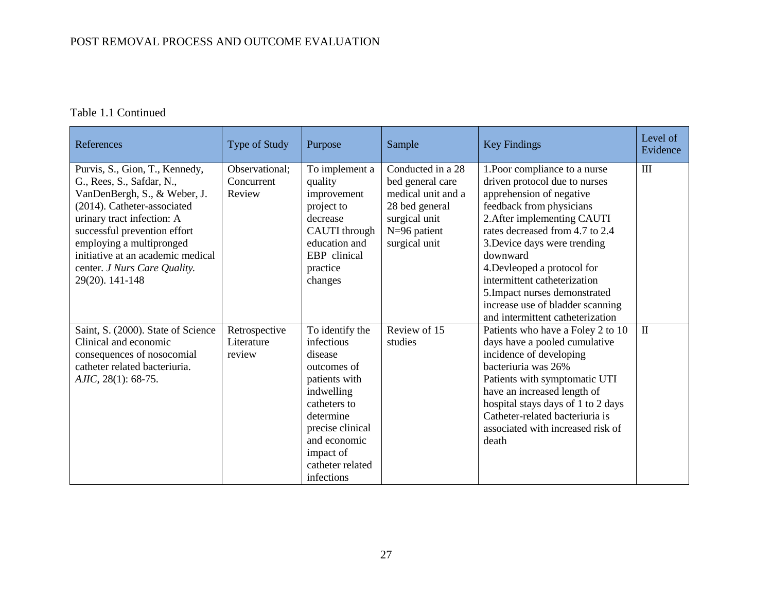| References                                                                                                                                                                                                                                                                                                   | Type of Study                          | Purpose                                                                                                                                                                                                | Sample                                                                                                                            | <b>Key Findings</b>                                                                                                                                                                                                                                                                                                                                                                                          | Level of<br>Evidence |
|--------------------------------------------------------------------------------------------------------------------------------------------------------------------------------------------------------------------------------------------------------------------------------------------------------------|----------------------------------------|--------------------------------------------------------------------------------------------------------------------------------------------------------------------------------------------------------|-----------------------------------------------------------------------------------------------------------------------------------|--------------------------------------------------------------------------------------------------------------------------------------------------------------------------------------------------------------------------------------------------------------------------------------------------------------------------------------------------------------------------------------------------------------|----------------------|
| Purvis, S., Gion, T., Kennedy,<br>G., Rees, S., Safdar, N.,<br>VanDenBergh, S., & Weber, J.<br>(2014). Catheter-associated<br>urinary tract infection: A<br>successful prevention effort<br>employing a multipronged<br>initiative at an academic medical<br>center. J Nurs Care Quality.<br>29(20). 141-148 | Observational:<br>Concurrent<br>Review | To implement a<br>quality<br>improvement<br>project to<br>decrease<br>CAUTI through<br>education and<br>EBP clinical<br>practice<br>changes                                                            | Conducted in a 28<br>bed general care<br>medical unit and a<br>28 bed general<br>surgical unit<br>$N=96$ patient<br>surgical unit | 1. Poor compliance to a nurse<br>driven protocol due to nurses<br>apprehension of negative<br>feedback from physicians<br>2. After implementing CAUTI<br>rates decreased from 4.7 to 2.4<br>3. Device days were trending<br>downward<br>4. Devleoped a protocol for<br>intermittent catheterization<br>5. Impact nurses demonstrated<br>increase use of bladder scanning<br>and intermittent catheterization | III                  |
| Saint, S. (2000). State of Science<br>Clinical and economic<br>consequences of nosocomial<br>catheter related bacteriuria.<br>$AIIC$ , 28(1): 68-75.                                                                                                                                                         | Retrospective<br>Literature<br>review  | To identify the<br>infectious<br>disease<br>outcomes of<br>patients with<br>indwelling<br>catheters to<br>determine<br>precise clinical<br>and economic<br>impact of<br>catheter related<br>infections | Review of 15<br>studies                                                                                                           | Patients who have a Foley 2 to 10<br>days have a pooled cumulative<br>incidence of developing<br>bacteriuria was 26%<br>Patients with symptomatic UTI<br>have an increased length of<br>hospital stays days of 1 to 2 days<br>Catheter-related bacteriuria is<br>associated with increased risk of<br>death                                                                                                  | $\mathbf{I}$         |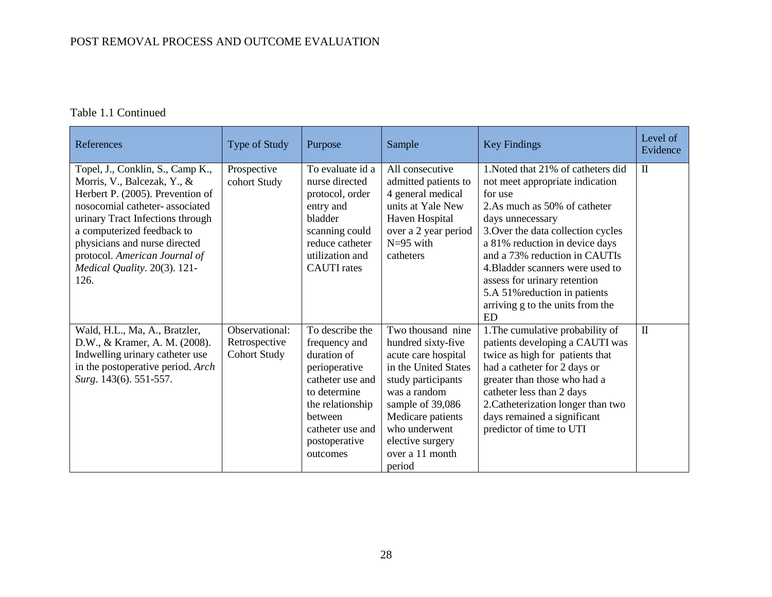| References                                                                                                                                                                                                                                                                                                        | Type of Study                                          | Purpose                                                                                                                                                                              | Sample                                                                                                                                                                                                                                  | <b>Key Findings</b>                                                                                                                                                                                                                                                                                                                                                                                 | Level of<br>Evidence |
|-------------------------------------------------------------------------------------------------------------------------------------------------------------------------------------------------------------------------------------------------------------------------------------------------------------------|--------------------------------------------------------|--------------------------------------------------------------------------------------------------------------------------------------------------------------------------------------|-----------------------------------------------------------------------------------------------------------------------------------------------------------------------------------------------------------------------------------------|-----------------------------------------------------------------------------------------------------------------------------------------------------------------------------------------------------------------------------------------------------------------------------------------------------------------------------------------------------------------------------------------------------|----------------------|
| Topel, J., Conklin, S., Camp K.,<br>Morris, V., Balcezak, Y., &<br>Herbert P. (2005). Prevention of<br>nosocomial catheter-associated<br>urinary Tract Infections through<br>a computerized feedback to<br>physicians and nurse directed<br>protocol. American Journal of<br>Medical Quality. 20(3). 121-<br>126. | Prospective<br>cohort Study                            | To evaluate id a<br>nurse directed<br>protocol, order<br>entry and<br>bladder<br>scanning could<br>reduce catheter<br>utilization and<br><b>CAUTI</b> rates                          | All consecutive<br>admitted patients to<br>4 general medical<br>units at Yale New<br>Haven Hospital<br>over a 2 year period<br>$N=95$ with<br>catheters                                                                                 | 1. Noted that 21% of catheters did<br>not meet appropriate indication<br>for use<br>2.As much as 50% of catheter<br>days unnecessary<br>3. Over the data collection cycles<br>a 81% reduction in device days<br>and a 73% reduction in CAUTIs<br>4. Bladder scanners were used to<br>assess for urinary retention<br>5.A 51% reduction in patients<br>arriving g to the units from the<br><b>ED</b> | $\mathbf{I}$         |
| Wald, H.L., Ma, A., Bratzler,<br>D.W., & Kramer, A. M. (2008).<br>Indwelling urinary catheter use<br>in the postoperative period. Arch<br>Surg. 143(6). 551-557.                                                                                                                                                  | Observational:<br>Retrospective<br><b>Cohort Study</b> | To describe the<br>frequency and<br>duration of<br>perioperative<br>catheter use and<br>to determine<br>the relationship<br>between<br>catheter use and<br>postoperative<br>outcomes | Two thousand nine<br>hundred sixty-five<br>acute care hospital<br>in the United States<br>study participants<br>was a random<br>sample of 39,086<br>Medicare patients<br>who underwent<br>elective surgery<br>over a 11 month<br>period | 1. The cumulative probability of<br>patients developing a CAUTI was<br>twice as high for patients that<br>had a catheter for 2 days or<br>greater than those who had a<br>catheter less than 2 days<br>2. Catheterization longer than two<br>days remained a significant<br>predictor of time to UTI                                                                                                | $\mathbf{I}$         |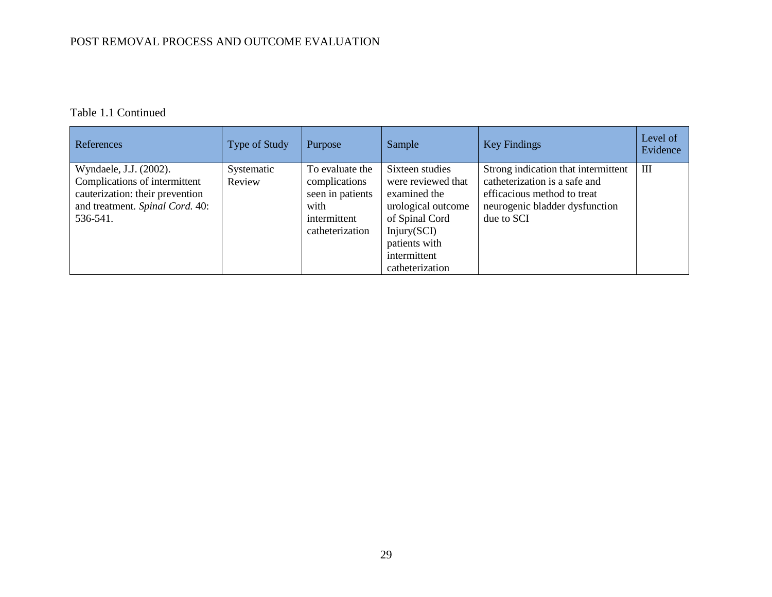| References                                                                                                                                | Type of Study        | Purpose                                                                                         | Sample                                                                                                                                                           | <b>Key Findings</b>                                                                                                                                 | Level of<br>Evidence |
|-------------------------------------------------------------------------------------------------------------------------------------------|----------------------|-------------------------------------------------------------------------------------------------|------------------------------------------------------------------------------------------------------------------------------------------------------------------|-----------------------------------------------------------------------------------------------------------------------------------------------------|----------------------|
| Wyndaele, J.J. (2002).<br>Complications of intermittent<br>cauterization: their prevention<br>and treatment. Spinal Cord. 40:<br>536-541. | Systematic<br>Review | To evaluate the<br>complications<br>seen in patients<br>with<br>intermittent<br>catheterization | Sixteen studies<br>were reviewed that<br>examined the<br>urological outcome<br>of Spinal Cord<br>Injury(SCI)<br>patients with<br>intermittent<br>catheterization | Strong indication that intermittent<br>catheterization is a safe and<br>efficacious method to treat<br>neurogenic bladder dysfunction<br>due to SCI | III                  |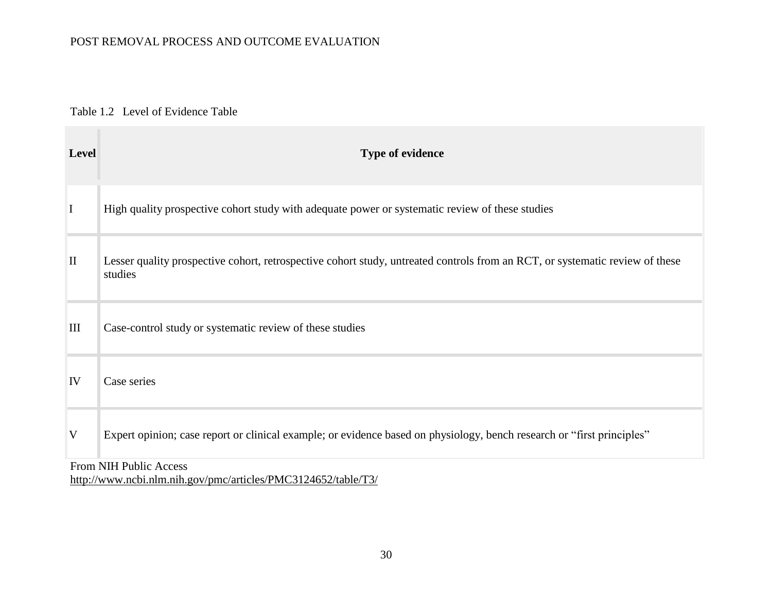### Table 1.2 Level of Evidence Table

<span id="page-35-0"></span>

| <b>Level</b> | Type of evidence                                                                                                                        |
|--------------|-----------------------------------------------------------------------------------------------------------------------------------------|
| $\bf{I}$     | High quality prospective cohort study with adequate power or systematic review of these studies                                         |
| $\mathbf{I}$ | Lesser quality prospective cohort, retrospective cohort study, untreated controls from an RCT, or systematic review of these<br>studies |
| III          | Case-control study or systematic review of these studies                                                                                |
| IV           | Case series                                                                                                                             |
| V            | Expert opinion; case report or clinical example; or evidence based on physiology, bench research or "first principles"                  |
|              | From NIH Public Access<br>http://www.ncbi.nlm.nih.gov/pmc/articles/PMC3124652/table/T3/                                                 |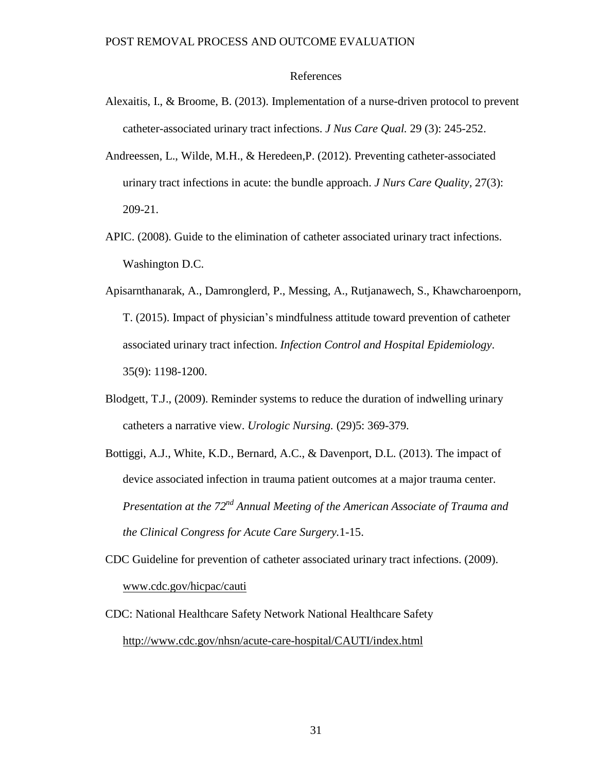# References

- Alexaitis, I., & Broome, B. (2013). Implementation of a nurse-driven protocol to prevent catheter-associated urinary tract infections. *J Nus Care Qual.* 29 (3): 245-252.
- Andreessen, L., Wilde, M.H., & Heredeen,P. (2012). Preventing catheter-associated urinary tract infections in acute: the bundle approach. *J Nurs Care Quality,* 27(3): 209-21.
- APIC. (2008). Guide to the elimination of catheter associated urinary tract infections. Washington D.C.
- Apisarnthanarak, A., Damronglerd, P., Messing, A., Rutjanawech, S., Khawcharoenporn, T. (2015). Impact of physician's mindfulness attitude toward prevention of catheter associated urinary tract infection. *Infection Control and Hospital Epidemiology*. 35(9): 1198-1200.
- Blodgett, T.J., (2009). Reminder systems to reduce the duration of indwelling urinary catheters a narrative view. *Urologic Nursing.* (29)5: 369-379.
- Bottiggi, A.J., White, K.D., Bernard, A.C., & Davenport, D.L. (2013). The impact of device associated infection in trauma patient outcomes at a major trauma center. *Presentation at the 72nd Annual Meeting of the American Associate of Trauma and the Clinical Congress for Acute Care Surgery.*1-15.
- CDC Guideline for prevention of catheter associated urinary tract infections. (2009). [www.cdc.gov/hicpac/cauti](http://www.cdc.gov/hicpac/cauti)
- CDC: National Healthcare Safety Network National Healthcare Safety <http://www.cdc.gov/nhsn/acute-care-hospital/CAUTI/index.html>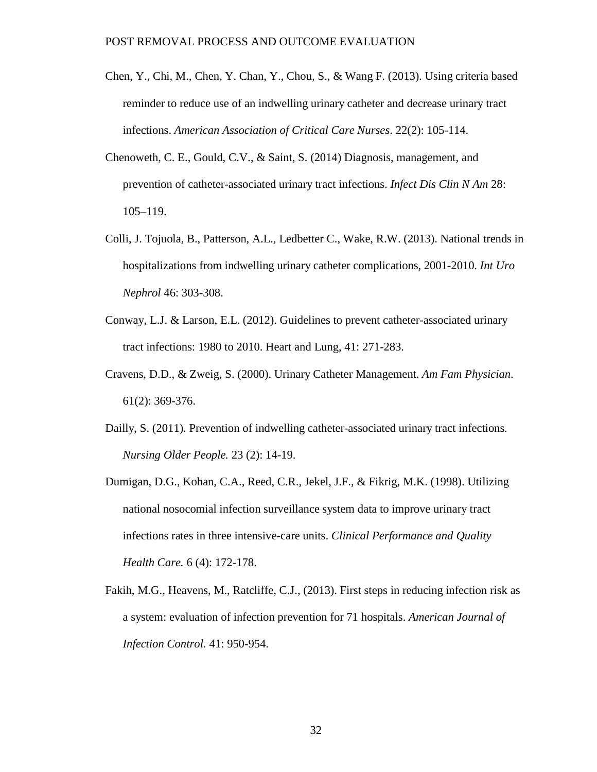- Chen, Y., Chi, M., Chen, Y. Chan, Y., Chou, S., & Wang F. (2013). Using criteria based reminder to reduce use of an indwelling urinary catheter and decrease urinary tract infections. *American Association of Critical Care Nurses*. 22(2): 105-114.
- Chenoweth, C. E., Gould, C.V., & Saint, S. (2014) Diagnosis, management, and prevention of catheter-associated urinary tract infections. *Infect Dis Clin N Am* 28: 105–119.
- Colli, J. Tojuola, B., Patterson, A.L., Ledbetter C., Wake, R.W. (2013). National trends in hospitalizations from indwelling urinary catheter complications, 2001-2010. *Int Uro Nephrol* 46: 303-308.
- Conway, L.J. & Larson, E.L. (2012). Guidelines to prevent catheter-associated urinary tract infections: 1980 to 2010. Heart and Lung, 41: 271-283.
- Cravens, D.D., & Zweig, S. (2000). Urinary Catheter Management. *Am Fam Physician*. 61(2): 369-376.
- Dailly, S. (2011). Prevention of indwelling catheter-associated urinary tract infections. *Nursing Older People.* 23 (2): 14-19.
- Dumigan, D.G., Kohan, C.A., Reed, C.R., Jekel, J.F., & Fikrig, M.K. (1998). Utilizing national nosocomial infection surveillance system data to improve urinary tract infections rates in three intensive-care units. *Clinical Performance and Quality Health Care.* 6 (4): 172-178.
- Fakih, M.G., Heavens, M., Ratcliffe, C.J., (2013). First steps in reducing infection risk as a system: evaluation of infection prevention for 71 hospitals. *American Journal of Infection Control.* 41: 950-954.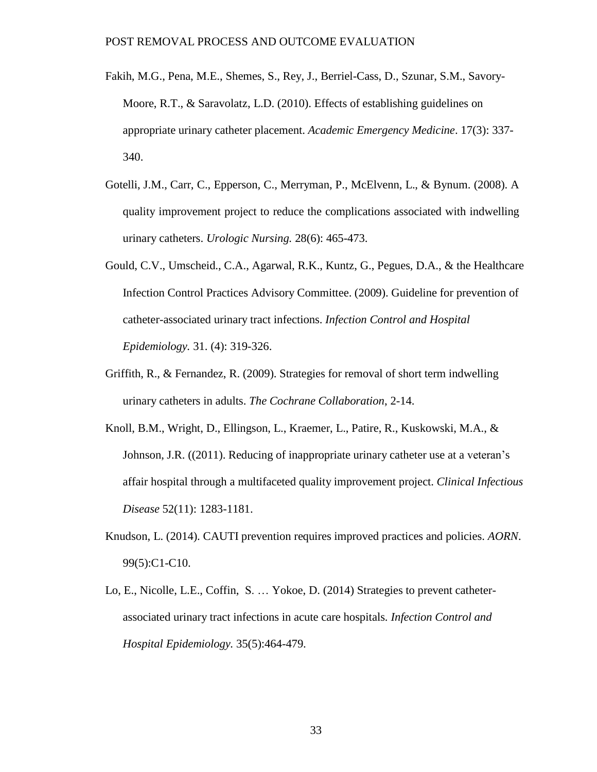- Fakih, M.G., Pena, M.E., Shemes, S., Rey, J., Berriel-Cass, D., Szunar, S.M., Savory-Moore, R.T., & Saravolatz, L.D. (2010). Effects of establishing guidelines on appropriate urinary catheter placement. *Academic Emergency Medicine*. 17(3): 337- 340.
- Gotelli, J.M., Carr, C., Epperson, C., Merryman, P., McElvenn, L., & Bynum. (2008). A quality improvement project to reduce the complications associated with indwelling urinary catheters. *Urologic Nursing.* 28(6): 465-473.
- Gould, C.V., Umscheid., C.A., Agarwal, R.K., Kuntz, G., Pegues, D.A., & the Healthcare Infection Control Practices Advisory Committee. (2009). Guideline for prevention of catheter-associated urinary tract infections. *Infection Control and Hospital Epidemiology.* 31. (4): 319-326.
- Griffith, R., & Fernandez, R. (2009). Strategies for removal of short term indwelling urinary catheters in adults. *The Cochrane Collaboration*, 2-14.
- Knoll, B.M., Wright, D., Ellingson, L., Kraemer, L., Patire, R., Kuskowski, M.A., & Johnson, J.R. ((2011). Reducing of inappropriate urinary catheter use at a veteran's affair hospital through a multifaceted quality improvement project. *Clinical Infectious Disease* 52(11): 1283-1181.
- Knudson, L. (2014). CAUTI prevention requires improved practices and policies. *AORN*. 99(5):C1-C10.
- Lo, E., Nicolle, L.E., Coffin, S. … Yokoe, D. (2014) Strategies to prevent catheterassociated urinary tract infections in acute care hospitals*. Infection Control and Hospital Epidemiology.* 35(5):464-479.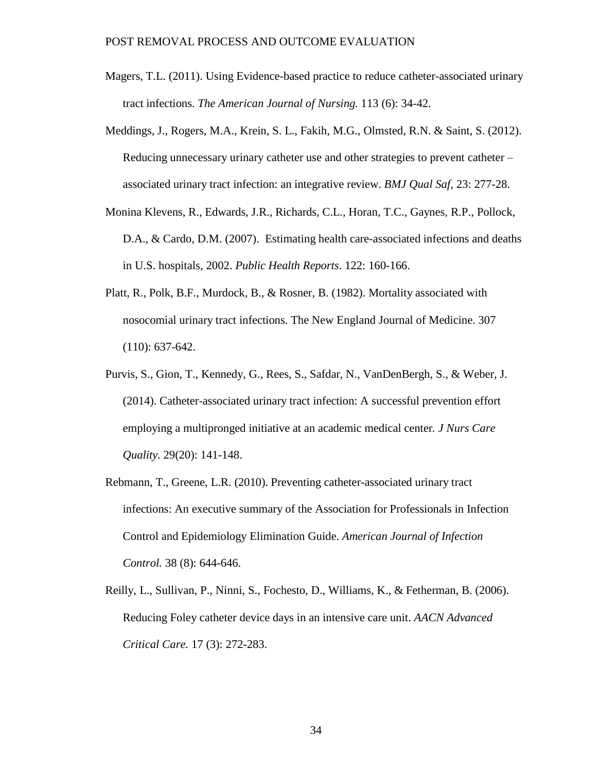- Magers, T.L. (2011). Using Evidence-based practice to reduce catheter-associated urinary tract infections. *The American Journal of Nursing.* 113 (6): 34-42.
- Meddings, J., Rogers, M.A., Krein, S. L., Fakih, M.G., Olmsted, R.N. & Saint, S. (2012). Reducing unnecessary urinary catheter use and other strategies to prevent catheter – associated urinary tract infection: an integrative review. *BMJ Qual Saf,* 23: 277-28.
- Monina Klevens, R., Edwards, J.R., Richards, C.L., Horan, T.C., Gaynes, R.P., Pollock, D.A., & Cardo, D.M. (2007). Estimating health care-associated infections and deaths in U.S. hospitals, 2002. *Public Health Reports*. 122: 160-166.
- Platt, R., Polk, B.F., Murdock, B., & Rosner, B. (1982). Mortality associated with nosocomial urinary tract infections. The New England Journal of Medicine. 307 (110): 637-642.
- Purvis, S., Gion, T., Kennedy, G., Rees, S., Safdar, N., VanDenBergh, S., & Weber, J. (2014). Catheter-associated urinary tract infection: A successful prevention effort employing a multipronged initiative at an academic medical center*. J Nurs Care Quality.* 29(20): 141-148.
- Rebmann, T., Greene, L.R. (2010). Preventing catheter-associated urinary tract infections: An executive summary of the Association for Professionals in Infection Control and Epidemiology Elimination Guide. *American Journal of Infection Control.* 38 (8): 644-646.
- Reilly, L., Sullivan, P., Ninni, S., Fochesto, D., Williams, K., & Fetherman, B. (2006). Reducing Foley catheter device days in an intensive care unit. *AACN Advanced Critical Care.* 17 (3): 272-283.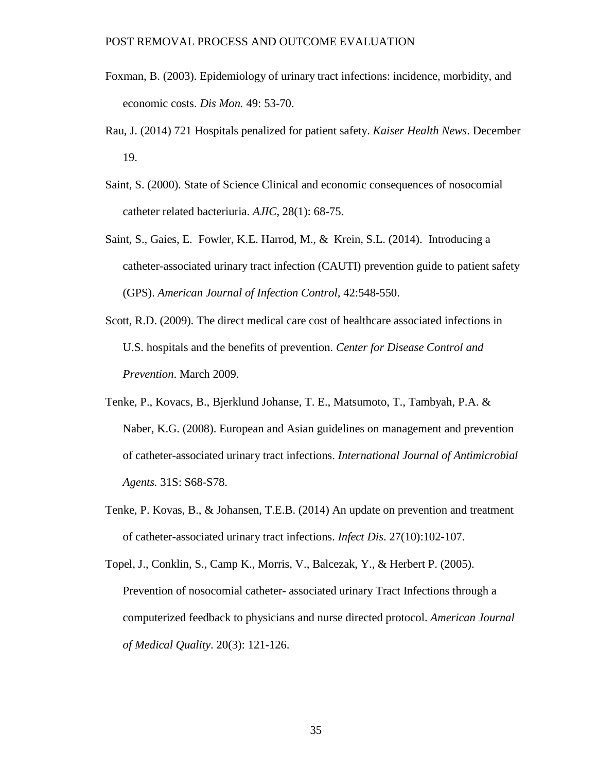- Foxman, B. (2003). Epidemiology of urinary tract infections: incidence, morbidity, and economic costs. *Dis Mon.* 49: 53-70.
- Rau, J. (2014) 721 Hospitals penalized for patient safety. *Kaiser Health News*. December 19.
- Saint, S. (2000). State of Science Clinical and economic consequences of nosocomial catheter related bacteriuria. *AJIC*, 28(1): 68-75.
- Saint, S., Gaies, E. Fowler, K.E. Harrod, M., & Krein, S.L. (2014). Introducing a catheter-associated urinary tract infection (CAUTI) prevention guide to patient safety (GPS). *American Journal of Infection Control,* 42:548-550.
- Scott, R.D. (2009). The direct medical care cost of healthcare associated infections in U.S. hospitals and the benefits of prevention. *Center for Disease Control and Prevention*. March 2009.
- Tenke, P., Kovacs, B., Bjerklund Johanse, T. E., Matsumoto, T., Tambyah, P.A. & Naber, K.G. (2008). European and Asian guidelines on management and prevention of catheter-associated urinary tract infections. *International Journal of Antimicrobial Agents.* 31S: S68-S78.
- Tenke, P. Kovas, B., & Johansen, T.E.B. (2014) An update on prevention and treatment of catheter-associated urinary tract infections. *Infect Dis*. 27(10):102-107.

Topel, J., Conklin, S., Camp K., Morris, V., Balcezak, Y., & Herbert P. (2005). Prevention of nosocomial catheter- associated urinary Tract Infections through a computerized feedback to physicians and nurse directed protocol. *American Journal of Medical Quality*. 20(3): 121-126.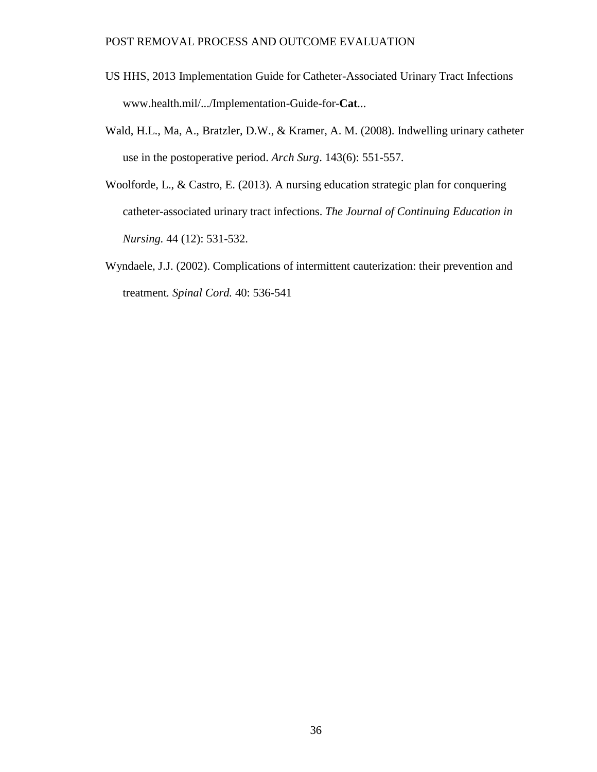- US HHS, 2013 Implementation [Guide for Catheter-Associated](http://www.health.mil/Reference-Center/Technical-Documents/2013/02/14/Implementation-Guide-for-Catheter-Associated-Urinary-Tract-Infection) Urinary Tract Infections [www.health.mil/.../Implementation-Guide-for-](http://www.health.mil/.../Implementation-Guide-for-Cat)**Cat**...
- Wald, H.L., Ma, A., Bratzler, D.W., & Kramer, A. M. (2008). Indwelling urinary catheter use in the postoperative period. *Arch Surg*. 143(6): 551-557.
- Woolforde, L., & Castro, E. (2013). A nursing education strategic plan for conquering catheter-associated urinary tract infections. *The Journal of Continuing Education in Nursing.* 44 (12): 531-532.
- Wyndaele, J.J. (2002). Complications of intermittent cauterization: their prevention and treatment*. Spinal Cord.* 40: 536-541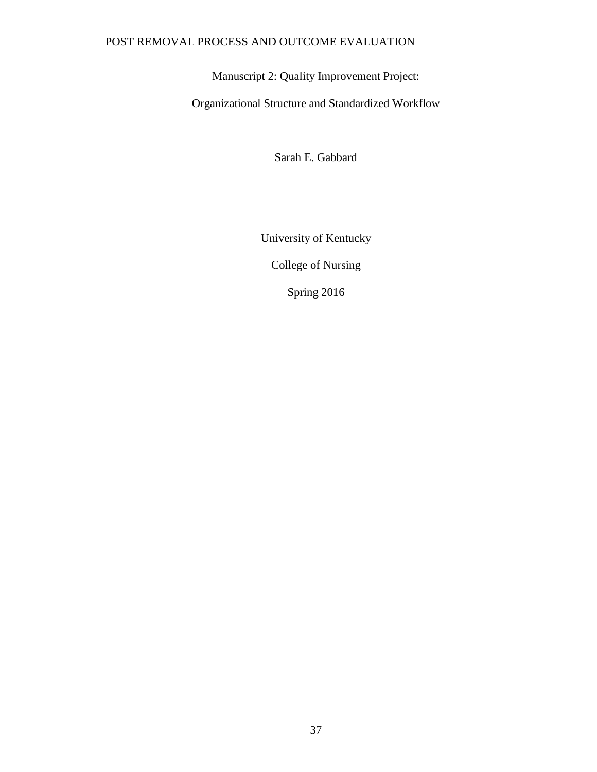Manuscript 2: Quality Improvement Project:

Organizational Structure and Standardized Workflow

Sarah E. Gabbard

University of Kentucky

College of Nursing

Spring 2016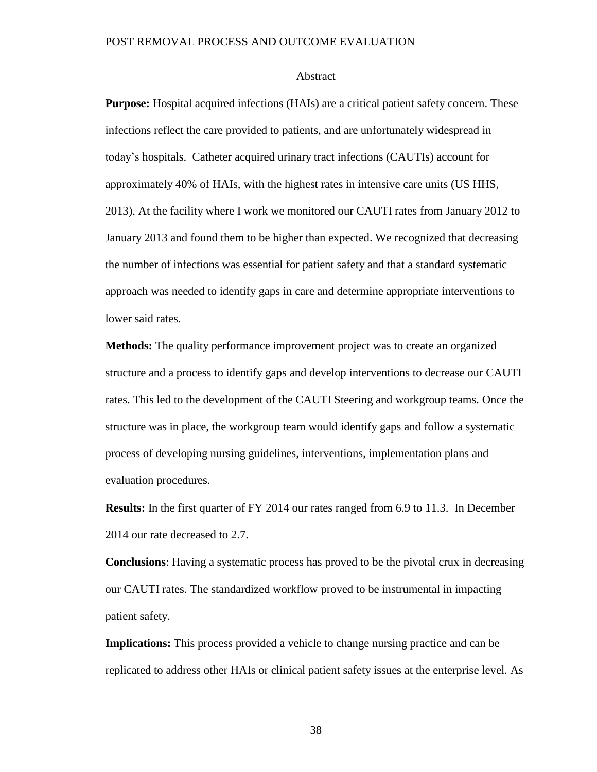#### Abstract

**Purpose:** Hospital acquired infections (HAIs) are a critical patient safety concern. These infections reflect the care provided to patients, and are unfortunately widespread in today's hospitals. Catheter acquired urinary tract infections (CAUTIs) account for approximately 40% of HAIs, with the highest rates in intensive care units (US HHS, 2013). At the facility where I work we monitored our CAUTI rates from January 2012 to January 2013 and found them to be higher than expected. We recognized that decreasing the number of infections was essential for patient safety and that a standard systematic approach was needed to identify gaps in care and determine appropriate interventions to lower said rates.

**Methods:** The quality performance improvement project was to create an organized structure and a process to identify gaps and develop interventions to decrease our CAUTI rates. This led to the development of the CAUTI Steering and workgroup teams. Once the structure was in place, the workgroup team would identify gaps and follow a systematic process of developing nursing guidelines, interventions, implementation plans and evaluation procedures.

**Results:** In the first quarter of FY 2014 our rates ranged from 6.9 to 11.3. In December 2014 our rate decreased to 2.7.

**Conclusions**: Having a systematic process has proved to be the pivotal crux in decreasing our CAUTI rates. The standardized workflow proved to be instrumental in impacting patient safety.

**Implications:** This process provided a vehicle to change nursing practice and can be replicated to address other HAIs or clinical patient safety issues at the enterprise level. As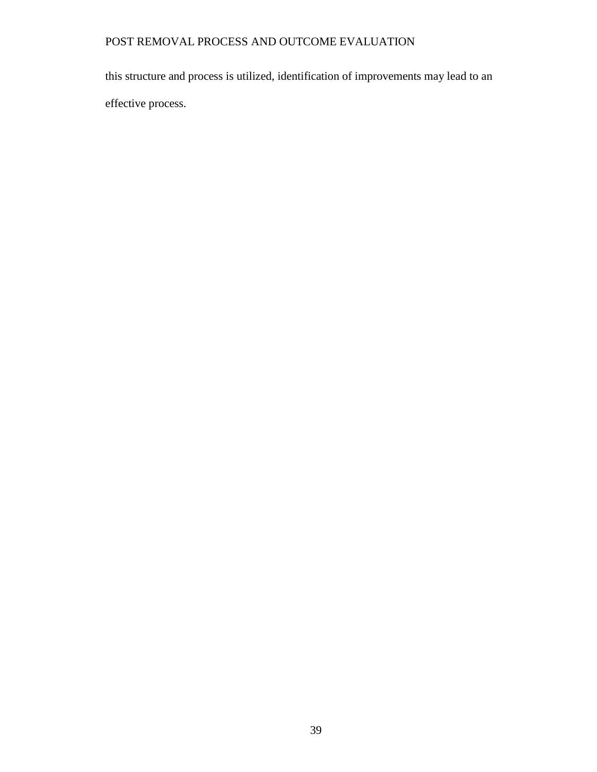this structure and process is utilized, identification of improvements may lead to an effective process.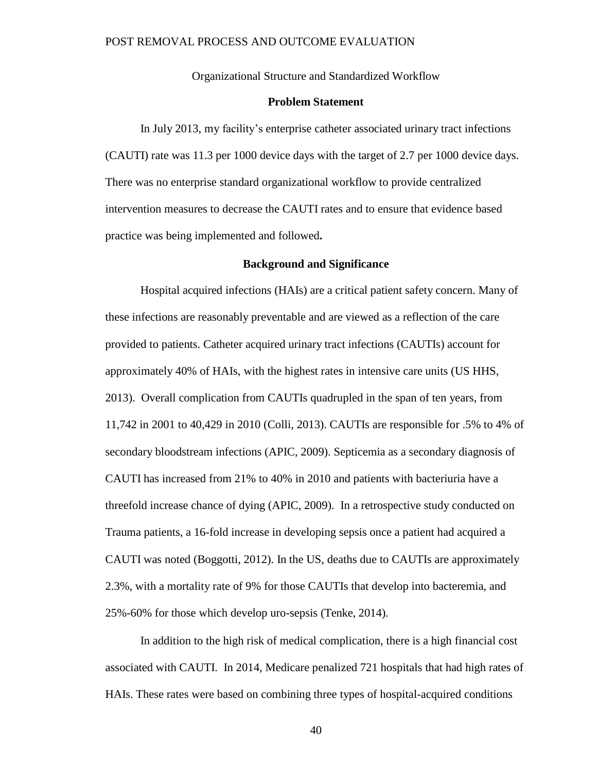Organizational Structure and Standardized Workflow

#### **Problem Statement**

In July 2013, my facility's enterprise catheter associated urinary tract infections (CAUTI) rate was 11.3 per 1000 device days with the target of 2.7 per 1000 device days. There was no enterprise standard organizational workflow to provide centralized intervention measures to decrease the CAUTI rates and to ensure that evidence based practice was being implemented and followed**.**

#### **Background and Significance**

Hospital acquired infections (HAIs) are a critical patient safety concern. Many of these infections are reasonably preventable and are viewed as a reflection of the care provided to patients. Catheter acquired urinary tract infections (CAUTIs) account for approximately 40% of HAIs, with the highest rates in intensive care units (US HHS, 2013). Overall complication from CAUTIs quadrupled in the span of ten years, from 11,742 in 2001 to 40,429 in 2010 (Colli, 2013). CAUTIs are responsible for .5% to 4% of secondary bloodstream infections (APIC, 2009). Septicemia as a secondary diagnosis of CAUTI has increased from 21% to 40% in 2010 and patients with bacteriuria have a threefold increase chance of dying (APIC, 2009). In a retrospective study conducted on Trauma patients, a 16-fold increase in developing sepsis once a patient had acquired a CAUTI was noted (Boggotti, 2012). In the US, deaths due to CAUTIs are approximately 2.3%, with a mortality rate of 9% for those CAUTIs that develop into bacteremia, and 25%-60% for those which develop uro-sepsis (Tenke, 2014).

In addition to the high risk of medical complication, there is a high financial cost associated with CAUTI. In 2014, Medicare penalized 721 hospitals that had high rates of HAIs. These rates were based on combining three types of hospital-acquired conditions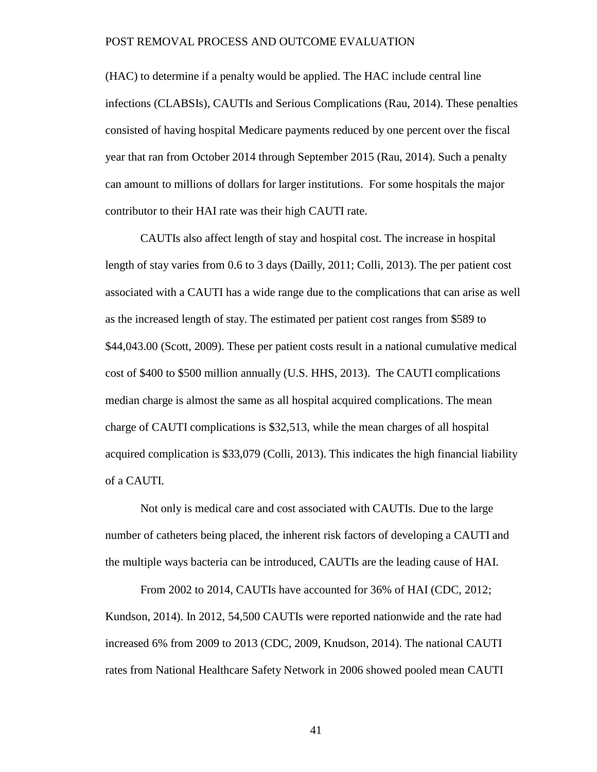(HAC) to determine if a penalty would be applied. The HAC include central line infections (CLABSIs), CAUTIs and Serious Complications (Rau, 2014). These penalties consisted of having hospital Medicare payments reduced by one percent over the fiscal year that ran from October 2014 through September 2015 (Rau, 2014). Such a penalty can amount to millions of dollars for larger institutions. For some hospitals the major contributor to their HAI rate was their high CAUTI rate.

CAUTIs also affect length of stay and hospital cost. The increase in hospital length of stay varies from 0.6 to 3 days (Dailly, 2011; Colli, 2013). The per patient cost associated with a CAUTI has a wide range due to the complications that can arise as well as the increased length of stay. The estimated per patient cost ranges from \$589 to \$44,043.00 (Scott, 2009). These per patient costs result in a national cumulative medical cost of \$400 to \$500 million annually (U.S. HHS, 2013). The CAUTI complications median charge is almost the same as all hospital acquired complications. The mean charge of CAUTI complications is \$32,513, while the mean charges of all hospital acquired complication is \$33,079 (Colli, 2013). This indicates the high financial liability of a CAUTI.

Not only is medical care and cost associated with CAUTIs. Due to the large number of catheters being placed, the inherent risk factors of developing a CAUTI and the multiple ways bacteria can be introduced, CAUTIs are the leading cause of HAI.

From 2002 to 2014, CAUTIs have accounted for 36% of HAI (CDC, 2012; Kundson, 2014). In 2012, 54,500 CAUTIs were reported nationwide and the rate had increased 6% from 2009 to 2013 (CDC, 2009, Knudson, 2014). The national CAUTI rates from National Healthcare Safety Network in 2006 showed pooled mean CAUTI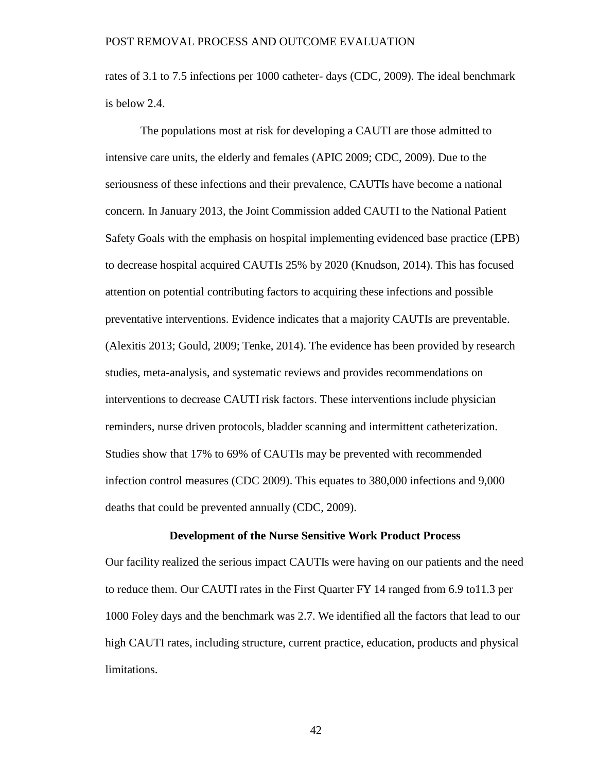rates of 3.1 to 7.5 infections per 1000 catheter- days (CDC, 2009). The ideal benchmark is below 2.4.

The populations most at risk for developing a CAUTI are those admitted to intensive care units, the elderly and females (APIC 2009; CDC, 2009). Due to the seriousness of these infections and their prevalence, CAUTIs have become a national concern. In January 2013, the Joint Commission added CAUTI to the National Patient Safety Goals with the emphasis on hospital implementing evidenced base practice (EPB) to decrease hospital acquired CAUTIs 25% by 2020 (Knudson, 2014). This has focused attention on potential contributing factors to acquiring these infections and possible preventative interventions. Evidence indicates that a majority CAUTIs are preventable. (Alexitis 2013; Gould, 2009; Tenke, 2014). The evidence has been provided by research studies, meta-analysis, and systematic reviews and provides recommendations on interventions to decrease CAUTI risk factors. These interventions include physician reminders, nurse driven protocols, bladder scanning and intermittent catheterization. Studies show that 17% to 69% of CAUTIs may be prevented with recommended infection control measures (CDC 2009). This equates to 380,000 infections and 9,000 deaths that could be prevented annually (CDC, 2009).

## **Development of the Nurse Sensitive Work Product Process**

Our facility realized the serious impact CAUTIs were having on our patients and the need to reduce them. Our CAUTI rates in the First Quarter FY 14 ranged from 6.9 to11.3 per 1000 Foley days and the benchmark was 2.7. We identified all the factors that lead to our high CAUTI rates, including structure, current practice, education, products and physical limitations.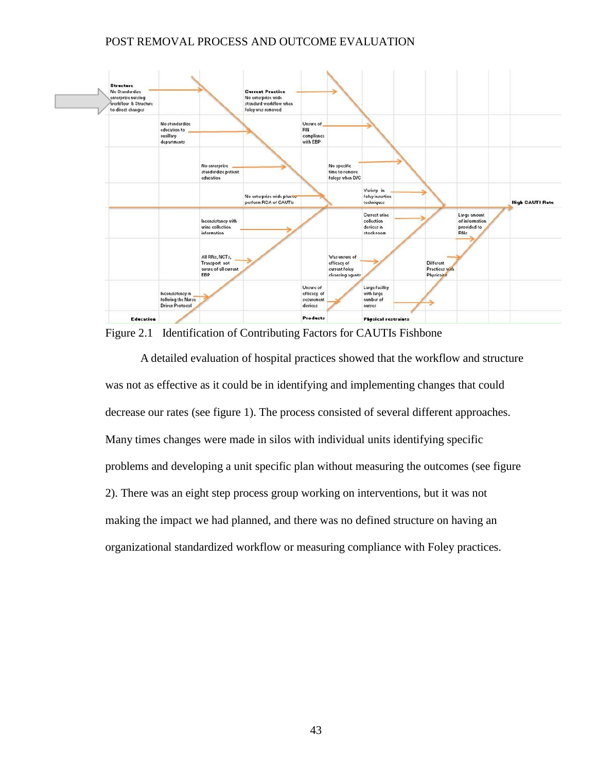

Figure 2.1 Identification of Contributing Factors for CAUTIs Fishbone

A detailed evaluation of hospital practices showed that the workflow and structure was not as effective as it could be in identifying and implementing changes that could decrease our rates (see figure 1). The process consisted of several different approaches. Many times changes were made in silos with individual units identifying specific problems and developing a unit specific plan without measuring the outcomes (see figure 2). There was an eight step process group working on interventions, but it was not making the impact we had planned, and there was no defined structure on having an organizational standardized workflow or measuring compliance with Foley practices.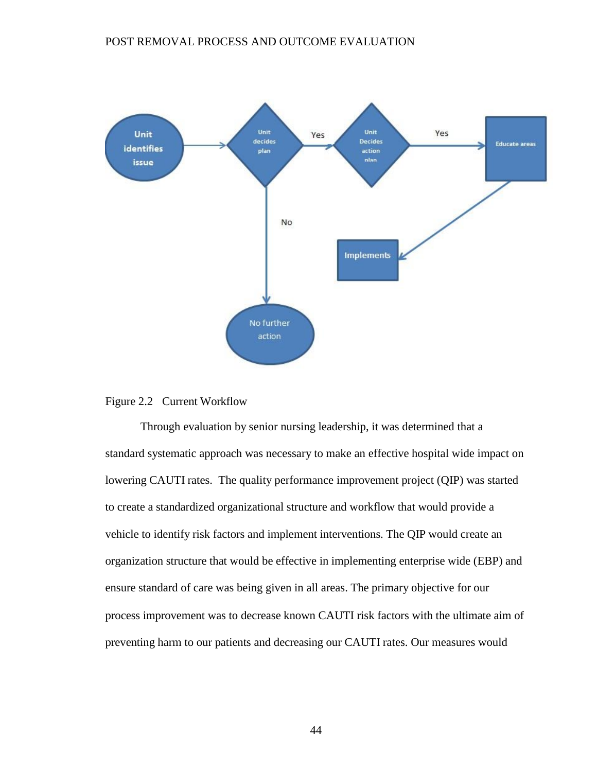

# Figure 2.2 Current Workflow

Through evaluation by senior nursing leadership, it was determined that a standard systematic approach was necessary to make an effective hospital wide impact on lowering CAUTI rates. The quality performance improvement project (QIP) was started to create a standardized organizational structure and workflow that would provide a vehicle to identify risk factors and implement interventions. The QIP would create an organization structure that would be effective in implementing enterprise wide (EBP) and ensure standard of care was being given in all areas. The primary objective for our process improvement was to decrease known CAUTI risk factors with the ultimate aim of preventing harm to our patients and decreasing our CAUTI rates. Our measures would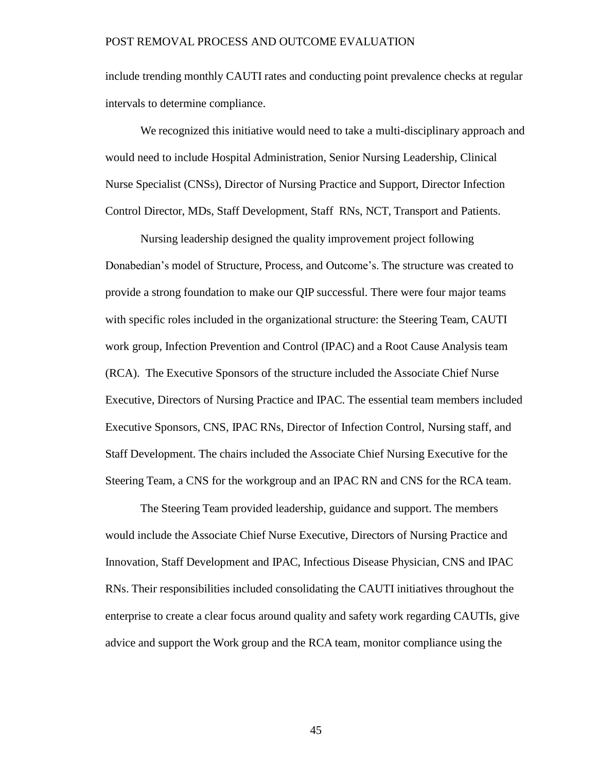include trending monthly CAUTI rates and conducting point prevalence checks at regular intervals to determine compliance.

We recognized this initiative would need to take a multi-disciplinary approach and would need to include Hospital Administration, Senior Nursing Leadership, Clinical Nurse Specialist (CNSs), Director of Nursing Practice and Support, Director Infection Control Director, MDs, Staff Development, Staff RNs, NCT, Transport and Patients.

Nursing leadership designed the quality improvement project following Donabedian's model of Structure, Process, and Outcome's. The structure was created to provide a strong foundation to make our QIP successful. There were four major teams with specific roles included in the organizational structure: the Steering Team, CAUTI work group, Infection Prevention and Control (IPAC) and a Root Cause Analysis team (RCA). The Executive Sponsors of the structure included the Associate Chief Nurse Executive, Directors of Nursing Practice and IPAC. The essential team members included Executive Sponsors, CNS, IPAC RNs, Director of Infection Control, Nursing staff, and Staff Development. The chairs included the Associate Chief Nursing Executive for the Steering Team, a CNS for the workgroup and an IPAC RN and CNS for the RCA team.

The Steering Team provided leadership, guidance and support. The members would include the Associate Chief Nurse Executive, Directors of Nursing Practice and Innovation, Staff Development and IPAC, Infectious Disease Physician, CNS and IPAC RNs. Their responsibilities included consolidating the CAUTI initiatives throughout the enterprise to create a clear focus around quality and safety work regarding CAUTIs, give advice and support the Work group and the RCA team, monitor compliance using the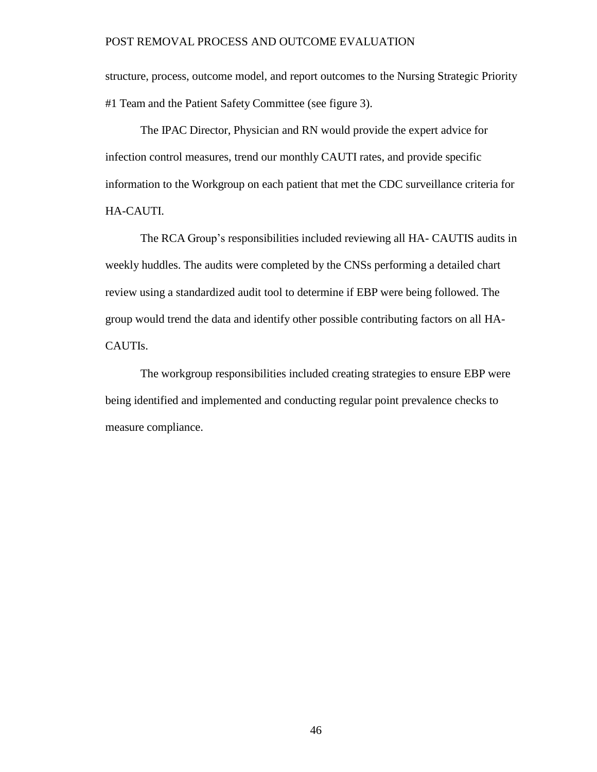structure, process, outcome model, and report outcomes to the Nursing Strategic Priority #1 Team and the Patient Safety Committee (see figure 3).

The IPAC Director, Physician and RN would provide the expert advice for infection control measures, trend our monthly CAUTI rates, and provide specific information to the Workgroup on each patient that met the CDC surveillance criteria for HA-CAUTI.

The RCA Group's responsibilities included reviewing all HA- CAUTIS audits in weekly huddles. The audits were completed by the CNSs performing a detailed chart review using a standardized audit tool to determine if EBP were being followed. The group would trend the data and identify other possible contributing factors on all HA-CAUTIs.

The workgroup responsibilities included creating strategies to ensure EBP were being identified and implemented and conducting regular point prevalence checks to measure compliance.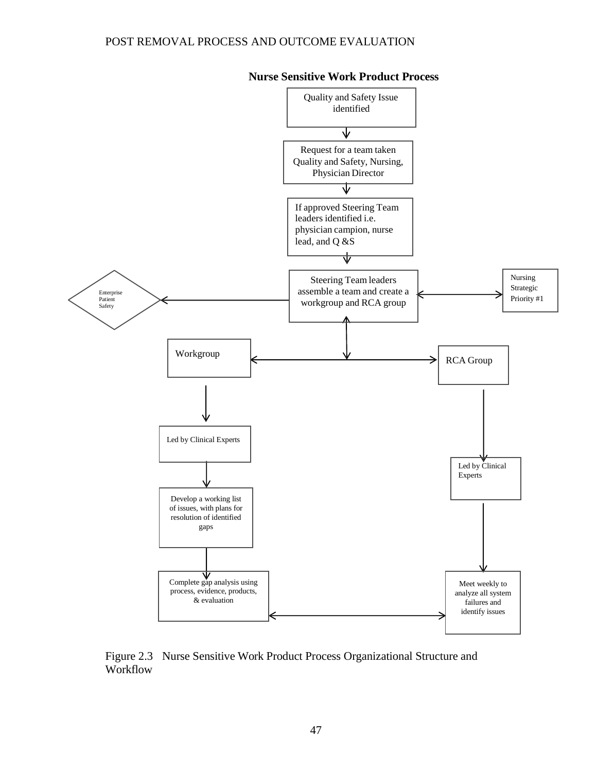



Figure 2.3 Nurse Sensitive Work Product Process Organizational Structure and Workflow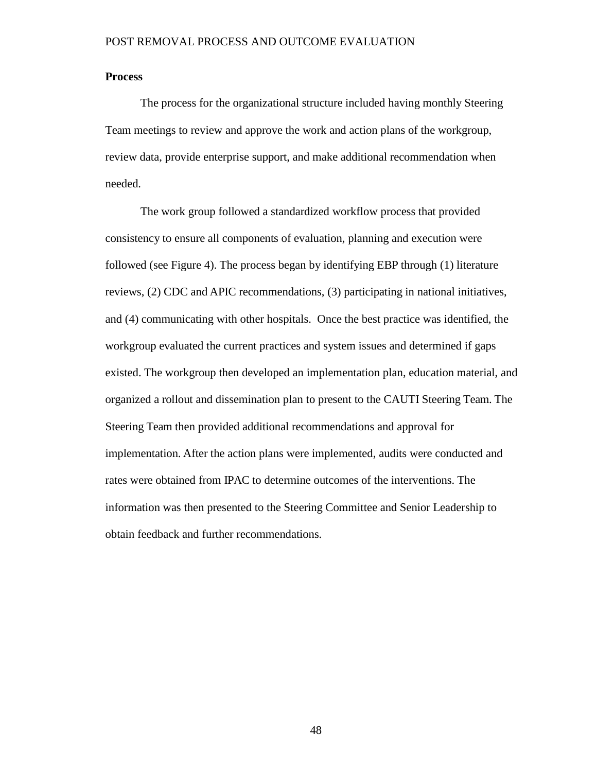# **Process**

The process for the organizational structure included having monthly Steering Team meetings to review and approve the work and action plans of the workgroup, review data, provide enterprise support, and make additional recommendation when needed.

The work group followed a standardized workflow process that provided consistency to ensure all components of evaluation, planning and execution were followed (see Figure 4). The process began by identifying EBP through (1) literature reviews, (2) CDC and APIC recommendations, (3) participating in national initiatives, and (4) communicating with other hospitals. Once the best practice was identified, the workgroup evaluated the current practices and system issues and determined if gaps existed. The workgroup then developed an implementation plan, education material, and organized a rollout and dissemination plan to present to the CAUTI Steering Team. The Steering Team then provided additional recommendations and approval for implementation. After the action plans were implemented, audits were conducted and rates were obtained from IPAC to determine outcomes of the interventions. The information was then presented to the Steering Committee and Senior Leadership to obtain feedback and further recommendations.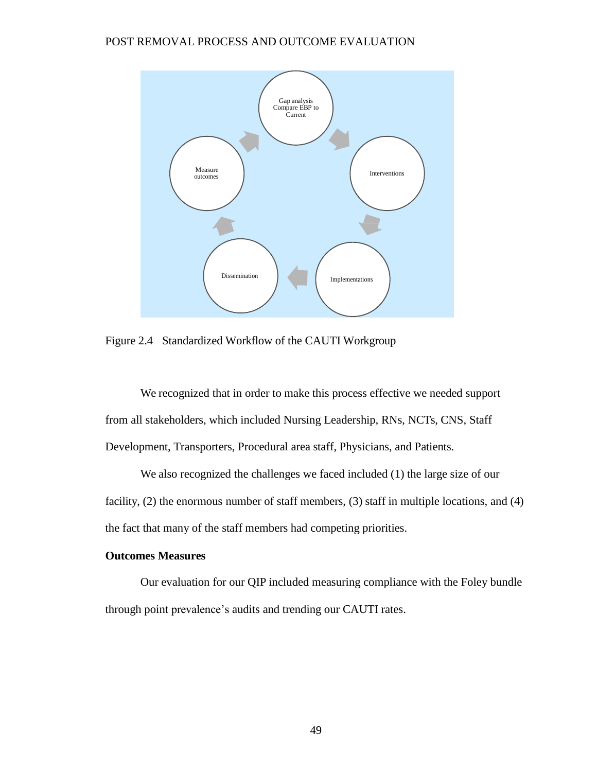

Figure 2.4 Standardized Workflow of the CAUTI Workgroup

We recognized that in order to make this process effective we needed support from all stakeholders, which included Nursing Leadership, RNs, NCTs, CNS, Staff Development, Transporters, Procedural area staff, Physicians, and Patients.

We also recognized the challenges we faced included (1) the large size of our facility, (2) the enormous number of staff members, (3) staff in multiple locations, and (4) the fact that many of the staff members had competing priorities.

# **Outcomes Measures**

Our evaluation for our QIP included measuring compliance with the Foley bundle through point prevalence's audits and trending our CAUTI rates.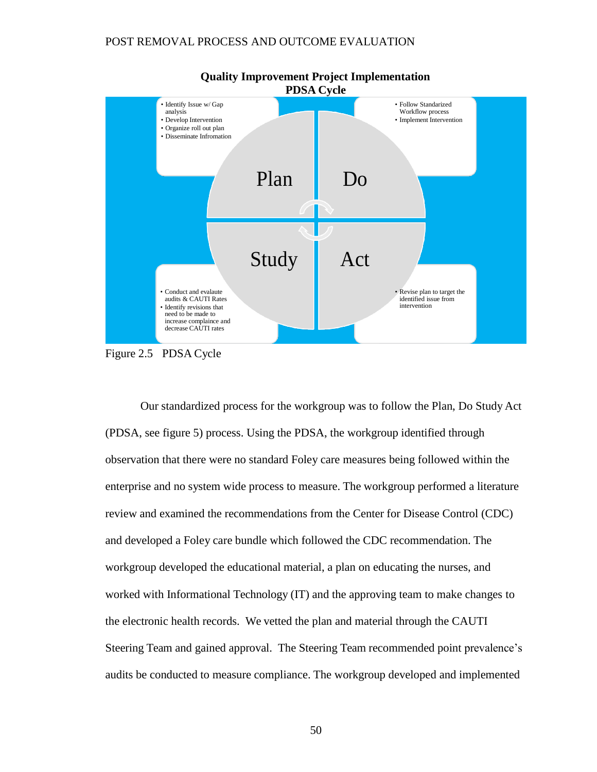

Figure 2.5 PDSA Cycle

Our standardized process for the workgroup was to follow the Plan, Do Study Act (PDSA, see figure 5) process. Using the PDSA, the workgroup identified through observation that there were no standard Foley care measures being followed within the enterprise and no system wide process to measure. The workgroup performed a literature review and examined the recommendations from the Center for Disease Control (CDC) and developed a Foley care bundle which followed the CDC recommendation. The workgroup developed the educational material, a plan on educating the nurses, and worked with Informational Technology (IT) and the approving team to make changes to the electronic health records. We vetted the plan and material through the CAUTI Steering Team and gained approval. The Steering Team recommended point prevalence's audits be conducted to measure compliance. The workgroup developed and implemented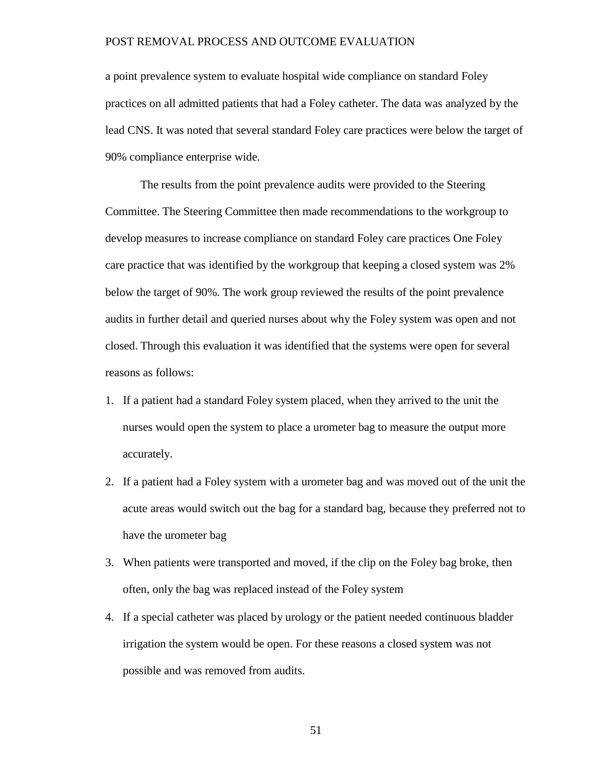a point prevalence system to evaluate hospital wide compliance on standard Foley practices on all admitted patients that had a Foley catheter. The data was analyzed by the lead CNS. It was noted that several standard Foley care practices were below the target of 90% compliance enterprise wide.

The results from the point prevalence audits were provided to the Steering Committee. The Steering Committee then made recommendations to the workgroup to develop measures to increase compliance on standard Foley care practices One Foley care practice that was identified by the workgroup that keeping a closed system was 2% below the target of 90%. The work group reviewed the results of the point prevalence audits in further detail and queried nurses about why the Foley system was open and not closed. Through this evaluation it was identified that the systems were open for several reasons as follows:

- 1. If a patient had a standard Foley system placed, when they arrived to the unit the nurses would open the system to place a urometer bag to measure the output more accurately.
- 2. If a patient had a Foley system with a urometer bag and was moved out of the unit the acute areas would switch out the bag for a standard bag, because they preferred not to have the urometer bag
- 3. When patients were transported and moved, if the clip on the Foley bag broke, then often, only the bag was replaced instead of the Foley system
- 4. If a special catheter was placed by urology or the patient needed continuous bladder irrigation the system would be open. For these reasons a closed system was not possible and was removed from audits.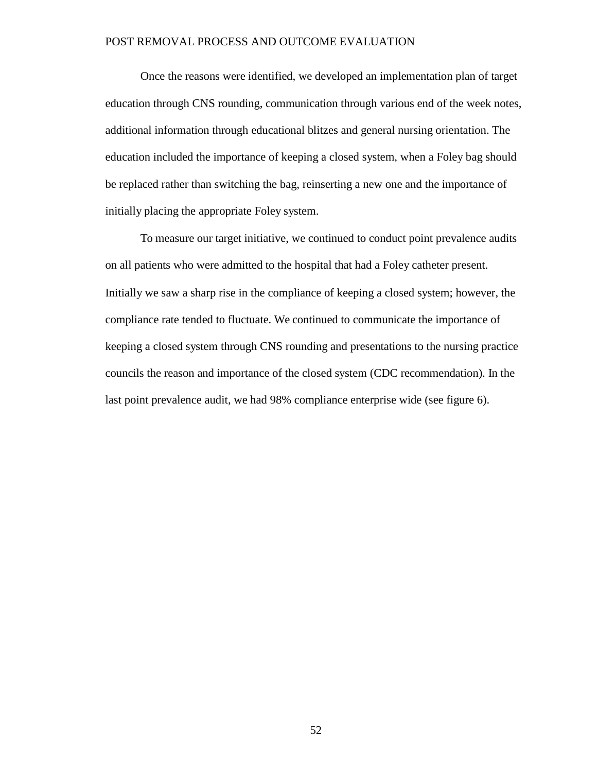Once the reasons were identified, we developed an implementation plan of target education through CNS rounding, communication through various end of the week notes, additional information through educational blitzes and general nursing orientation. The education included the importance of keeping a closed system, when a Foley bag should be replaced rather than switching the bag, reinserting a new one and the importance of initially placing the appropriate Foley system.

To measure our target initiative, we continued to conduct point prevalence audits on all patients who were admitted to the hospital that had a Foley catheter present. Initially we saw a sharp rise in the compliance of keeping a closed system; however, the compliance rate tended to fluctuate. We continued to communicate the importance of keeping a closed system through CNS rounding and presentations to the nursing practice councils the reason and importance of the closed system (CDC recommendation). In the last point prevalence audit, we had 98% compliance enterprise wide (see figure 6).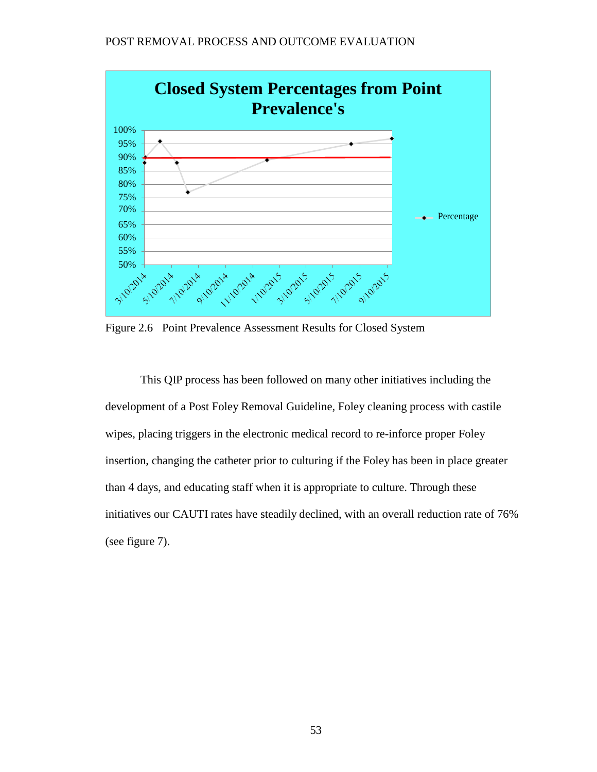

Figure 2.6 Point Prevalence Assessment Results for Closed System

This QIP process has been followed on many other initiatives including the development of a Post Foley Removal Guideline, Foley cleaning process with castile wipes, placing triggers in the electronic medical record to re-inforce proper Foley insertion, changing the catheter prior to culturing if the Foley has been in place greater than 4 days, and educating staff when it is appropriate to culture. Through these initiatives our CAUTI rates have steadily declined, with an overall reduction rate of 76% (see figure 7).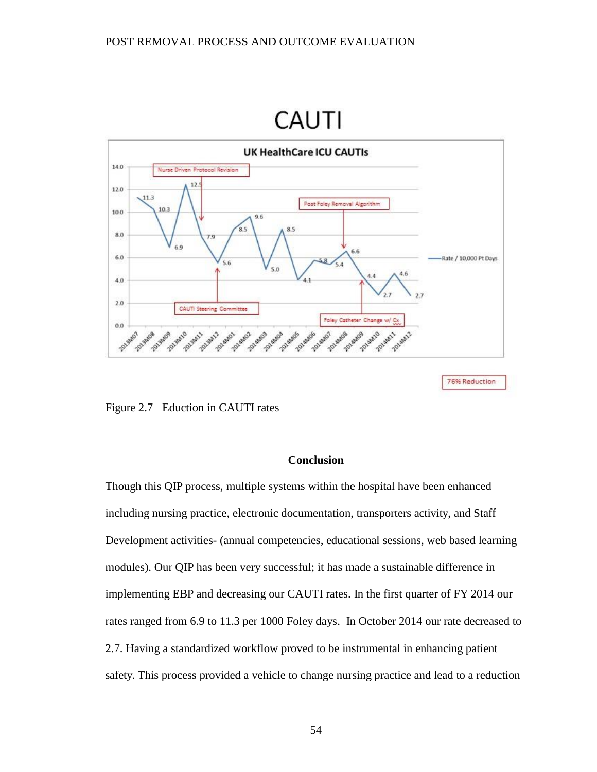# **CAUTI**



76% Reduction

Figure 2.7 Eduction in CAUTI rates

# **Conclusion**

Though this QIP process, multiple systems within the hospital have been enhanced including nursing practice, electronic documentation, transporters activity, and Staff Development activities- (annual competencies, educational sessions, web based learning modules). Our QIP has been very successful; it has made a sustainable difference in implementing EBP and decreasing our CAUTI rates. In the first quarter of FY 2014 our rates ranged from 6.9 to 11.3 per 1000 Foley days. In October 2014 our rate decreased to 2.7. Having a standardized workflow proved to be instrumental in enhancing patient safety. This process provided a vehicle to change nursing practice and lead to a reduction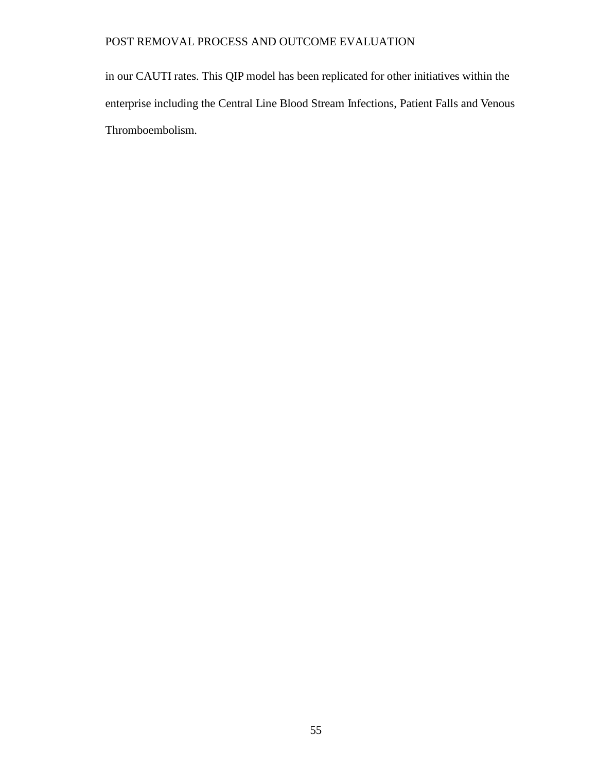in our CAUTI rates. This QIP model has been replicated for other initiatives within the enterprise including the Central Line Blood Stream Infections, Patient Falls and Venous Thromboembolism.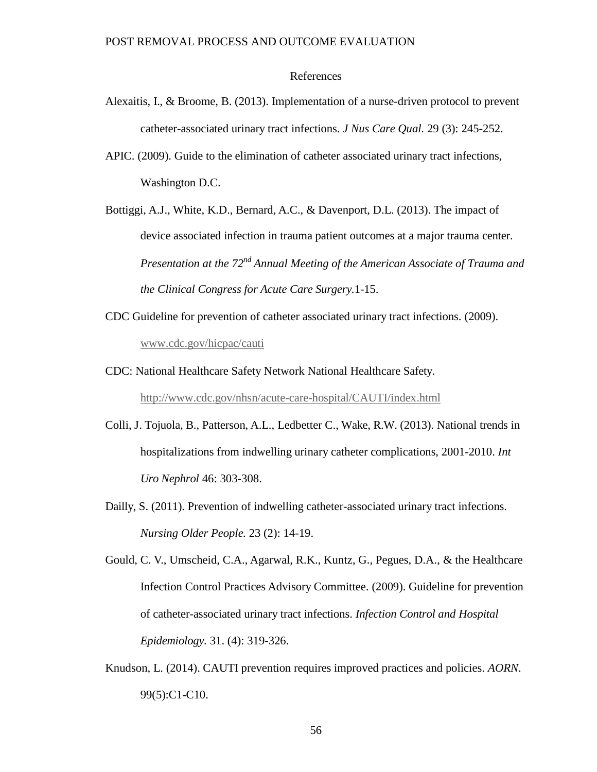# References

- Alexaitis, I., & Broome, B. (2013). Implementation of a nurse-driven protocol to prevent catheter-associated urinary tract infections. *J Nus Care Qual.* 29 (3): 245-252.
- APIC. (2009). Guide to the elimination of catheter associated urinary tract infections, Washington D.C.
- Bottiggi, A.J., White, K.D., Bernard, A.C., & Davenport, D.L. (2013). The impact of device associated infection in trauma patient outcomes at a major trauma center. *Presentation at the 72nd Annual Meeting of the American Associate of Trauma and the Clinical Congress for Acute Care Surgery.*1-15.
- CDC Guideline for prevention of catheter associated urinary tract infections. (2009). [www.cdc.gov/hicpac/cauti](http://www.cdc.gov/hicpac/cauti)
- CDC: National Healthcare Safety Network National Healthcare Safety. <http://www.cdc.gov/nhsn/acute-care-hospital/CAUTI/index.html>
- Colli, J. Tojuola, B., Patterson, A.L., Ledbetter C., Wake, R.W. (2013). National trends in hospitalizations from indwelling urinary catheter complications, 2001-2010. *Int Uro Nephrol* 46: 303-308.
- Dailly, S. (2011). Prevention of indwelling catheter-associated urinary tract infections. *Nursing Older People.* 23 (2): 14-19.

Gould, C. V., Umscheid, C.A., Agarwal, R.K., Kuntz, G., Pegues, D.A., & the Healthcare Infection Control Practices Advisory Committee. (2009). Guideline for prevention of catheter-associated urinary tract infections. *Infection Control and Hospital Epidemiology.* 31. (4): 319-326.

Knudson, L. (2014). CAUTI prevention requires improved practices and policies. *AORN*. 99(5):C1-C10.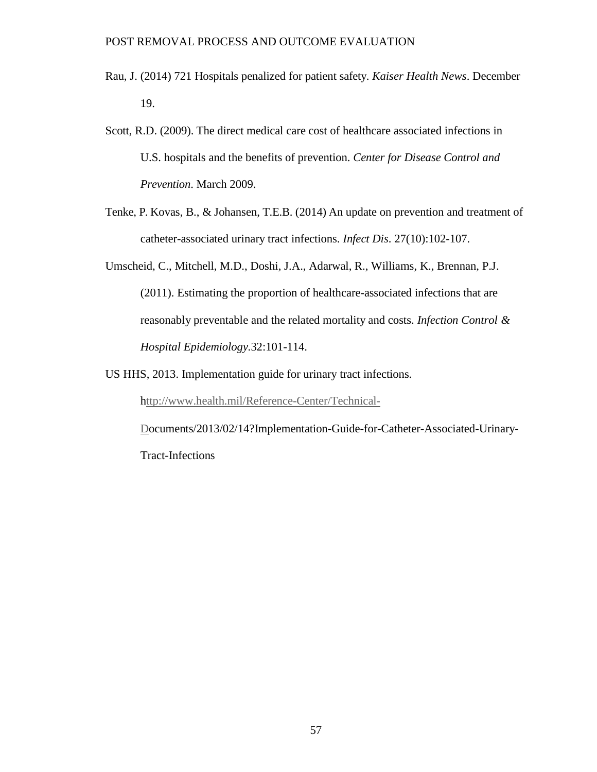- Rau, J. (2014) 721 Hospitals penalized for patient safety. *Kaiser Health News*. December 19.
- Scott, R.D. (2009). The direct medical care cost of healthcare associated infections in U.S. hospitals and the benefits of prevention. *Center for Disease Control and Prevention*. March 2009.
- Tenke, P. Kovas, B., & Johansen, T.E.B. (2014) An update on prevention and treatment of catheter-associated urinary tract infections. *Infect Dis*. 27(10):102-107.
- Umscheid, C., Mitchell, M.D., Doshi, J.A., Adarwal, R., Williams, K., Brennan, P.J. (2011). Estimating the proportion of healthcare-associated infections that are reasonably preventable and the related mortality and costs. *Infection Control & Hospital Epidemiology.*32:101-114.
- US HHS, 2013. Implementation guide for urinary tract infections.

[http://www.health.mil/Reference-Center/Technical-](ttp://www.health.mil/Reference-Center/Technical-D)

[Do](ttp://www.health.mil/Reference-Center/Technical-D)cuments/2013/02/14?Implementation-Guide-for-Catheter-Associated-Urinary-Tract-Infections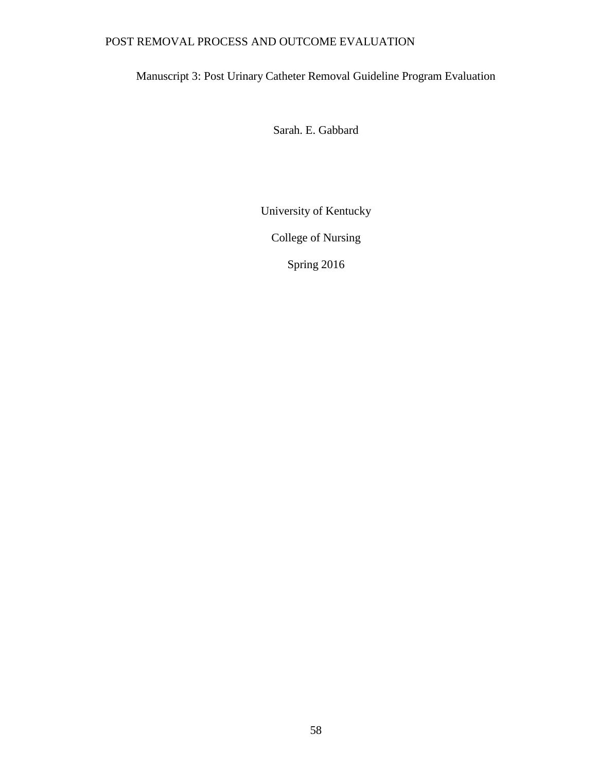# Manuscript 3: Post Urinary Catheter Removal Guideline Program Evaluation

Sarah. E. Gabbard

University of Kentucky

College of Nursing

Spring 2016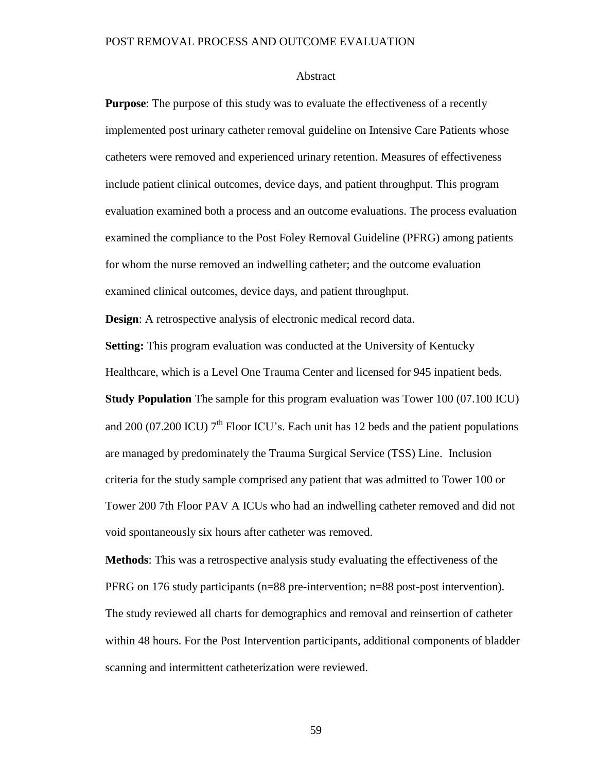#### Abstract

**Purpose**: The purpose of this study was to evaluate the effectiveness of a recently implemented post urinary catheter removal guideline on Intensive Care Patients whose catheters were removed and experienced urinary retention. Measures of effectiveness include patient clinical outcomes, device days, and patient throughput. This program evaluation examined both a process and an outcome evaluations. The process evaluation examined the compliance to the Post Foley Removal Guideline (PFRG) among patients for whom the nurse removed an indwelling catheter; and the outcome evaluation examined clinical outcomes, device days, and patient throughput.

**Design:** A retrospective analysis of electronic medical record data.

**Setting:** This program evaluation was conducted at the University of Kentucky

Healthcare, which is a Level One Trauma Center and licensed for 945 inpatient beds.

**Study Population** The sample for this program evaluation was Tower 100 (07.100 ICU) and  $200$  (07.200 ICU)  $7<sup>th</sup>$  Floor ICU's. Each unit has 12 beds and the patient populations are managed by predominately the Trauma Surgical Service (TSS) Line. Inclusion criteria for the study sample comprised any patient that was admitted to Tower 100 or Tower 200 7th Floor PAV A ICUs who had an indwelling catheter removed and did not void spontaneously six hours after catheter was removed.

**Methods**: This was a retrospective analysis study evaluating the effectiveness of the PFRG on 176 study participants (n=88 pre-intervention; n=88 post-post intervention). The study reviewed all charts for demographics and removal and reinsertion of catheter within 48 hours. For the Post Intervention participants, additional components of bladder scanning and intermittent catheterization were reviewed.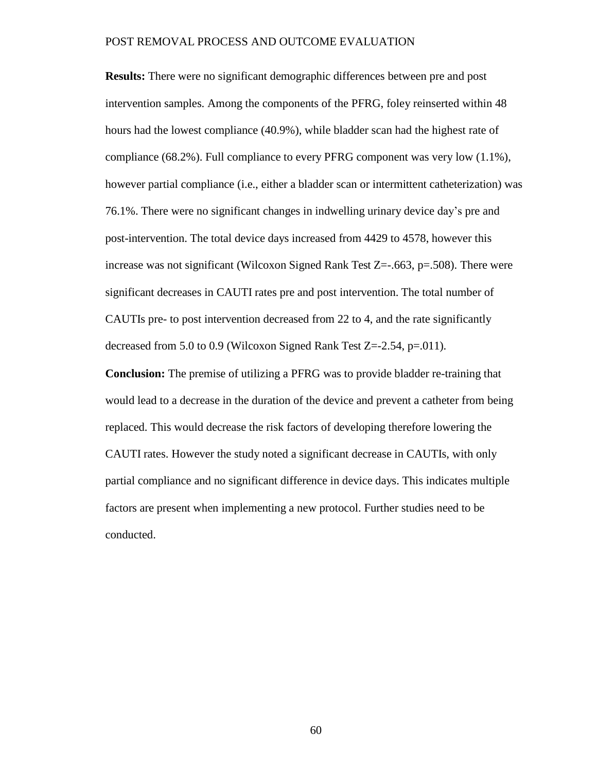**Results:** There were no significant demographic differences between pre and post intervention samples. Among the components of the PFRG, foley reinserted within 48 hours had the lowest compliance (40.9%), while bladder scan had the highest rate of compliance (68.2%). Full compliance to every PFRG component was very low (1.1%), however partial compliance (i.e., either a bladder scan or intermittent catheterization) was 76.1%. There were no significant changes in indwelling urinary device day's pre and post-intervention. The total device days increased from 4429 to 4578, however this increase was not significant (Wilcoxon Signed Rank Test  $Z=-.663$ ,  $p=.508$ ). There were significant decreases in CAUTI rates pre and post intervention. The total number of CAUTIs pre- to post intervention decreased from 22 to 4, and the rate significantly decreased from 5.0 to 0.9 (Wilcoxon Signed Rank Test Z=-2.54, p=.011).

**Conclusion:** The premise of utilizing a PFRG was to provide bladder re-training that would lead to a decrease in the duration of the device and prevent a catheter from being replaced. This would decrease the risk factors of developing therefore lowering the CAUTI rates. However the study noted a significant decrease in CAUTIs, with only partial compliance and no significant difference in device days. This indicates multiple factors are present when implementing a new protocol. Further studies need to be conducted.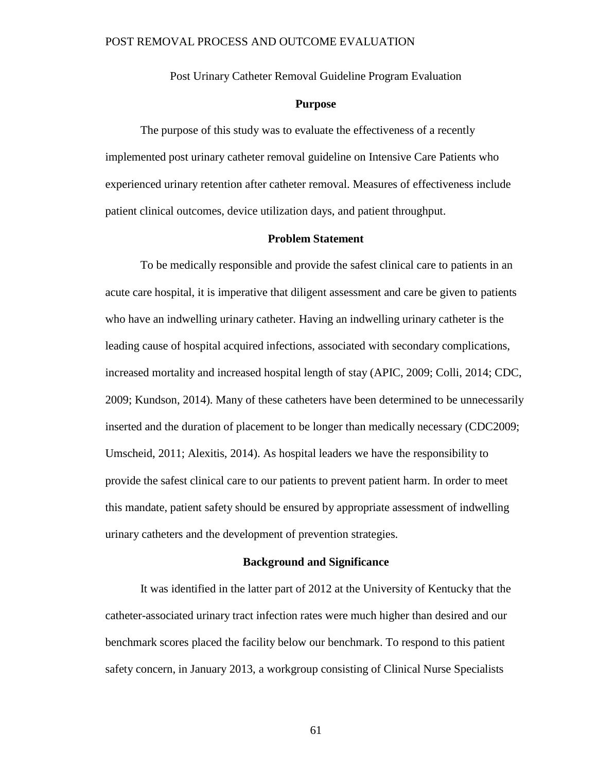Post Urinary Catheter Removal Guideline Program Evaluation

# **Purpose**

The purpose of this study was to evaluate the effectiveness of a recently implemented post urinary catheter removal guideline on Intensive Care Patients who experienced urinary retention after catheter removal. Measures of effectiveness include patient clinical outcomes, device utilization days, and patient throughput.

# **Problem Statement**

To be medically responsible and provide the safest clinical care to patients in an acute care hospital, it is imperative that diligent assessment and care be given to patients who have an indwelling urinary catheter. Having an indwelling urinary catheter is the leading cause of hospital acquired infections, associated with secondary complications, increased mortality and increased hospital length of stay (APIC, 2009; Colli, 2014; CDC, 2009; Kundson, 2014). Many of these catheters have been determined to be unnecessarily inserted and the duration of placement to be longer than medically necessary (CDC2009; Umscheid, 2011; Alexitis, 2014). As hospital leaders we have the responsibility to provide the safest clinical care to our patients to prevent patient harm. In order to meet this mandate, patient safety should be ensured by appropriate assessment of indwelling urinary catheters and the development of prevention strategies.

#### **Background and Significance**

It was identified in the latter part of 2012 at the University of Kentucky that the catheter-associated urinary tract infection rates were much higher than desired and our benchmark scores placed the facility below our benchmark. To respond to this patient safety concern, in January 2013, a workgroup consisting of Clinical Nurse Specialists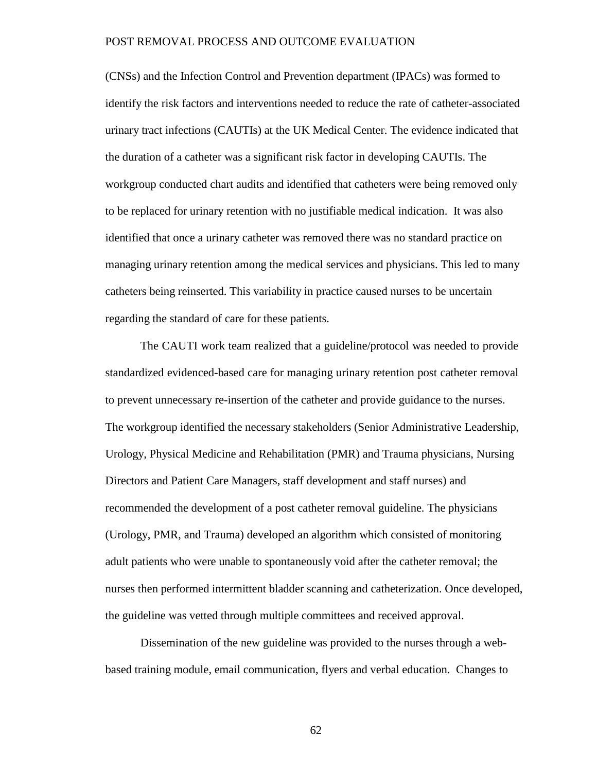(CNSs) and the Infection Control and Prevention department (IPACs) was formed to identify the risk factors and interventions needed to reduce the rate of catheter-associated urinary tract infections (CAUTIs) at the UK Medical Center. The evidence indicated that the duration of a catheter was a significant risk factor in developing CAUTIs. The workgroup conducted chart audits and identified that catheters were being removed only to be replaced for urinary retention with no justifiable medical indication. It was also identified that once a urinary catheter was removed there was no standard practice on managing urinary retention among the medical services and physicians. This led to many catheters being reinserted. This variability in practice caused nurses to be uncertain regarding the standard of care for these patients.

The CAUTI work team realized that a guideline/protocol was needed to provide standardized evidenced-based care for managing urinary retention post catheter removal to prevent unnecessary re-insertion of the catheter and provide guidance to the nurses. The workgroup identified the necessary stakeholders (Senior Administrative Leadership, Urology, Physical Medicine and Rehabilitation (PMR) and Trauma physicians, Nursing Directors and Patient Care Managers, staff development and staff nurses) and recommended the development of a post catheter removal guideline. The physicians (Urology, PMR, and Trauma) developed an algorithm which consisted of monitoring adult patients who were unable to spontaneously void after the catheter removal; the nurses then performed intermittent bladder scanning and catheterization. Once developed, the guideline was vetted through multiple committees and received approval.

Dissemination of the new guideline was provided to the nurses through a webbased training module, email communication, flyers and verbal education. Changes to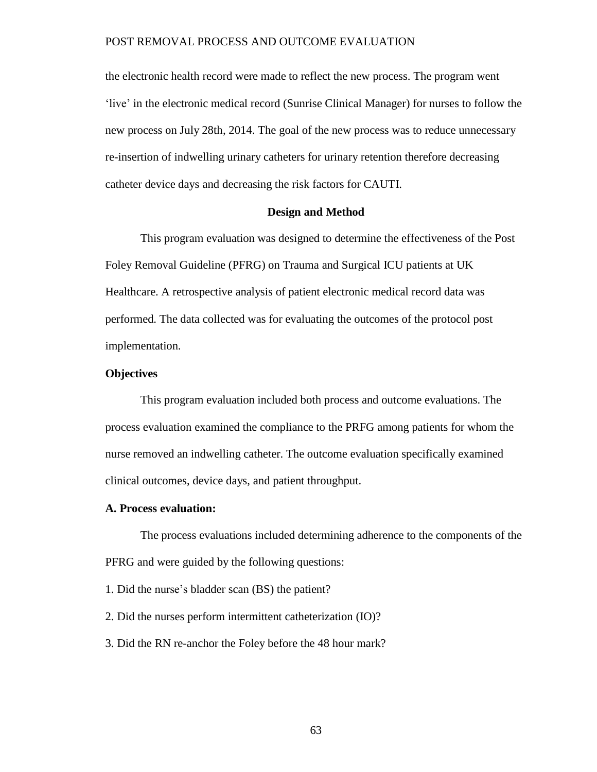the electronic health record were made to reflect the new process. The program went 'live' in the electronic medical record (Sunrise Clinical Manager) for nurses to follow the new process on July 28th, 2014. The goal of the new process was to reduce unnecessary re-insertion of indwelling urinary catheters for urinary retention therefore decreasing catheter device days and decreasing the risk factors for CAUTI.

# **Design and Method**

This program evaluation was designed to determine the effectiveness of the Post Foley Removal Guideline (PFRG) on Trauma and Surgical ICU patients at UK Healthcare. A retrospective analysis of patient electronic medical record data was performed. The data collected was for evaluating the outcomes of the protocol post implementation.

# **Objectives**

This program evaluation included both process and outcome evaluations. The process evaluation examined the compliance to the PRFG among patients for whom the nurse removed an indwelling catheter. The outcome evaluation specifically examined clinical outcomes, device days, and patient throughput.

#### **A. Process evaluation:**

The process evaluations included determining adherence to the components of the PFRG and were guided by the following questions:

- 1. Did the nurse's bladder scan (BS) the patient?
- 2. Did the nurses perform intermittent catheterization (IO)?
- 3. Did the RN re-anchor the Foley before the 48 hour mark?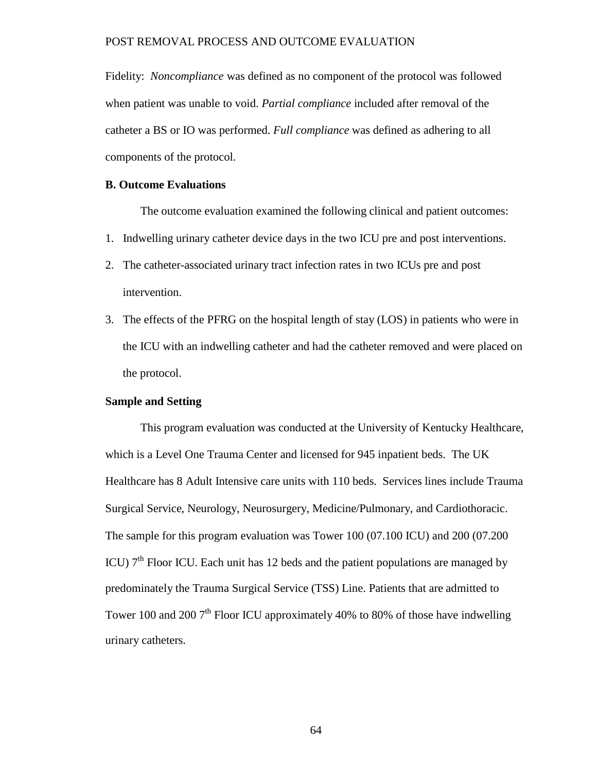Fidelity: *Noncompliance* was defined as no component of the protocol was followed when patient was unable to void. *Partial compliance* included after removal of the catheter a BS or IO was performed. *Full compliance* was defined as adhering to all components of the protocol.

#### **B. Outcome Evaluations**

The outcome evaluation examined the following clinical and patient outcomes:

- 1. Indwelling urinary catheter device days in the two ICU pre and post interventions.
- 2. The catheter-associated urinary tract infection rates in two ICUs pre and post intervention.
- 3. The effects of the PFRG on the hospital length of stay (LOS) in patients who were in the ICU with an indwelling catheter and had the catheter removed and were placed on the protocol.

# **Sample and Setting**

This program evaluation was conducted at the University of Kentucky Healthcare, which is a Level One Trauma Center and licensed for 945 inpatient beds. The UK Healthcare has 8 Adult Intensive care units with 110 beds. Services lines include Trauma Surgical Service, Neurology, Neurosurgery, Medicine/Pulmonary, and Cardiothoracic. The sample for this program evaluation was Tower 100 (07.100 ICU) and 200 (07.200 ICU)  $7<sup>th</sup>$  Floor ICU. Each unit has 12 beds and the patient populations are managed by predominately the Trauma Surgical Service (TSS) Line. Patients that are admitted to Tower 100 and 200 7<sup>th</sup> Floor ICU approximately 40% to 80% of those have indwelling urinary catheters.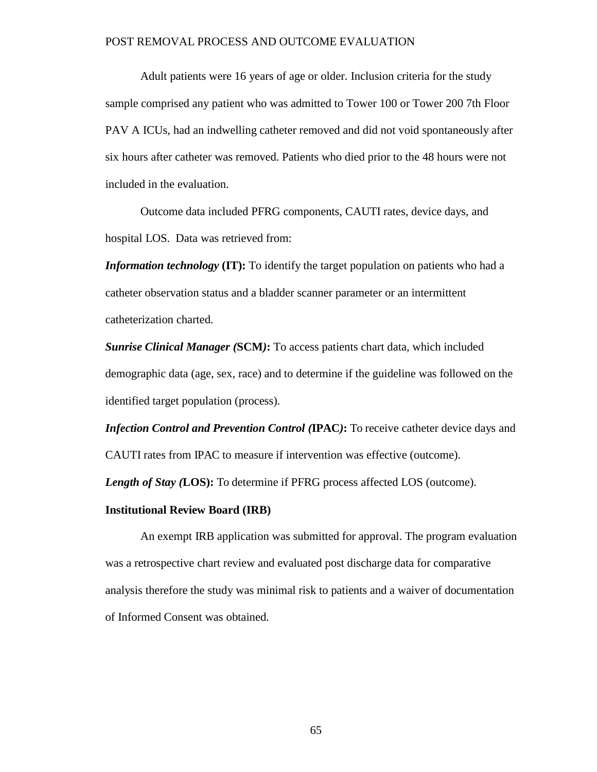Adult patients were 16 years of age or older. Inclusion criteria for the study sample comprised any patient who was admitted to Tower 100 or Tower 200 7th Floor PAV A ICUs, had an indwelling catheter removed and did not void spontaneously after six hours after catheter was removed. Patients who died prior to the 48 hours were not included in the evaluation.

Outcome data included PFRG components, CAUTI rates, device days, and hospital LOS. Data was retrieved from:

*Information technology* **(IT):** To identify the target population on patients who had a catheter observation status and a bladder scanner parameter or an intermittent catheterization charted.

*Sunrise Clinical Manager (***SCM***)***:** To access patients chart data, which included demographic data (age, sex, race) and to determine if the guideline was followed on the identified target population (process).

*Infection Control and Prevention Control (***IPAC***)***:** To receive catheter device days and CAUTI rates from IPAC to measure if intervention was effective (outcome).

*Length of Stay (***LOS):** To determine if PFRG process affected LOS (outcome).

# **Institutional Review Board (IRB)**

An exempt IRB application was submitted for approval. The program evaluation was a retrospective chart review and evaluated post discharge data for comparative analysis therefore the study was minimal risk to patients and a waiver of documentation of Informed Consent was obtained.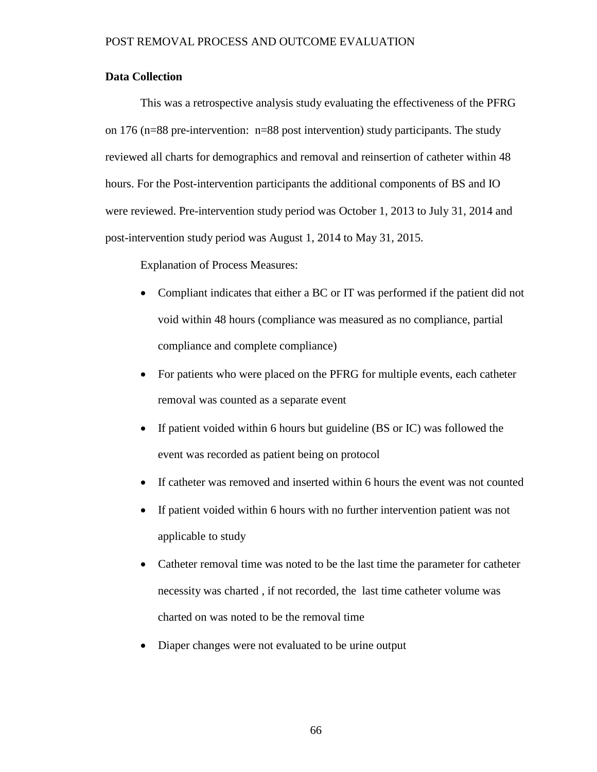# **Data Collection**

This was a retrospective analysis study evaluating the effectiveness of the PFRG on 176 (n=88 pre-intervention: n=88 post intervention) study participants. The study reviewed all charts for demographics and removal and reinsertion of catheter within 48 hours. For the Post-intervention participants the additional components of BS and IO were reviewed. Pre-intervention study period was October 1, 2013 to July 31, 2014 and post-intervention study period was August 1, 2014 to May 31, 2015.

Explanation of Process Measures:

- Compliant indicates that either a BC or IT was performed if the patient did not void within 48 hours (compliance was measured as no compliance, partial compliance and complete compliance)
- For patients who were placed on the PFRG for multiple events, each catheter removal was counted as a separate event
- If patient voided within 6 hours but guideline (BS or IC) was followed the event was recorded as patient being on protocol
- If catheter was removed and inserted within 6 hours the event was not counted
- If patient voided within 6 hours with no further intervention patient was not applicable to study
- Catheter removal time was noted to be the last time the parameter for catheter necessity was charted , if not recorded, the last time catheter volume was charted on was noted to be the removal time
- Diaper changes were not evaluated to be urine output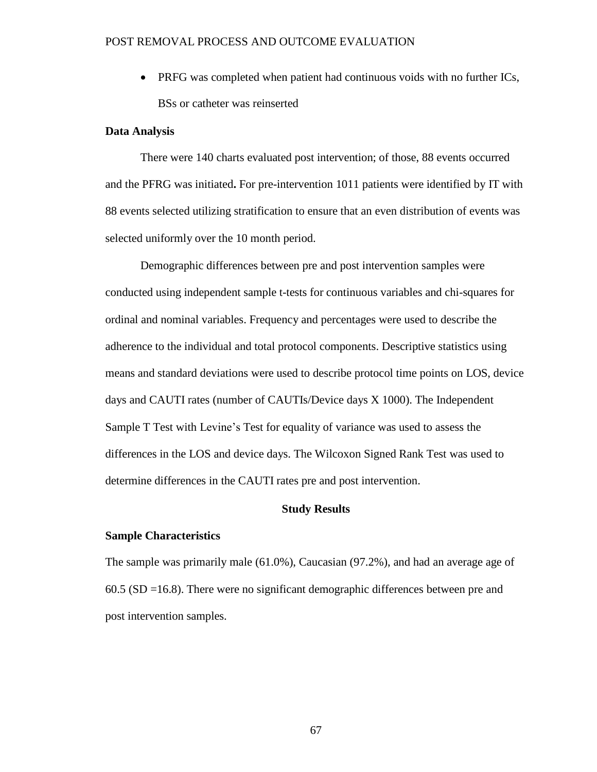• PRFG was completed when patient had continuous voids with no further ICs, BSs or catheter was reinserted

# **Data Analysis**

There were 140 charts evaluated post intervention; of those, 88 events occurred and the PFRG was initiated**.** For pre-intervention 1011 patients were identified by IT with 88 events selected utilizing stratification to ensure that an even distribution of events was selected uniformly over the 10 month period.

Demographic differences between pre and post intervention samples were conducted using independent sample t-tests for continuous variables and chi-squares for ordinal and nominal variables. Frequency and percentages were used to describe the adherence to the individual and total protocol components. Descriptive statistics using means and standard deviations were used to describe protocol time points on LOS, device days and CAUTI rates (number of CAUTIs/Device days X 1000). The Independent Sample T Test with Levine's Test for equality of variance was used to assess the differences in the LOS and device days. The Wilcoxon Signed Rank Test was used to determine differences in the CAUTI rates pre and post intervention.

#### **Study Results**

# **Sample Characteristics**

The sample was primarily male (61.0%), Caucasian (97.2%), and had an average age of 60.5 (SD =16.8). There were no significant demographic differences between pre and post intervention samples.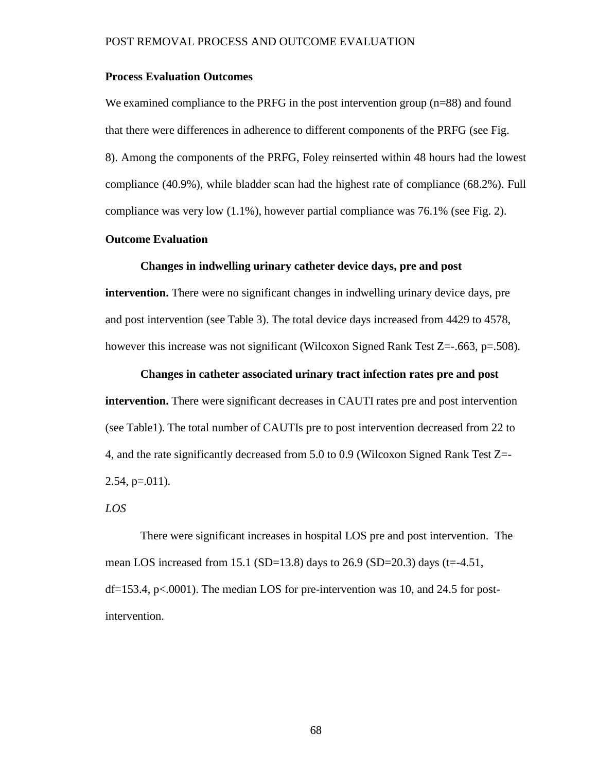# **Process Evaluation Outcomes**

We examined compliance to the PRFG in the post intervention group (n=88) and found that there were differences in adherence to different components of the PRFG (see Fig. 8). Among the components of the PRFG, Foley reinserted within 48 hours had the lowest compliance (40.9%), while bladder scan had the highest rate of compliance (68.2%). Full compliance was very low  $(1.1\%)$ , however partial compliance was 76.1% (see Fig. 2).

# **Outcome Evaluation**

## **Changes in indwelling urinary catheter device days, pre and post**

**intervention.** There were no significant changes in indwelling urinary device days, pre and post intervention (see Table 3). The total device days increased from 4429 to 4578, however this increase was not significant (Wilcoxon Signed Rank Test Z=-.663, p=.508).

**Changes in catheter associated urinary tract infection rates pre and post**

**intervention.** There were significant decreases in CAUTI rates pre and post intervention (see Table1). The total number of CAUTIs pre to post intervention decreased from 22 to 4, and the rate significantly decreased from 5.0 to 0.9 (Wilcoxon Signed Rank Test Z=-  $2.54$ , p=.011).

#### *LOS*

There were significant increases in hospital LOS pre and post intervention. The mean LOS increased from 15.1 (SD=13.8) days to 26.9 (SD=20.3) days (t=-4.51, df=153.4, p<.0001). The median LOS for pre-intervention was 10, and 24.5 for postintervention.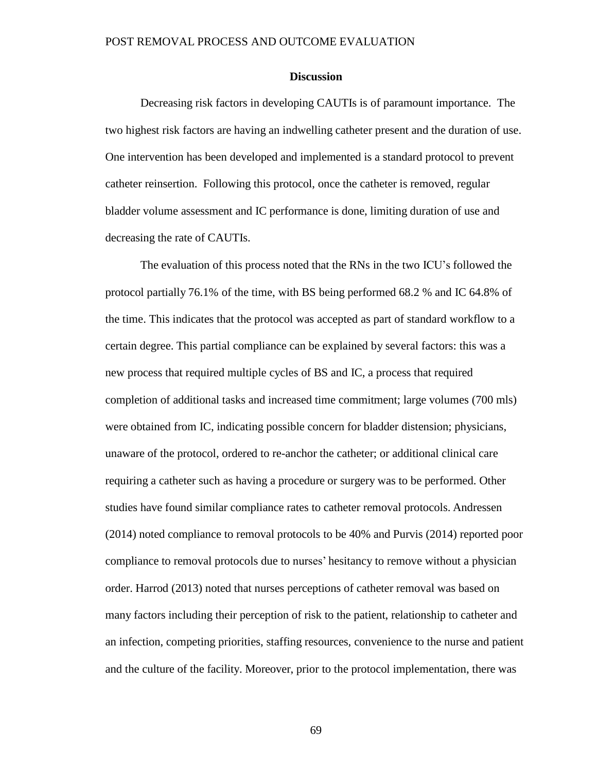# **Discussion**

Decreasing risk factors in developing CAUTIs is of paramount importance. The two highest risk factors are having an indwelling catheter present and the duration of use. One intervention has been developed and implemented is a standard protocol to prevent catheter reinsertion. Following this protocol, once the catheter is removed, regular bladder volume assessment and IC performance is done, limiting duration of use and decreasing the rate of CAUTIs.

The evaluation of this process noted that the RNs in the two ICU's followed the protocol partially 76.1% of the time, with BS being performed 68.2 % and IC 64.8% of the time. This indicates that the protocol was accepted as part of standard workflow to a certain degree. This partial compliance can be explained by several factors: this was a new process that required multiple cycles of BS and IC, a process that required completion of additional tasks and increased time commitment; large volumes (700 mls) were obtained from IC, indicating possible concern for bladder distension; physicians, unaware of the protocol, ordered to re-anchor the catheter; or additional clinical care requiring a catheter such as having a procedure or surgery was to be performed. Other studies have found similar compliance rates to catheter removal protocols. Andressen (2014) noted compliance to removal protocols to be 40% and Purvis (2014) reported poor compliance to removal protocols due to nurses' hesitancy to remove without a physician order. Harrod (2013) noted that nurses perceptions of catheter removal was based on many factors including their perception of risk to the patient, relationship to catheter and an infection, competing priorities, staffing resources, convenience to the nurse and patient and the culture of the facility. Moreover, prior to the protocol implementation, there was

69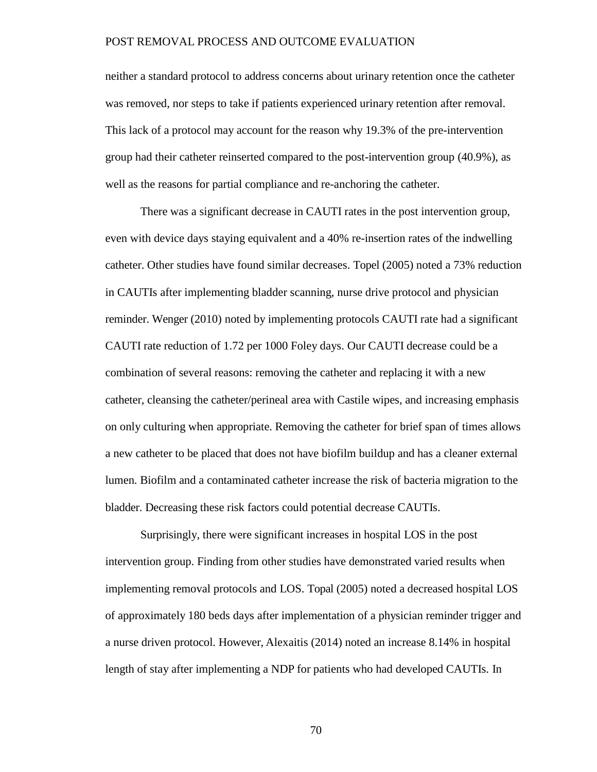neither a standard protocol to address concerns about urinary retention once the catheter was removed, nor steps to take if patients experienced urinary retention after removal. This lack of a protocol may account for the reason why 19.3% of the pre-intervention group had their catheter reinserted compared to the post-intervention group (40.9%), as well as the reasons for partial compliance and re-anchoring the catheter.

There was a significant decrease in CAUTI rates in the post intervention group, even with device days staying equivalent and a 40% re-insertion rates of the indwelling catheter. Other studies have found similar decreases. Topel (2005) noted a 73% reduction in CAUTIs after implementing bladder scanning, nurse drive protocol and physician reminder. Wenger (2010) noted by implementing protocols CAUTI rate had a significant CAUTI rate reduction of 1.72 per 1000 Foley days. Our CAUTI decrease could be a combination of several reasons: removing the catheter and replacing it with a new catheter, cleansing the catheter/perineal area with Castile wipes, and increasing emphasis on only culturing when appropriate. Removing the catheter for brief span of times allows a new catheter to be placed that does not have biofilm buildup and has a cleaner external lumen. Biofilm and a contaminated catheter increase the risk of bacteria migration to the bladder. Decreasing these risk factors could potential decrease CAUTIs.

Surprisingly, there were significant increases in hospital LOS in the post intervention group. Finding from other studies have demonstrated varied results when implementing removal protocols and LOS. Topal (2005) noted a decreased hospital LOS of approximately 180 beds days after implementation of a physician reminder trigger and a nurse driven protocol. However, Alexaitis (2014) noted an increase 8.14% in hospital length of stay after implementing a NDP for patients who had developed CAUTIs. In

70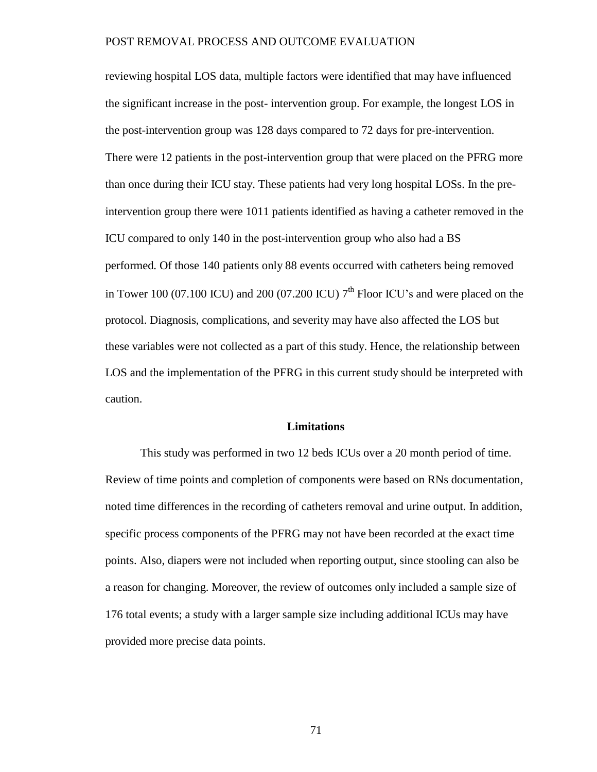reviewing hospital LOS data, multiple factors were identified that may have influenced the significant increase in the post- intervention group. For example, the longest LOS in the post-intervention group was 128 days compared to 72 days for pre-intervention. There were 12 patients in the post-intervention group that were placed on the PFRG more than once during their ICU stay. These patients had very long hospital LOSs. In the preintervention group there were 1011 patients identified as having a catheter removed in the ICU compared to only 140 in the post-intervention group who also had a BS performed. Of those 140 patients only 88 events occurred with catheters being removed in Tower 100 (07.100 ICU) and 200 (07.200 ICU)  $7<sup>th</sup>$  Floor ICU's and were placed on the protocol. Diagnosis, complications, and severity may have also affected the LOS but these variables were not collected as a part of this study. Hence, the relationship between LOS and the implementation of the PFRG in this current study should be interpreted with caution.

#### **Limitations**

This study was performed in two 12 beds ICUs over a 20 month period of time. Review of time points and completion of components were based on RNs documentation, noted time differences in the recording of catheters removal and urine output. In addition, specific process components of the PFRG may not have been recorded at the exact time points. Also, diapers were not included when reporting output, since stooling can also be a reason for changing. Moreover, the review of outcomes only included a sample size of 176 total events; a study with a larger sample size including additional ICUs may have provided more precise data points.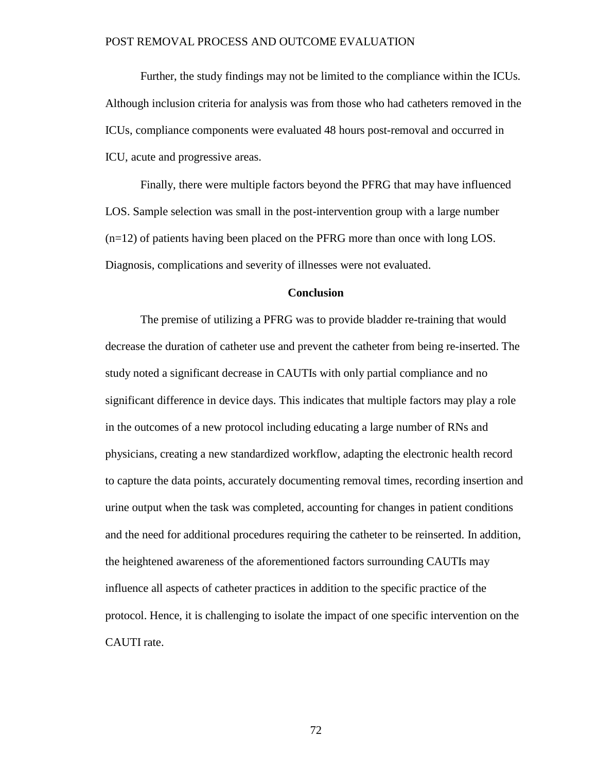Further, the study findings may not be limited to the compliance within the ICUs. Although inclusion criteria for analysis was from those who had catheters removed in the ICUs, compliance components were evaluated 48 hours post-removal and occurred in ICU, acute and progressive areas.

Finally, there were multiple factors beyond the PFRG that may have influenced LOS. Sample selection was small in the post-intervention group with a large number (n=12) of patients having been placed on the PFRG more than once with long LOS. Diagnosis, complications and severity of illnesses were not evaluated.

#### **Conclusion**

The premise of utilizing a PFRG was to provide bladder re-training that would decrease the duration of catheter use and prevent the catheter from being re-inserted. The study noted a significant decrease in CAUTIs with only partial compliance and no significant difference in device days. This indicates that multiple factors may play a role in the outcomes of a new protocol including educating a large number of RNs and physicians, creating a new standardized workflow, adapting the electronic health record to capture the data points, accurately documenting removal times, recording insertion and urine output when the task was completed, accounting for changes in patient conditions and the need for additional procedures requiring the catheter to be reinserted. In addition, the heightened awareness of the aforementioned factors surrounding CAUTIs may influence all aspects of catheter practices in addition to the specific practice of the protocol. Hence, it is challenging to isolate the impact of one specific intervention on the CAUTI rate.

72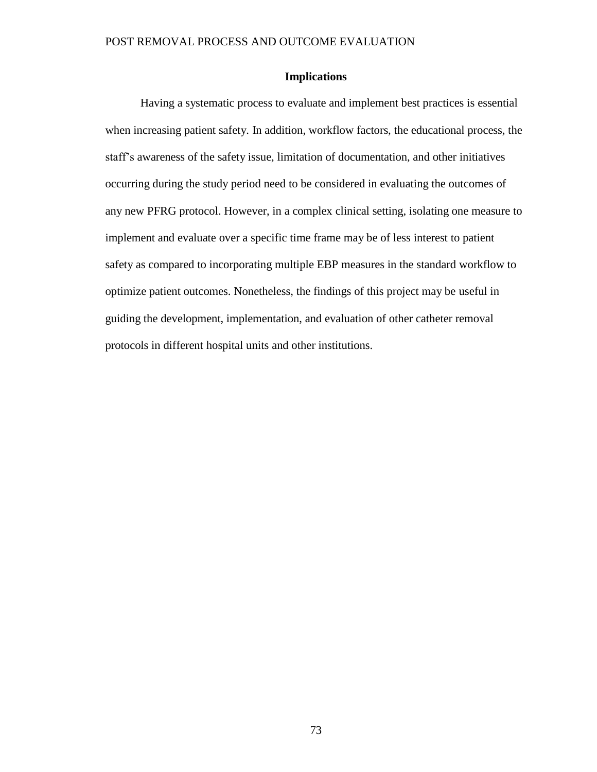# **Implications**

Having a systematic process to evaluate and implement best practices is essential when increasing patient safety. In addition, workflow factors, the educational process, the staff's awareness of the safety issue, limitation of documentation, and other initiatives occurring during the study period need to be considered in evaluating the outcomes of any new PFRG protocol. However, in a complex clinical setting, isolating one measure to implement and evaluate over a specific time frame may be of less interest to patient safety as compared to incorporating multiple EBP measures in the standard workflow to optimize patient outcomes. Nonetheless, the findings of this project may be useful in guiding the development, implementation, and evaluation of other catheter removal protocols in different hospital units and other institutions.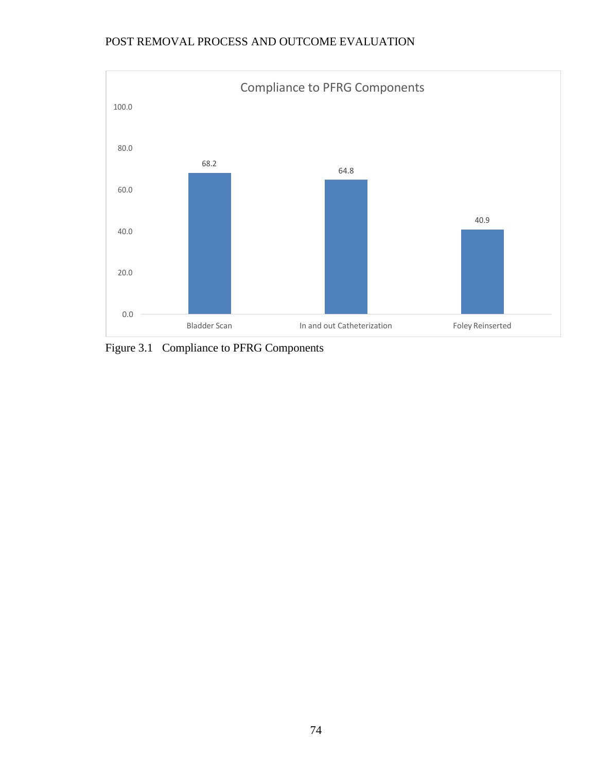

Figure 3.1 Compliance to PFRG Components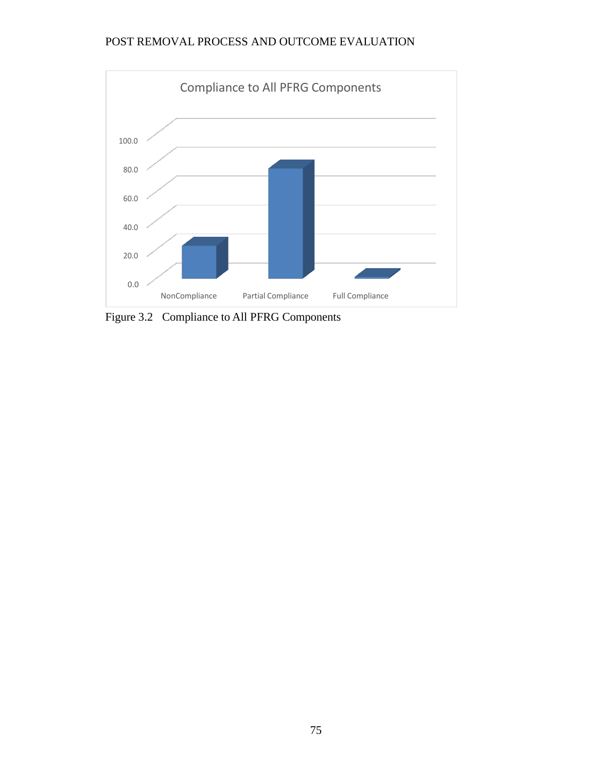

Figure 3.2 Compliance to All PFRG Components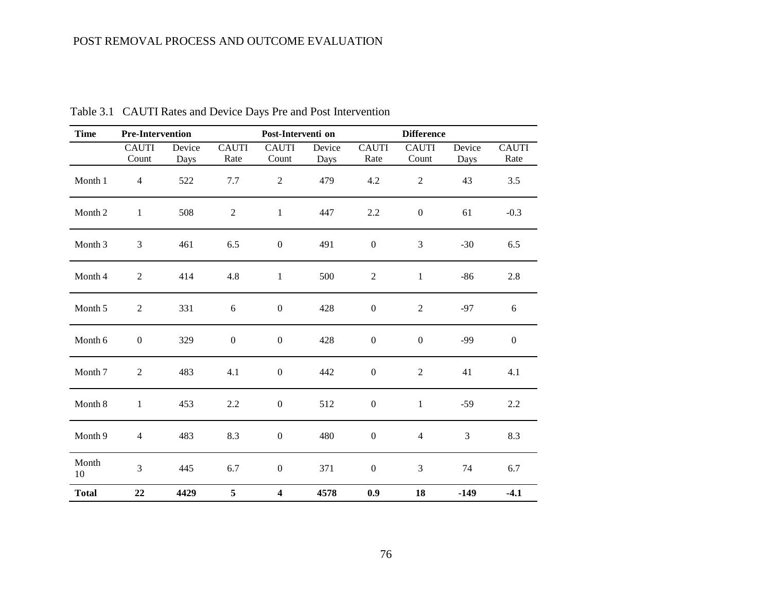| <b>Time</b>  | <b>Pre-Intervention</b> |                | Post-Interventi on   |                         |                | <b>Difference</b>    |                       |                |                      |
|--------------|-------------------------|----------------|----------------------|-------------------------|----------------|----------------------|-----------------------|----------------|----------------------|
|              | <b>CAUTI</b><br>Count   | Device<br>Days | <b>CAUTI</b><br>Rate | <b>CAUTI</b><br>Count   | Device<br>Days | <b>CAUTI</b><br>Rate | <b>CAUTI</b><br>Count | Device<br>Days | <b>CAUTI</b><br>Rate |
| Month 1      | $\overline{4}$          | 522            | 7.7                  | $\sqrt{2}$              | 479            | 4.2                  | $\overline{2}$        | 43             | 3.5                  |
| Month 2      | $\mathbf{1}$            | 508            | $\mathbf{2}$         | $\mathbf{1}$            | 447            | 2.2                  | $\boldsymbol{0}$      | 61             | $-0.3$               |
| Month 3      | $\mathfrak{Z}$          | 461            | 6.5                  | $\boldsymbol{0}$        | 491            | $\boldsymbol{0}$     | $\mathfrak{Z}$        | $-30$          | 6.5                  |
| Month 4      | $\overline{2}$          | 414            | 4.8                  | $\mathbf{1}$            | 500            | $\sqrt{2}$           | $\mathbf{1}$          | $-86$          | 2.8                  |
| Month 5      | $\sqrt{2}$              | 331            | $\sqrt{6}$           | $\boldsymbol{0}$        | 428            | $\boldsymbol{0}$     | $\overline{2}$        | $-97$          | 6                    |
| Month 6      | $\boldsymbol{0}$        | 329            | $\boldsymbol{0}$     | $\boldsymbol{0}$        | 428            | $\boldsymbol{0}$     | $\boldsymbol{0}$      | $-99$          | $\boldsymbol{0}$     |
| Month 7      | 2                       | 483            | 4.1                  | $\boldsymbol{0}$        | 442            | $\boldsymbol{0}$     | $\overline{2}$        | 41             | 4.1                  |
| Month 8      | $\mathbf{1}$            | 453            | 2.2                  | $\boldsymbol{0}$        | 512            | $\boldsymbol{0}$     | $\mathbf{1}$          | $-59$          | 2.2                  |
| Month 9      | $\overline{4}$          | 483            | 8.3                  | $\boldsymbol{0}$        | 480            | $\boldsymbol{0}$     | $\overline{4}$        | 3              | 8.3                  |
| Month<br>10  | $\overline{3}$          | 445            | 6.7                  | $\boldsymbol{0}$        | 371            | $\boldsymbol{0}$     | $\mathfrak{Z}$        | 74             | 6.7                  |
| <b>Total</b> | 22                      | 4429           | 5                    | $\overline{\mathbf{4}}$ | 4578           | 0.9                  | 18                    | $-149$         | $-4.1$               |

Table 3.1 CAUTI Rates and Device Days Pre and Post Intervention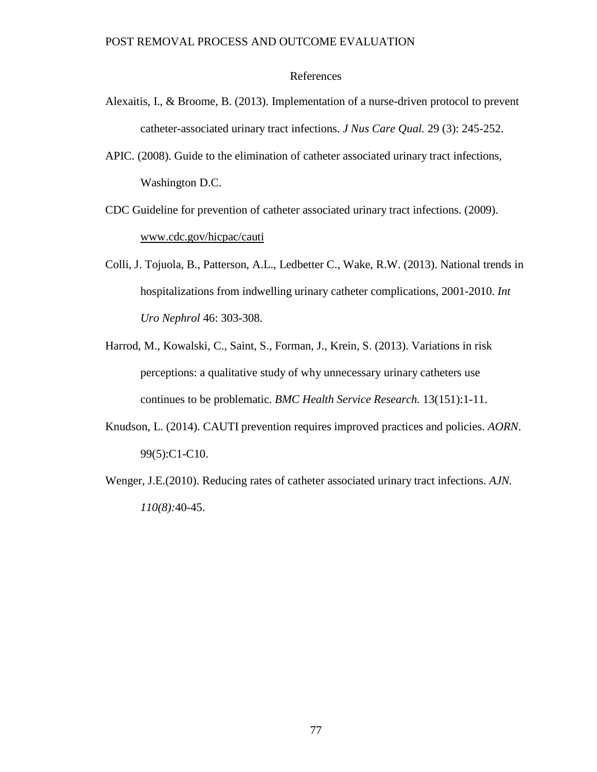# References

- Alexaitis, I., & Broome, B. (2013). Implementation of a nurse-driven protocol to prevent catheter-associated urinary tract infections. *J Nus Care Qual.* 29 (3): 245-252.
- APIC. (2008). Guide to the elimination of catheter associated urinary tract infections, Washington D.C.
- CDC Guideline for prevention of catheter associated urinary tract infections. (2009). [www.cdc.gov/hicpac/cauti](http://www.cdc.gov/hicpac/cauti)
- Colli, J. Tojuola, B., Patterson, A.L., Ledbetter C., Wake, R.W. (2013). National trends in hospitalizations from indwelling urinary catheter complications, 2001-2010. *Int Uro Nephrol* 46: 303-308.
- Harrod, M., Kowalski, C., Saint, S., Forman, J., Krein, S. (2013). Variations in risk perceptions: a qualitative study of why unnecessary urinary catheters use continues to be problematic. *BMC Health Service Research.* 13(151):1-11.
- Knudson, L. (2014). CAUTI prevention requires improved practices and policies. *AORN*. 99(5):C1-C10.
- Wenger, J.E.(2010). Reducing rates of catheter associated urinary tract infections. *AJN. 110(8):*40-45.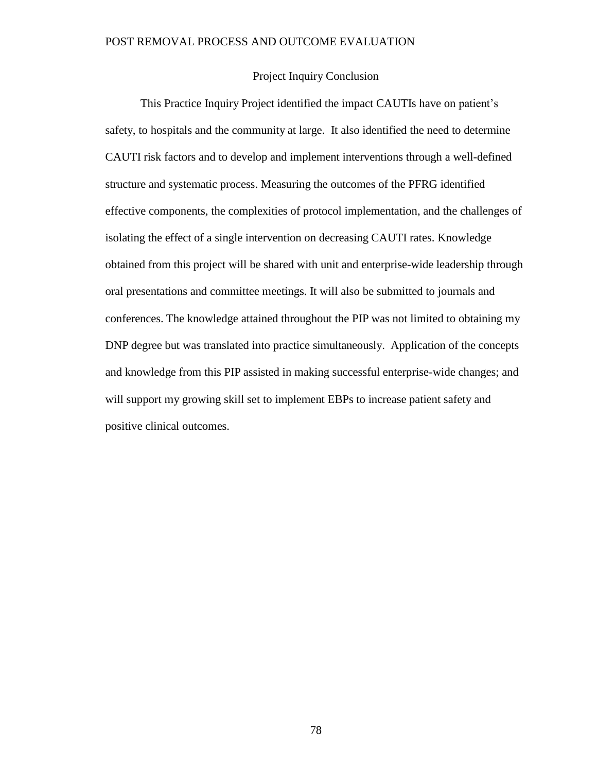# Project Inquiry Conclusion

This Practice Inquiry Project identified the impact CAUTIs have on patient's safety, to hospitals and the community at large. It also identified the need to determine CAUTI risk factors and to develop and implement interventions through a well-defined structure and systematic process. Measuring the outcomes of the PFRG identified effective components, the complexities of protocol implementation, and the challenges of isolating the effect of a single intervention on decreasing CAUTI rates. Knowledge obtained from this project will be shared with unit and enterprise-wide leadership through oral presentations and committee meetings. It will also be submitted to journals and conferences. The knowledge attained throughout the PIP was not limited to obtaining my DNP degree but was translated into practice simultaneously. Application of the concepts and knowledge from this PIP assisted in making successful enterprise-wide changes; and will support my growing skill set to implement EBPs to increase patient safety and positive clinical outcomes.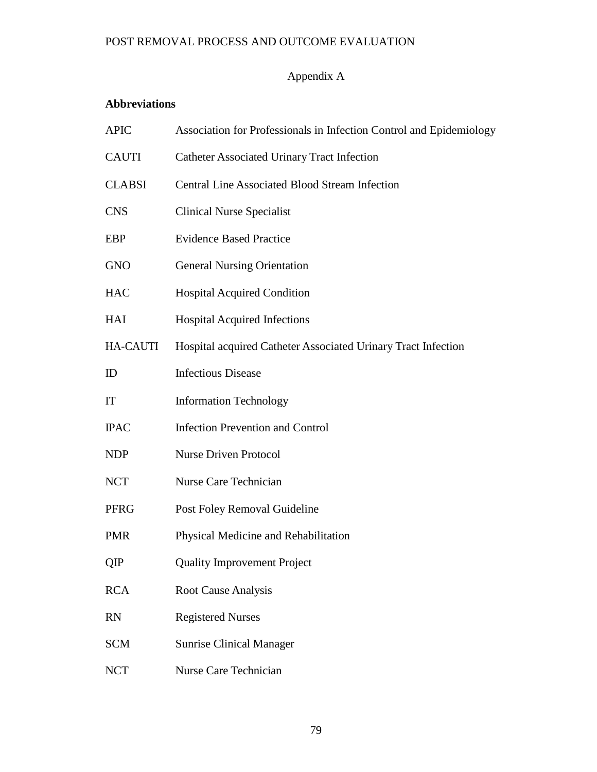# Appendix A

# **Abbreviations**

| <b>APIC</b>     | Association for Professionals in Infection Control and Epidemiology |  |  |  |  |  |
|-----------------|---------------------------------------------------------------------|--|--|--|--|--|
| <b>CAUTI</b>    | <b>Catheter Associated Urinary Tract Infection</b>                  |  |  |  |  |  |
| <b>CLABSI</b>   | <b>Central Line Associated Blood Stream Infection</b>               |  |  |  |  |  |
| <b>CNS</b>      | <b>Clinical Nurse Specialist</b>                                    |  |  |  |  |  |
| <b>EBP</b>      | <b>Evidence Based Practice</b>                                      |  |  |  |  |  |
| <b>GNO</b>      | <b>General Nursing Orientation</b>                                  |  |  |  |  |  |
| <b>HAC</b>      | <b>Hospital Acquired Condition</b>                                  |  |  |  |  |  |
| <b>HAI</b>      | <b>Hospital Acquired Infections</b>                                 |  |  |  |  |  |
| <b>HA-CAUTI</b> | Hospital acquired Catheter Associated Urinary Tract Infection       |  |  |  |  |  |
| ID              | <b>Infectious Disease</b>                                           |  |  |  |  |  |
| IT              | <b>Information Technology</b>                                       |  |  |  |  |  |
| <b>IPAC</b>     | <b>Infection Prevention and Control</b>                             |  |  |  |  |  |
| <b>NDP</b>      | <b>Nurse Driven Protocol</b>                                        |  |  |  |  |  |
| <b>NCT</b>      | <b>Nurse Care Technician</b>                                        |  |  |  |  |  |
| <b>PFRG</b>     | Post Foley Removal Guideline                                        |  |  |  |  |  |
| <b>PMR</b>      | Physical Medicine and Rehabilitation                                |  |  |  |  |  |
| QIP             | <b>Quality Improvement Project</b>                                  |  |  |  |  |  |
| <b>RCA</b>      | <b>Root Cause Analysis</b>                                          |  |  |  |  |  |
| <b>RN</b>       | <b>Registered Nurses</b>                                            |  |  |  |  |  |
| <b>SCM</b>      | <b>Sunrise Clinical Manager</b>                                     |  |  |  |  |  |
| <b>NCT</b>      | <b>Nurse Care Technician</b>                                        |  |  |  |  |  |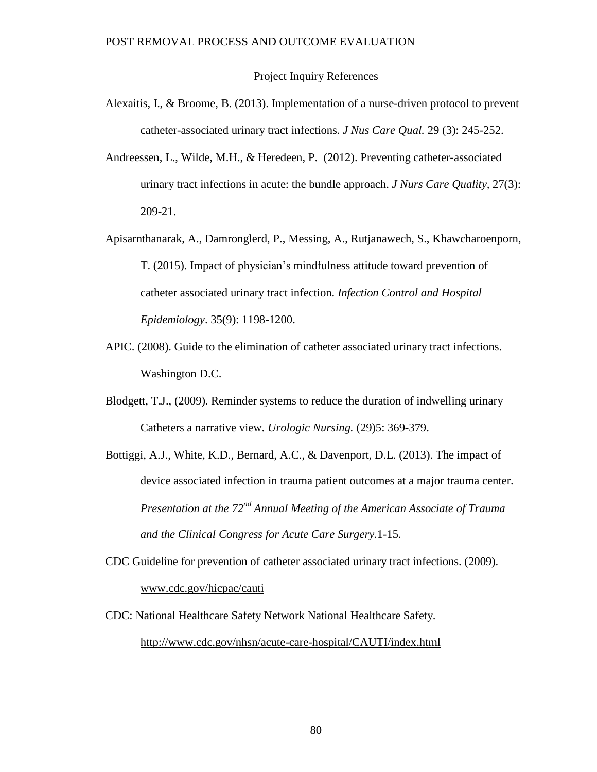#### Project Inquiry References

- Alexaitis, I., & Broome, B. (2013). Implementation of a nurse-driven protocol to prevent catheter-associated urinary tract infections. *J Nus Care Qual.* 29 (3): 245-252.
- Andreessen, L., Wilde, M.H., & Heredeen, P. (2012). Preventing catheter-associated urinary tract infections in acute: the bundle approach. *J Nurs Care Quality,* 27(3): 209-21.
- Apisarnthanarak, A., Damronglerd, P., Messing, A., Rutjanawech, S., Khawcharoenporn, T. (2015). Impact of physician's mindfulness attitude toward prevention of catheter associated urinary tract infection. *Infection Control and Hospital Epidemiology*. 35(9): 1198-1200.
- APIC. (2008). Guide to the elimination of catheter associated urinary tract infections. Washington D.C.
- Blodgett, T.J., (2009). Reminder systems to reduce the duration of indwelling urinary Catheters a narrative view. *Urologic Nursing.* (29)5: 369-379.
- Bottiggi, A.J., White, K.D., Bernard, A.C., & Davenport, D.L. (2013). The impact of device associated infection in trauma patient outcomes at a major trauma center. *Presentation at the 72nd Annual Meeting of the American Associate of Trauma and the Clinical Congress for Acute Care Surgery.*1-15.
- CDC Guideline for prevention of catheter associated urinary tract infections. (2009). [www.cdc.gov/hicpac/cauti](http://www.cdc.gov/hicpac/cauti)
- CDC: National Healthcare Safety Network National Healthcare Safety. <http://www.cdc.gov/nhsn/acute-care-hospital/CAUTI/index.html>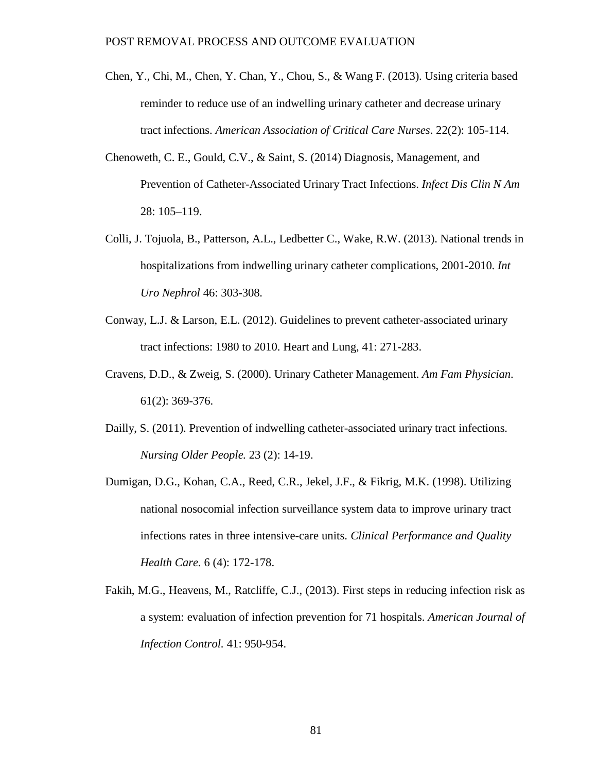- Chen, Y., Chi, M., Chen, Y. Chan, Y., Chou, S., & Wang F. (2013). Using criteria based reminder to reduce use of an indwelling urinary catheter and decrease urinary tract infections. *American Association of Critical Care Nurses*. 22(2): 105-114.
- Chenoweth, C. E., Gould, C.V., & Saint, S. (2014) Diagnosis, Management, and Prevention of Catheter-Associated Urinary Tract Infections. *Infect Dis Clin N Am* 28: 105–119.
- Colli, J. Tojuola, B., Patterson, A.L., Ledbetter C., Wake, R.W. (2013). National trends in hospitalizations from indwelling urinary catheter complications, 2001-2010. *Int Uro Nephrol* 46: 303-308.
- Conway, L.J. & Larson, E.L. (2012). Guidelines to prevent catheter-associated urinary tract infections: 1980 to 2010. Heart and Lung, 41: 271-283.
- Cravens, D.D., & Zweig, S. (2000). Urinary Catheter Management. *Am Fam Physician*. 61(2): 369-376.
- Dailly, S. (2011). Prevention of indwelling catheter-associated urinary tract infections. *Nursing Older People.* 23 (2): 14-19.
- Dumigan, D.G., Kohan, C.A., Reed, C.R., Jekel, J.F., & Fikrig, M.K. (1998). Utilizing national nosocomial infection surveillance system data to improve urinary tract infections rates in three intensive-care units. *Clinical Performance and Quality Health Care.* 6 (4): 172-178.
- Fakih, M.G., Heavens, M., Ratcliffe, C.J., (2013). First steps in reducing infection risk as a system: evaluation of infection prevention for 71 hospitals. *American Journal of Infection Control.* 41: 950-954.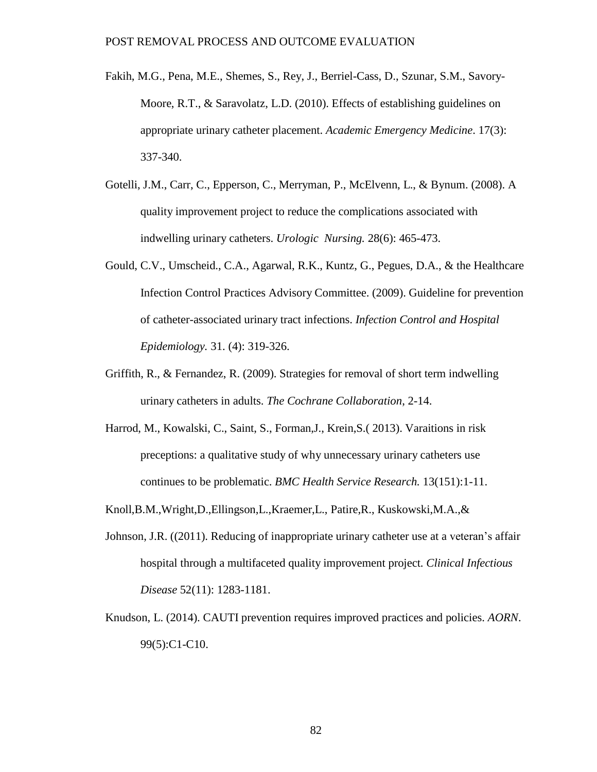- Fakih, M.G., Pena, M.E., Shemes, S., Rey, J., Berriel-Cass, D., Szunar, S.M., Savory-Moore, R.T., & Saravolatz, L.D. (2010). Effects of establishing guidelines on appropriate urinary catheter placement. *Academic Emergency Medicine*. 17(3): 337-340.
- Gotelli, J.M., Carr, C., Epperson, C., Merryman, P., McElvenn, L., & Bynum. (2008). A quality improvement project to reduce the complications associated with indwelling urinary catheters. *Urologic Nursing.* 28(6): 465-473.
- Gould, C.V., Umscheid., C.A., Agarwal, R.K., Kuntz, G., Pegues, D.A., & the Healthcare Infection Control Practices Advisory Committee. (2009). Guideline for prevention of catheter-associated urinary tract infections. *Infection Control and Hospital Epidemiology.* 31. (4): 319-326.
- Griffith, R., & Fernandez, R. (2009). Strategies for removal of short term indwelling urinary catheters in adults. *The Cochrane Collaboration*, 2-14.
- Harrod, M., Kowalski, C., Saint, S., Forman,J., Krein,S.( 2013). Varaitions in risk preceptions: a qualitative study of why unnecessary urinary catheters use continues to be problematic. *BMC Health Service Research.* 13(151):1-11.
- Knoll,B.M.,Wright,D.,Ellingson,L.,Kraemer,L., Patire,R., Kuskowski,M.A.,&
- Johnson, J.R. ((2011). Reducing of inappropriate urinary catheter use at a veteran's affair hospital through a multifaceted quality improvement project. *Clinical Infectious Disease* 52(11): 1283-1181.
- Knudson, L. (2014). CAUTI prevention requires improved practices and policies. *AORN*. 99(5):C1-C10.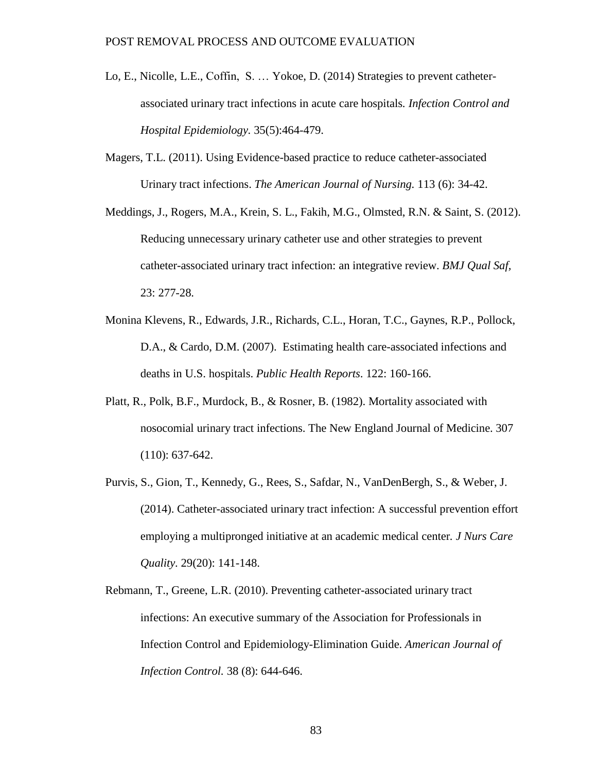- Lo, E., Nicolle, L.E., Coffin, S. … Yokoe, D. (2014) Strategies to prevent catheterassociated urinary tract infections in acute care hospitals*. Infection Control and Hospital Epidemiology.* 35(5):464-479.
- Magers, T.L. (2011). Using Evidence-based practice to reduce catheter-associated Urinary tract infections. *The American Journal of Nursing.* 113 (6): 34-42.
- Meddings, J., Rogers, M.A., Krein, S. L., Fakih, M.G., Olmsted, R.N. & Saint, S. (2012). Reducing unnecessary urinary catheter use and other strategies to prevent catheter-associated urinary tract infection: an integrative review. *BMJ Qual Saf,* 23: 277-28.
- Monina Klevens, R., Edwards, J.R., Richards, C.L., Horan, T.C., Gaynes, R.P., Pollock, D.A., & Cardo, D.M. (2007). Estimating health care-associated infections and deaths in U.S. hospitals. *Public Health Reports*. 122: 160-166.
- Platt, R., Polk, B.F., Murdock, B., & Rosner, B. (1982). Mortality associated with nosocomial urinary tract infections. The New England Journal of Medicine. 307 (110): 637-642.
- Purvis, S., Gion, T., Kennedy, G., Rees, S., Safdar, N., VanDenBergh, S., & Weber, J. (2014). Catheter-associated urinary tract infection: A successful prevention effort employing a multipronged initiative at an academic medical center*. J Nurs Care Quality.* 29(20): 141-148.
- Rebmann, T., Greene, L.R. (2010). Preventing catheter-associated urinary tract infections: An executive summary of the Association for Professionals in Infection Control and Epidemiology-Elimination Guide. *American Journal of Infection Control.* 38 (8): 644-646.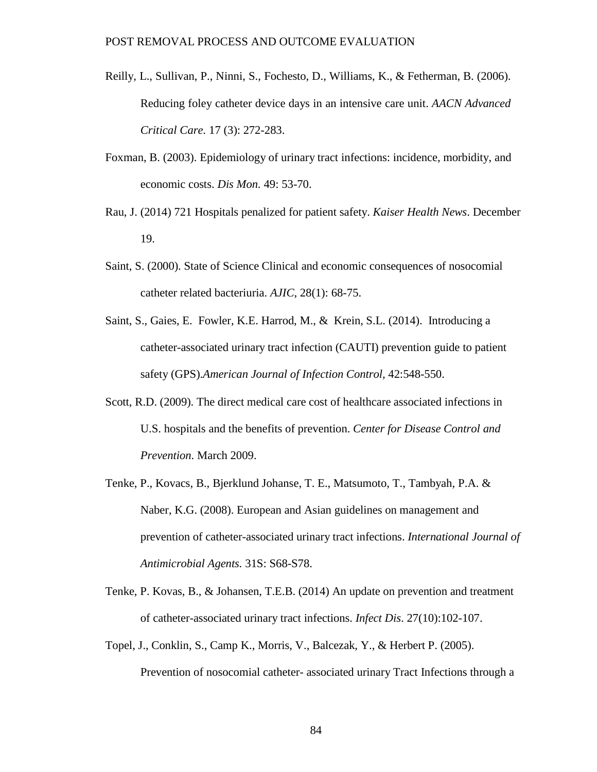- Reilly, L., Sullivan, P., Ninni, S., Fochesto, D., Williams, K., & Fetherman, B. (2006). Reducing foley catheter device days in an intensive care unit. *AACN Advanced Critical Care.* 17 (3): 272-283.
- Foxman, B. (2003). Epidemiology of urinary tract infections: incidence, morbidity, and economic costs. *Dis Mon.* 49: 53-70.
- Rau, J. (2014) 721 Hospitals penalized for patient safety. *Kaiser Health News*. December 19.
- Saint, S. (2000). State of Science Clinical and economic consequences of nosocomial catheter related bacteriuria. *AJIC*, 28(1): 68-75.
- Saint, S., Gaies, E. Fowler, K.E. Harrod, M., & Krein, S.L. (2014). Introducing a catheter-associated urinary tract infection (CAUTI) prevention guide to patient safety (GPS).*American Journal of Infection Control,* 42:548-550.
- Scott, R.D. (2009). The direct medical care cost of healthcare associated infections in U.S. hospitals and the benefits of prevention. *Center for Disease Control and Prevention*. March 2009.
- Tenke, P., Kovacs, B., Bjerklund Johanse, T. E., Matsumoto, T., Tambyah, P.A. & Naber, K.G. (2008). European and Asian guidelines on management and prevention of catheter-associated urinary tract infections. *International Journal of Antimicrobial Agents.* 31S: S68-S78.
- Tenke, P. Kovas, B., & Johansen, T.E.B. (2014) An update on prevention and treatment of catheter-associated urinary tract infections. *Infect Dis*. 27(10):102-107.
- Topel, J., Conklin, S., Camp K., Morris, V., Balcezak, Y., & Herbert P. (2005). Prevention of nosocomial catheter- associated urinary Tract Infections through a